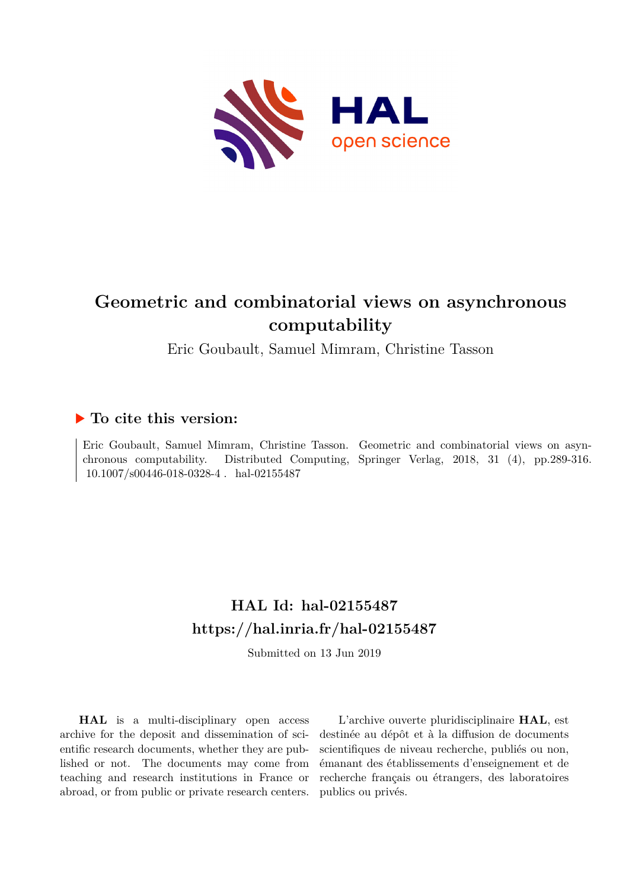

# **Geometric and combinatorial views on asynchronous computability**

Eric Goubault, Samuel Mimram, Christine Tasson

# **To cite this version:**

Eric Goubault, Samuel Mimram, Christine Tasson. Geometric and combinatorial views on asynchronous computability. Distributed Computing, Springer Verlag, 2018, 31 (4), pp.289-316.  $10.1007/\mathrm{s}00446\text{-}018\text{-}0328\text{-}4$  .  $\,$  hal-02155487

# **HAL Id: hal-02155487 <https://hal.inria.fr/hal-02155487>**

Submitted on 13 Jun 2019

**HAL** is a multi-disciplinary open access archive for the deposit and dissemination of scientific research documents, whether they are published or not. The documents may come from teaching and research institutions in France or abroad, or from public or private research centers.

L'archive ouverte pluridisciplinaire **HAL**, est destinée au dépôt et à la diffusion de documents scientifiques de niveau recherche, publiés ou non, émanant des établissements d'enseignement et de recherche français ou étrangers, des laboratoires publics ou privés.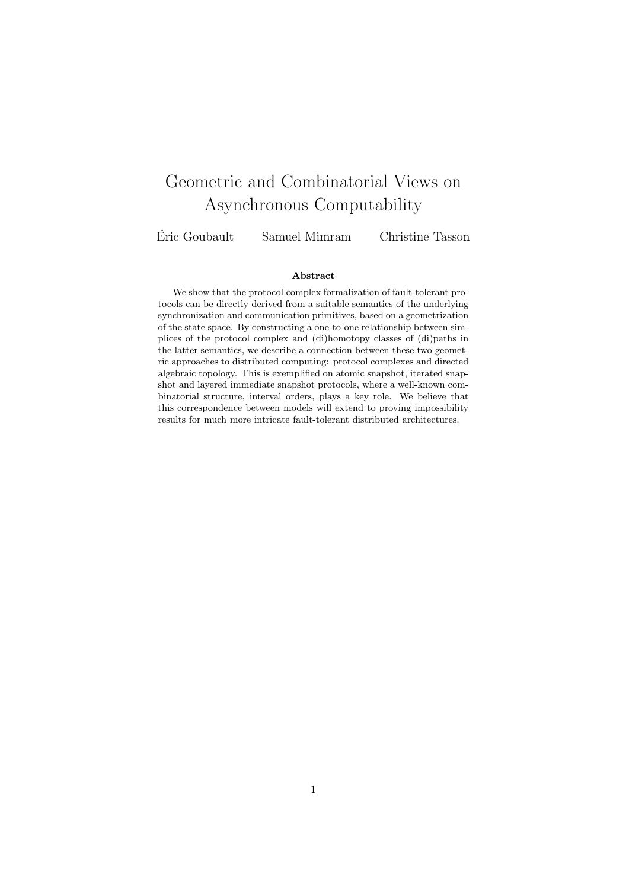# Geometric and Combinatorial Views on Asynchronous Computability

Éric Goubault Samuel Mimram Christine Tasson

## Abstract

We show that the protocol complex formalization of fault-tolerant protocols can be directly derived from a suitable semantics of the underlying synchronization and communication primitives, based on a geometrization of the state space. By constructing a one-to-one relationship between simplices of the protocol complex and (di)homotopy classes of (di)paths in the latter semantics, we describe a connection between these two geometric approaches to distributed computing: protocol complexes and directed algebraic topology. This is exemplified on atomic snapshot, iterated snapshot and layered immediate snapshot protocols, where a well-known combinatorial structure, interval orders, plays a key role. We believe that this correspondence between models will extend to proving impossibility results for much more intricate fault-tolerant distributed architectures.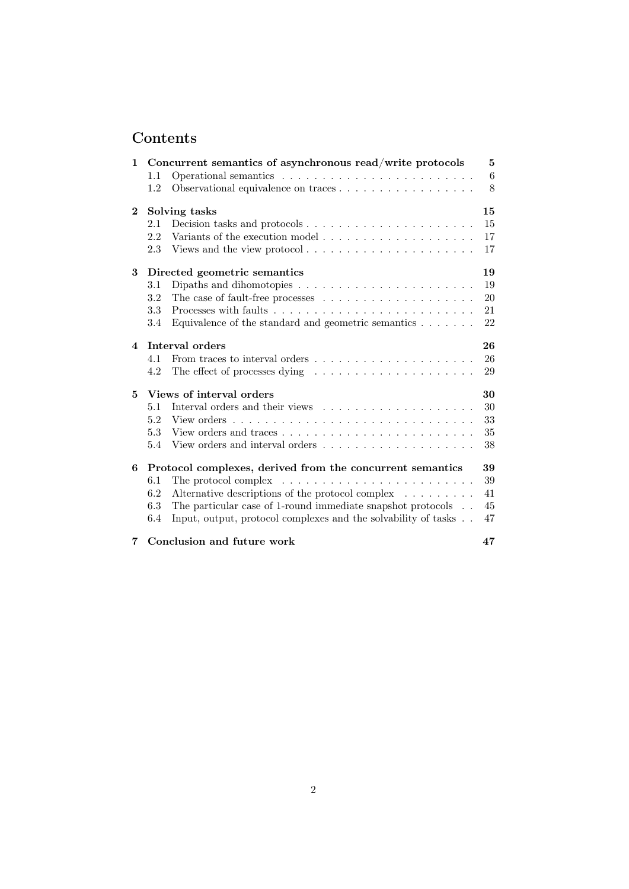# Contents

| $\mathbf{1}$            | Concurrent semantics of asynchronous read/write protocols                                 | 5                |
|-------------------------|-------------------------------------------------------------------------------------------|------------------|
|                         | 1.1                                                                                       | $\boldsymbol{6}$ |
|                         | 1.2<br>Observational equivalence on traces                                                | 8                |
| $\bf{2}$                | Solving tasks                                                                             | 15               |
|                         | 2.1                                                                                       | 15               |
|                         | 2.2                                                                                       | 17               |
|                         | 2.3                                                                                       | 17               |
| 3                       | Directed geometric semantics                                                              | 19               |
|                         | Dipaths and dihomotopies $\ldots \ldots \ldots \ldots \ldots \ldots \ldots \ldots$<br>3.1 | 19               |
|                         | 3.2<br>The case of fault-free processes $\dots \dots \dots \dots \dots \dots$             | 20               |
|                         | 3.3                                                                                       | 21               |
|                         | Equivalence of the standard and geometric semantics $\ldots \ldots$<br>3.4                | 22               |
| $\overline{\mathbf{4}}$ | Interval orders                                                                           | 26               |
|                         | 4.1                                                                                       | 26               |
|                         | 4.2                                                                                       | 29               |
| 5                       | Views of interval orders                                                                  | 30               |
|                         | 5.1                                                                                       | 30               |
|                         | 5.2                                                                                       | 33               |
|                         | 5.3                                                                                       | 35               |
|                         | 5.4                                                                                       | 38               |
| 6                       | Protocol complexes, derived from the concurrent semantics                                 | 39               |
|                         | The protocol complex $\ldots \ldots \ldots \ldots \ldots \ldots \ldots \ldots$<br>6.1     | 39               |
|                         | Alternative descriptions of the protocol complex $\dots \dots$<br>6.2                     | 41               |
|                         | 6.3<br>The particular case of 1-round immediate snapshot protocols                        | 45               |
|                         | Input, output, protocol complexes and the solvability of tasks<br>6.4                     | 47               |
| $\overline{7}$          | Conclusion and future work                                                                | 47               |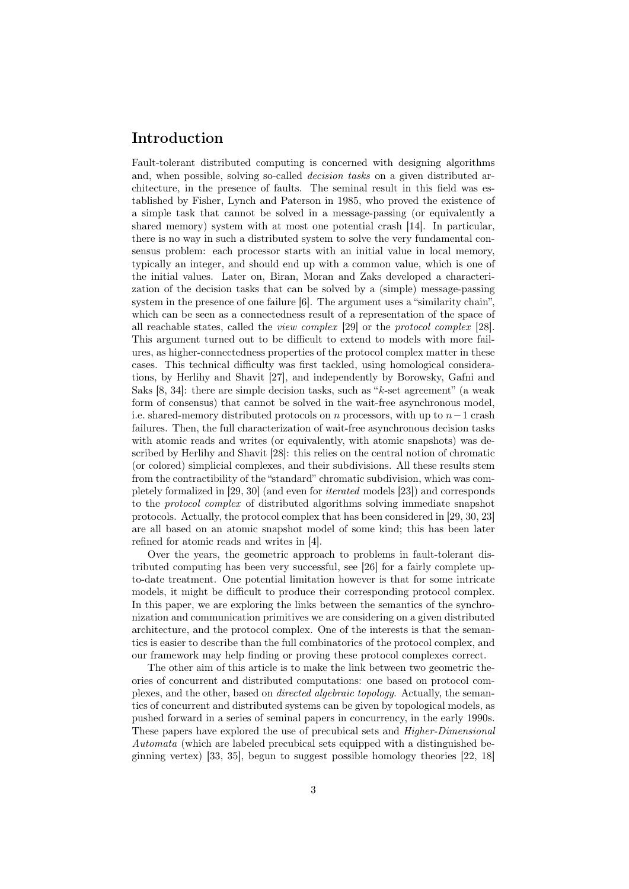# Introduction

Fault-tolerant distributed computing is concerned with designing algorithms and, when possible, solving so-called *decision tasks* on a given distributed architecture, in the presence of faults. The seminal result in this field was established by Fisher, Lynch and Paterson in 1985, who proved the existence of a simple task that cannot be solved in a message-passing (or equivalently a shared memory) system with at most one potential crash [14]. In particular, there is no way in such a distributed system to solve the very fundamental consensus problem: each processor starts with an initial value in local memory, typically an integer, and should end up with a common value, which is one of the initial values. Later on, Biran, Moran and Zaks developed a characterization of the decision tasks that can be solved by a (simple) message-passing system in the presence of one failure [6]. The argument uses a "similarity chain", which can be seen as a connectedness result of a representation of the space of all reachable states, called the view complex [29] or the protocol complex [28]. This argument turned out to be difficult to extend to models with more failures, as higher-connectedness properties of the protocol complex matter in these cases. This technical difficulty was first tackled, using homological considerations, by Herlihy and Shavit [27], and independently by Borowsky, Gafni and Saks  $[8, 34]$ : there are simple decision tasks, such as "k-set agreement" (a weak form of consensus) that cannot be solved in the wait-free asynchronous model, i.e. shared-memory distributed protocols on n processors, with up to  $n-1$  crash failures. Then, the full characterization of wait-free asynchronous decision tasks with atomic reads and writes (or equivalently, with atomic snapshots) was described by Herlihy and Shavit [28]: this relies on the central notion of chromatic (or colored) simplicial complexes, and their subdivisions. All these results stem from the contractibility of the "standard" chromatic subdivision, which was completely formalized in [29, 30] (and even for iterated models [23]) and corresponds to the protocol complex of distributed algorithms solving immediate snapshot protocols. Actually, the protocol complex that has been considered in [29, 30, 23] are all based on an atomic snapshot model of some kind; this has been later refined for atomic reads and writes in [4].

Over the years, the geometric approach to problems in fault-tolerant distributed computing has been very successful, see [26] for a fairly complete upto-date treatment. One potential limitation however is that for some intricate models, it might be difficult to produce their corresponding protocol complex. In this paper, we are exploring the links between the semantics of the synchronization and communication primitives we are considering on a given distributed architecture, and the protocol complex. One of the interests is that the semantics is easier to describe than the full combinatorics of the protocol complex, and our framework may help finding or proving these protocol complexes correct.

The other aim of this article is to make the link between two geometric theories of concurrent and distributed computations: one based on protocol complexes, and the other, based on directed algebraic topology. Actually, the semantics of concurrent and distributed systems can be given by topological models, as pushed forward in a series of seminal papers in concurrency, in the early 1990s. These papers have explored the use of precubical sets and *Higher-Dimensional* Automata (which are labeled precubical sets equipped with a distinguished beginning vertex) [33, 35], begun to suggest possible homology theories [22, 18]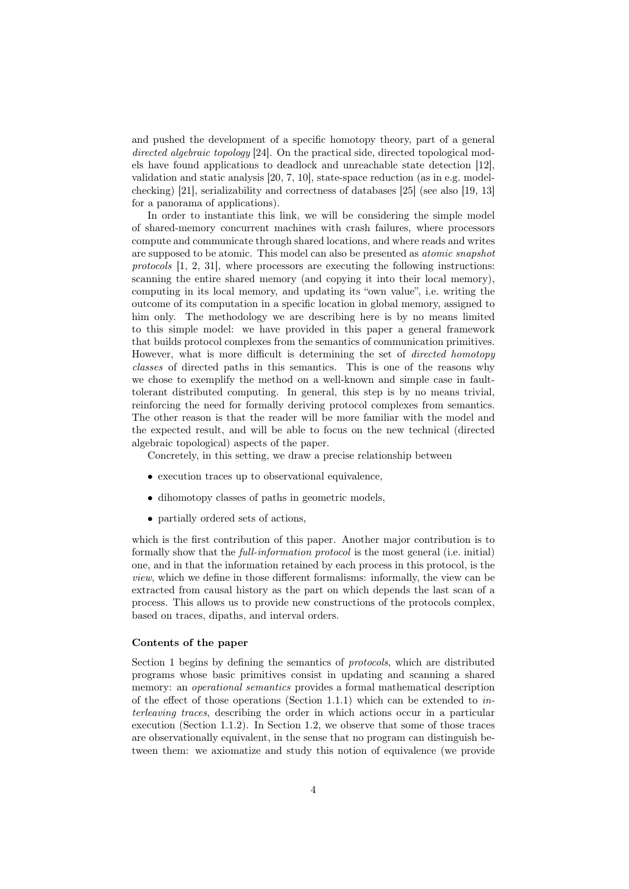and pushed the development of a specific homotopy theory, part of a general directed algebraic topology [24]. On the practical side, directed topological models have found applications to deadlock and unreachable state detection [12], validation and static analysis [20, 7, 10], state-space reduction (as in e.g. modelchecking) [21], serializability and correctness of databases [25] (see also [19, 13] for a panorama of applications).

In order to instantiate this link, we will be considering the simple model of shared-memory concurrent machines with crash failures, where processors compute and communicate through shared locations, and where reads and writes are supposed to be atomic. This model can also be presented as atomic snapshot protocols [1, 2, 31], where processors are executing the following instructions: scanning the entire shared memory (and copying it into their local memory), computing in its local memory, and updating its "own value", i.e. writing the outcome of its computation in a specific location in global memory, assigned to him only. The methodology we are describing here is by no means limited to this simple model: we have provided in this paper a general framework that builds protocol complexes from the semantics of communication primitives. However, what is more difficult is determining the set of directed homotopy classes of directed paths in this semantics. This is one of the reasons why we chose to exemplify the method on a well-known and simple case in faulttolerant distributed computing. In general, this step is by no means trivial, reinforcing the need for formally deriving protocol complexes from semantics. The other reason is that the reader will be more familiar with the model and the expected result, and will be able to focus on the new technical (directed algebraic topological) aspects of the paper.

Concretely, in this setting, we draw a precise relationship between

- execution traces up to observational equivalence,
- dihomotopy classes of paths in geometric models,
- partially ordered sets of actions,

which is the first contribution of this paper. Another major contribution is to formally show that the *full-information protocol* is the most general (i.e. initial) one, and in that the information retained by each process in this protocol, is the view, which we define in those different formalisms: informally, the view can be extracted from causal history as the part on which depends the last scan of a process. This allows us to provide new constructions of the protocols complex, based on traces, dipaths, and interval orders.

#### Contents of the paper

Section 1 begins by defining the semantics of protocols, which are distributed programs whose basic primitives consist in updating and scanning a shared memory: an *operational semantics* provides a formal mathematical description of the effect of those operations (Section 1.1.1) which can be extended to  $in$ terleaving traces, describing the order in which actions occur in a particular execution (Section 1.1.2). In Section 1.2, we observe that some of those traces are observationally equivalent, in the sense that no program can distinguish between them: we axiomatize and study this notion of equivalence (we provide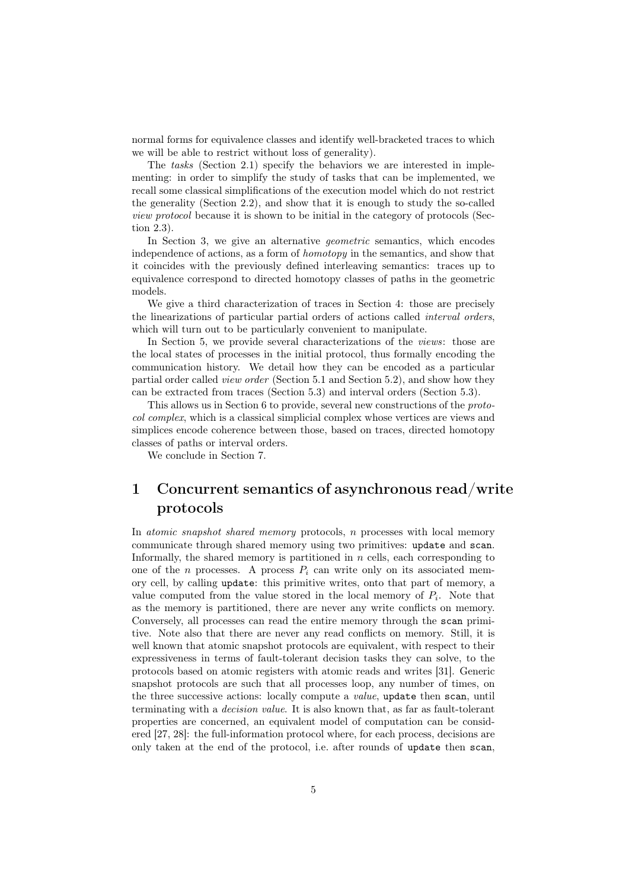normal forms for equivalence classes and identify well-bracketed traces to which we will be able to restrict without loss of generality).

The tasks (Section 2.1) specify the behaviors we are interested in implementing: in order to simplify the study of tasks that can be implemented, we recall some classical simplifications of the execution model which do not restrict the generality (Section 2.2), and show that it is enough to study the so-called view protocol because it is shown to be initial in the category of protocols (Section 2.3).

In Section 3, we give an alternative *geometric* semantics, which encodes independence of actions, as a form of homotopy in the semantics, and show that it coincides with the previously defined interleaving semantics: traces up to equivalence correspond to directed homotopy classes of paths in the geometric models.

We give a third characterization of traces in Section 4: those are precisely the linearizations of particular partial orders of actions called interval orders, which will turn out to be particularly convenient to manipulate.

In Section 5, we provide several characterizations of the *views*: those are the local states of processes in the initial protocol, thus formally encoding the communication history. We detail how they can be encoded as a particular partial order called view order (Section 5.1 and Section 5.2), and show how they can be extracted from traces (Section 5.3) and interval orders (Section 5.3).

This allows us in Section 6 to provide, several new constructions of the protocol complex, which is a classical simplicial complex whose vertices are views and simplices encode coherence between those, based on traces, directed homotopy classes of paths or interval orders.

We conclude in Section 7.

# 1 Concurrent semantics of asynchronous read/write protocols

In *atomic snapshot shared memory* protocols, n processes with local memory communicate through shared memory using two primitives: update and scan. Informally, the shared memory is partitioned in  $n$  cells, each corresponding to one of the n processes. A process  $P_i$  can write only on its associated memory cell, by calling update: this primitive writes, onto that part of memory, a value computed from the value stored in the local memory of  $P_i$ . Note that as the memory is partitioned, there are never any write conflicts on memory. Conversely, all processes can read the entire memory through the scan primitive. Note also that there are never any read conflicts on memory. Still, it is well known that atomic snapshot protocols are equivalent, with respect to their expressiveness in terms of fault-tolerant decision tasks they can solve, to the protocols based on atomic registers with atomic reads and writes [31]. Generic snapshot protocols are such that all processes loop, any number of times, on the three successive actions: locally compute a *value*, update then scan, until terminating with a decision value. It is also known that, as far as fault-tolerant properties are concerned, an equivalent model of computation can be considered [27, 28]: the full-information protocol where, for each process, decisions are only taken at the end of the protocol, i.e. after rounds of update then scan,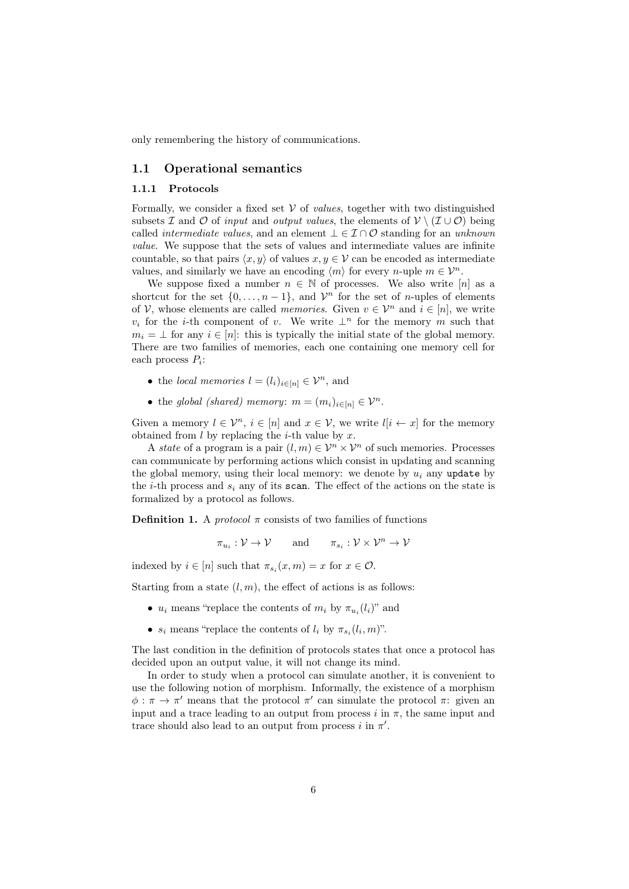only remembering the history of communications.

#### 1.1 Operational semantics

#### 1.1.1 Protocols

Formally, we consider a fixed set  $\mathcal V$  of *values*, together with two distinguished subsets I and O of *input* and *output values*, the elements of  $V \setminus (I \cup O)$  being called *intermediate values*, and an element  $\bot \in \mathcal{I} \cap \mathcal{O}$  standing for an unknown value. We suppose that the sets of values and intermediate values are infinite countable, so that pairs  $\langle x, y \rangle$  of values  $x, y \in V$  can be encoded as intermediate values, and similarly we have an encoding  $\langle m \rangle$  for every *n*-uple  $m \in \mathcal{V}^n$ .

We suppose fixed a number  $n \in \mathbb{N}$  of processes. We also write [n] as a shortcut for the set  $\{0, \ldots, n-1\}$ , and  $\mathcal{V}^n$  for the set of *n*-uples of elements of V, whose elements are called *memories*. Given  $v \in \mathcal{V}^n$  and  $i \in [n]$ , we write  $v_i$  for the *i*-th component of v. We write  $\perp^n$  for the memory m such that  $m_i = \perp$  for any  $i \in [n]$ : this is typically the initial state of the global memory. There are two families of memories, each one containing one memory cell for each process  $P_i$ :

- the local memories  $l = (l_i)_{i \in [n]} \in \mathcal{V}^n$ , and
- the global (shared) memory:  $m = (m_i)_{i \in [n]} \in \mathcal{V}^n$ .

Given a memory  $l \in \mathcal{V}^n$ ,  $i \in [n]$  and  $x \in \mathcal{V}$ , we write  $l[i \leftarrow x]$  for the memory obtained from  $l$  by replacing the *i*-th value by  $x$ .

A state of a program is a pair  $(l, m) \in \mathcal{V}^n \times \mathcal{V}^n$  of such memories. Processes can communicate by performing actions which consist in updating and scanning the global memory, using their local memory: we denote by  $u_i$  any update by the *i*-th process and  $s_i$  any of its scan. The effect of the actions on the state is formalized by a protocol as follows.

**Definition 1.** A *protocol*  $\pi$  consists of two families of functions

$$
\pi_{u_i}: \mathcal{V} \to \mathcal{V}
$$
 and  $\pi_{s_i}: \mathcal{V} \times \mathcal{V}^n \to \mathcal{V}$ 

indexed by  $i \in [n]$  such that  $\pi_{s_i}(x, m) = x$  for  $x \in \mathcal{O}$ .

Starting from a state  $(l, m)$ , the effect of actions is as follows:

- $u_i$  means "replace the contents of  $m_i$  by  $\pi_{u_i}(l_i)$ " and
- $s_i$  means "replace the contents of  $l_i$  by  $\pi_{s_i}(l_i, m)$ ".

The last condition in the definition of protocols states that once a protocol has decided upon an output value, it will not change its mind.

In order to study when a protocol can simulate another, it is convenient to use the following notion of morphism. Informally, the existence of a morphism  $\phi : \pi \to \pi'$  means that the protocol  $\pi'$  can simulate the protocol  $\pi$ : given an input and a trace leading to an output from process  $i$  in  $\pi$ , the same input and trace should also lead to an output from process  $i$  in  $\pi'$ .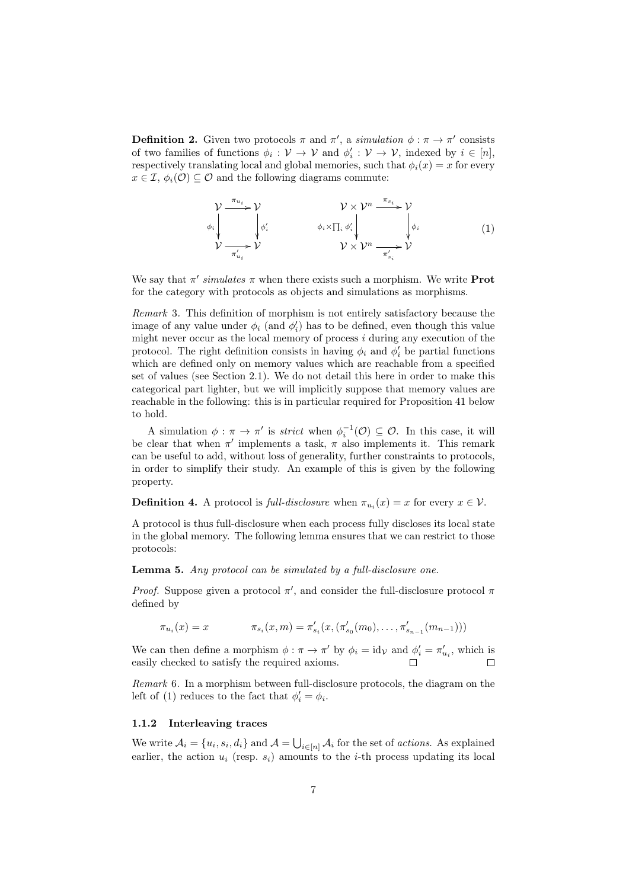**Definition 2.** Given two protocols  $\pi$  and  $\pi'$ , a simulation  $\phi : \pi \to \pi'$  consists of two families of functions  $\phi_i : \mathcal{V} \to \mathcal{V}$  and  $\phi'_i : \mathcal{V} \to \mathcal{V}$ , indexed by  $i \in [n]$ , respectively translating local and global memories, such that  $\phi_i(x) = x$  for every  $x \in \mathcal{I}, \phi_i(\mathcal{O}) \subseteq \mathcal{O}$  and the following diagrams commute:

$$
\mathcal{V} \xrightarrow{\pi_{u_i}} \mathcal{V} \qquad \qquad \mathcal{V} \times \mathcal{V}^n \xrightarrow{\pi_{s_i}} \mathcal{V} \n\phi_i \qquad \qquad \phi_i \times \prod_i \phi'_i \qquad \qquad \phi_i \qquad \qquad \phi_i
$$
\n
$$
\mathcal{V} \xrightarrow{\pi'_{u_i}} \mathcal{V} \qquad \qquad \mathcal{V} \times \mathcal{V}^n \xrightarrow{\pi'_{s_i}} \mathcal{V}
$$
\n
$$
(1)
$$

We say that  $\pi'$  simulates  $\pi$  when there exists such a morphism. We write **Prot** for the category with protocols as objects and simulations as morphisms.

Remark 3. This definition of morphism is not entirely satisfactory because the image of any value under  $\phi_i$  (and  $\phi'_i$ ) has to be defined, even though this value might never occur as the local memory of process  $i$  during any execution of the protocol. The right definition consists in having  $\phi_i$  and  $\phi'_i$  be partial functions which are defined only on memory values which are reachable from a specified set of values (see Section 2.1). We do not detail this here in order to make this categorical part lighter, but we will implicitly suppose that memory values are reachable in the following: this is in particular required for Proposition 41 below to hold.

A simulation  $\phi : \pi \to \pi'$  is *strict* when  $\phi_i^{-1}(\mathcal{O}) \subseteq \mathcal{O}$ . In this case, it will be clear that when  $\pi'$  implements a task,  $\pi$  also implements it. This remark can be useful to add, without loss of generality, further constraints to protocols, in order to simplify their study. An example of this is given by the following property.

**Definition 4.** A protocol is *full-disclosure* when  $\pi_{u_i}(x) = x$  for every  $x \in \mathcal{V}$ .

A protocol is thus full-disclosure when each process fully discloses its local state in the global memory. The following lemma ensures that we can restrict to those protocols:

Lemma 5. Any protocol can be simulated by a full-disclosure one.

*Proof.* Suppose given a protocol  $\pi'$ , and consider the full-disclosure protocol  $\pi$ defined by

$$
\pi_{u_i}(x) = x \qquad \qquad \pi_{s_i}(x, m) = \pi'_{s_i}(x, (\pi'_{s_0}(m_0), \dots, \pi'_{s_{n-1}}(m_{n-1})))
$$

We can then define a morphism  $\phi : \pi \to \pi'$  by  $\phi_i = id_{\mathcal{V}}$  and  $\phi'_i = \pi'_{u_i}$ , which is easily checked to satisfy the required axioms.

Remark 6. In a morphism between full-disclosure protocols, the diagram on the left of (1) reduces to the fact that  $\phi'_i = \phi_i$ .

# 1.1.2 Interleaving traces

We write  $A_i = \{u_i, s_i, d_i\}$  and  $A = \bigcup_{i \in [n]} A_i$  for the set of *actions*. As explained earlier, the action  $u_i$  (resp.  $s_i$ ) amounts to the *i*-th process updating its local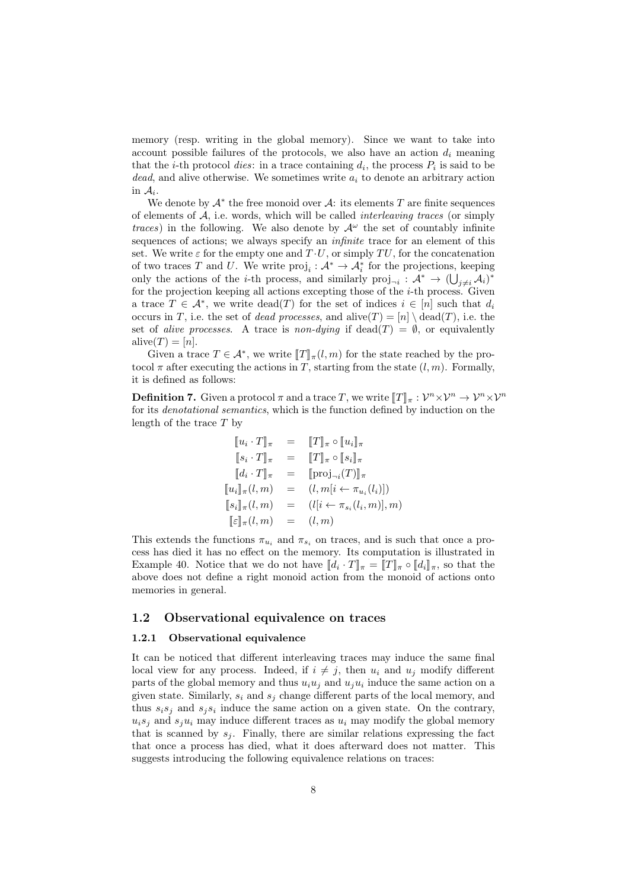memory (resp. writing in the global memory). Since we want to take into account possible failures of the protocols, we also have an action  $d_i$  meaning that the *i*-th protocol *dies*: in a trace containing  $d_i$ , the process  $P_i$  is said to be  $dead$ , and alive otherwise. We sometimes write  $a_i$  to denote an arbitrary action in  $\mathcal{A}_i$ .

We denote by  $\mathcal{A}^*$  the free monoid over  $\mathcal{A}$ : its elements  $T$  are finite sequences of elements of  $A$ , i.e. words, which will be called *interleaving traces* (or simply traces) in the following. We also denote by  $\mathcal{A}^{\omega}$  the set of countably infinite sequences of actions; we always specify an *infinite* trace for an element of this set. We write  $\varepsilon$  for the empty one and  $T \cdot U$ , or simply TU, for the concatenation of two traces T and U. We write  $\text{proj}_i : \mathcal{A}^* \to \mathcal{A}_i^*$  for the projections, keeping only the actions of the *i*-th process, and similarly  $proj_{\neg i} : A^* \to (\bigcup_{j \neq i} A_i)^*$ for the projection keeping all actions excepting those of the  $i$ -th process. Given a trace  $T \in \mathcal{A}^*$ , we write  $\text{dead}(T)$  for the set of indices  $i \in [n]$  such that  $d_i$ occurs in T, i.e. the set of *dead processes*, and alive $(T) = [n] \setminus \text{dead}(T)$ , i.e. the set of *alive processes*. A trace is *non-dying* if dead $(T) = \emptyset$ , or equivalently  $\text{alive}(T) = [n].$ 

Given a trace  $T \in \mathcal{A}^*$ , we write  $[T]_{\pi}(l,m)$  for the state reached by the pro-<br>of  $\pi$  ofter executing the actions in  $T$  starting from the state  $(l,m)$ . Formally tocol  $\pi$  after executing the actions in T, starting from the state  $(l, m)$ . Formally, it is defined as follows:

**Definition 7.** Given a protocol  $\pi$  and a trace T, we write  $[\![T]\!]_{\pi}: \mathcal{V}^n \times \mathcal{V}^n \to \mathcal{V}^n \times \mathcal{V}^n$ <br>for its denotational comanties, which is the function defined by induction on the for its *denotational semantics*, which is the function defined by induction on the length of the trace  $T$  by

$$
\begin{array}{rcl}\n[u_i \cdot T]_\pi & = & \left[ T \right]_\pi \circ [u_i]_\pi \\
[s_i \cdot T]_\pi & = & \left[ T \right]_\pi \circ [s_i]_\pi \\
[d_i \cdot T]_\pi & = & \left[ \text{proj}_{\neg i}(T) \right]_\pi \\
[u_i]_\pi(l, m) & = & (l, m[i \leftarrow \pi_{u_i}(l_i)]) \\
[s_i]_\pi(l, m) & = & (l[i \leftarrow \pi_{s_i}(l_i, m)], m) \\
\left[ \varepsilon \right]_\pi(l, m) & = & (l, m)\n\end{array}
$$

This extends the functions  $\pi_{u_i}$  and  $\pi_{s_i}$  on traces, and is such that once a process has died it has no effect on the memory. Its computation is illustrated in Example 40. Notice that we do not have  $[[d_i \cdot T]]_\pi = [[T]]_\pi \circ [[d_i]]_\pi$ , so that the phonod does not define a right monoid estion from the monoid of estions onto above does not define a right monoid action from the monoid of actions onto memories in general.

#### 1.2 Observational equivalence on traces

#### 1.2.1 Observational equivalence

It can be noticed that different interleaving traces may induce the same final local view for any process. Indeed, if  $i \neq j$ , then  $u_i$  and  $u_j$  modify different parts of the global memory and thus  $u_i u_j$  and  $u_j u_i$  induce the same action on a given state. Similarly,  $s_i$  and  $s_j$  change different parts of the local memory, and thus  $s_i s_j$  and  $s_j s_i$  induce the same action on a given state. On the contrary,  $u_i s_j$  and  $s_j u_i$  may induce different traces as  $u_i$  may modify the global memory that is scanned by  $s_i$ . Finally, there are similar relations expressing the fact that once a process has died, what it does afterward does not matter. This suggests introducing the following equivalence relations on traces: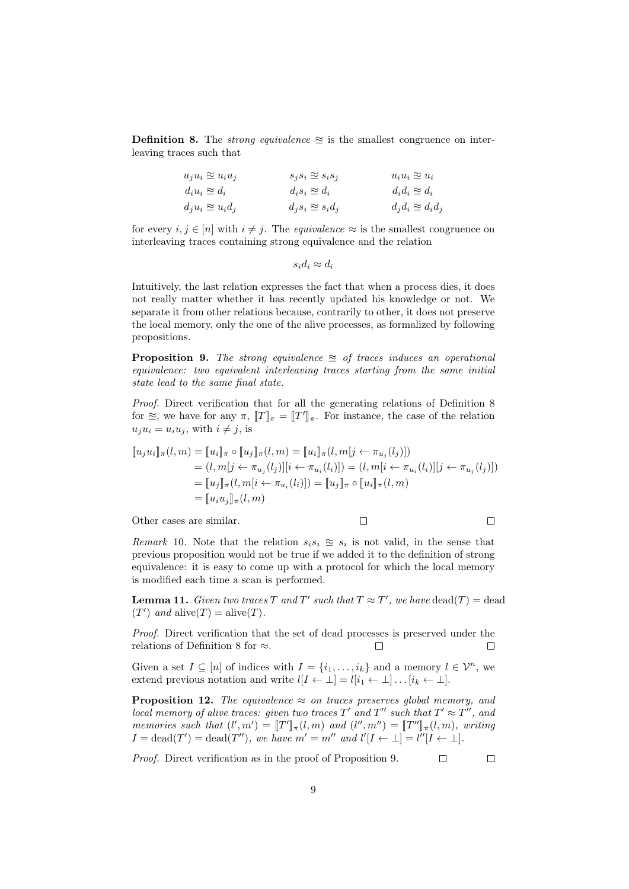**Definition 8.** The *strong equivalence*  $\approx$  is the smallest congruence on interleaving traces such that

| $u_ju_i \cong u_iu_j$     | $s_j s_i \approx s_i s_j$ | $u_i u_i \cong u_i$     |
|---------------------------|---------------------------|-------------------------|
| $d_i u_i \approx d_i$     | $d_i s_i \approx d_i$     | $d_i d_i \approx d_i$   |
| $d_j u_i \approx u_i d_j$ | $d_j s_i \approx s_i d_j$ | $d_j d_i \cong d_i d_j$ |

for every  $i, j \in [n]$  with  $i \neq j$ . The *equivalence*  $\approx$  is the smallest congruence on interleaving traces containing strong equivalence and the relation

 $s_i d_i \approx d_i$ 

Intuitively, the last relation expresses the fact that when a process dies, it does not really matter whether it has recently updated his knowledge or not. We separate it from other relations because, contrarily to other, it does not preserve the local memory, only the one of the alive processes, as formalized by following propositions.

**Proposition 9.** The strong equivalence  $\approx$  of traces induces an operational equivalence: two equivalent interleaving traces starting from the same initial state lead to the same final state.

Proof. Direct verification that for all the generating relations of Definition 8 for  $\approx$ , we have for any  $\pi$ ,  $[\![T]\!]_{\pi} = [\![T']\!]_{\pi}$ . For instance, the case of the relation  $u_j u_i = u_i u_j$ , with  $i \neq j$ , is

$$
\begin{aligned} [\![u_j u_i]\!]_\pi(l,m) &= [\![u_i]\!]_\pi \circ [\![u_j]\!]_\pi(l,m) = [\![u_i]\!]_\pi(l,m[j \leftarrow \pi_{u_j}(l_j)]) \\ &= (l,m[j \leftarrow \pi_{u_j}(l_j)][i \leftarrow \pi_{u_i}(l_i)]) = (l,m[i \leftarrow \pi_{u_i}(l_i)][j \leftarrow \pi_{u_j}(l_j)]) \\ &= [\![u_j]\!]_\pi(l,m[i \leftarrow \pi_{u_i}(l_i)]) = [\![u_j]\!]_\pi \circ [\![u_i]\!]_\pi(l,m) \\ &= [\![u_i u_j]\!]_\pi(l,m) \end{aligned}
$$

Other cases are similar.

 $\Box$ 

$$
\Box
$$

Remark 10. Note that the relation  $s_i s_i \approx s_i$  is not valid, in the sense that previous proposition would not be true if we added it to the definition of strong equivalence: it is easy to come up with a protocol for which the local memory is modified each time a scan is performed.

**Lemma 11.** Given two traces T and T' such that  $T \approx T'$ , we have dead(T) = dead  $(T')$  and alive $(T) =$ alive $(T)$ .

Proof. Direct verification that the set of dead processes is preserved under the relations of Definition 8 for ≈.  $\Box$ 

Given a set  $I \subseteq [n]$  of indices with  $I = \{i_1, \ldots, i_k\}$  and a memory  $l \in \mathcal{V}^n$ , we extend previous notation and write  $l[I \leftarrow \bot] = l[i_1 \leftarrow \bot] \dots [i_k \leftarrow \bot]$ .

**Proposition 12.** The equivalence  $\approx$  on traces preserves global memory, and local memory of alive traces: given two traces  $T'$  and  $T''$  such that  $T' \approx T''$ , and memories such that  $(l', m') = [T']_{\pi}(l, m)$  and  $(l'', m'') = [T'']_{\pi}(l, m)$ , writing<br> $I = \text{dord}(T') = \text{dord}(T'')$ , we have  $m' = m''$  and  $l'[L_{\ell-1}] = l''[L_{\ell-1}]$  $I = \text{dead}(T') = \text{dead}(T'')$ , we have  $m' = m''$  and  $l'[I \leftarrow \bot] = l''[I \leftarrow \bot]$ .

Proof. Direct verification as in the proof of Proposition 9.  $\Box$   $\Box$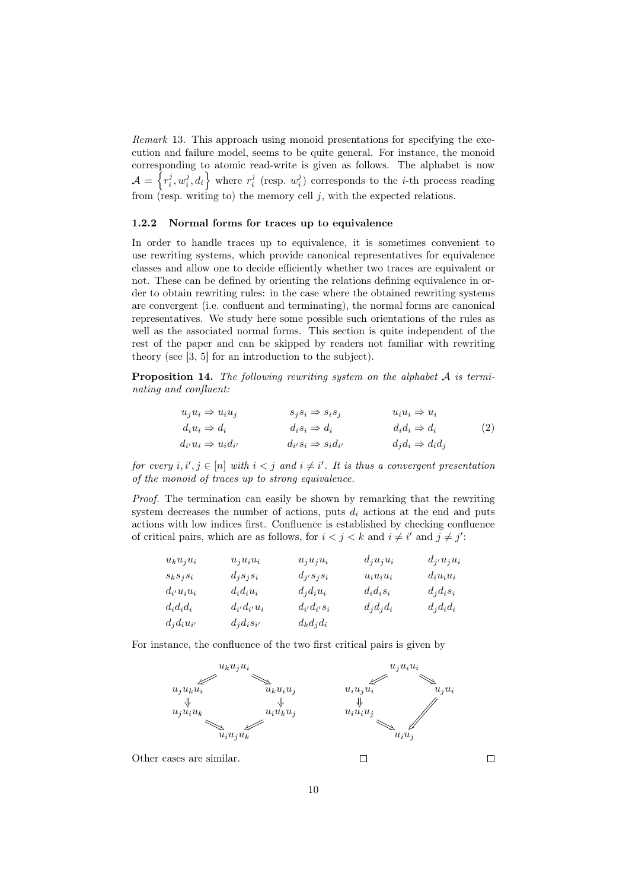Remark 13. This approach using monoid presentations for specifying the execution and failure model, seems to be quite general. For instance, the monoid corresponding to atomic read-write is given as follows. The alphabet is now  $\mathcal{A} = \left\{r_i^j, w_i^j, d_i\right\}$  where  $r_i^j$  (resp.  $w_i^j$ ) corresponds to the *i*-th process reading from (resp. writing to) the memory cell  $j$ , with the expected relations.

#### 1.2.2 Normal forms for traces up to equivalence

In order to handle traces up to equivalence, it is sometimes convenient to use rewriting systems, which provide canonical representatives for equivalence classes and allow one to decide efficiently whether two traces are equivalent or not. These can be defined by orienting the relations defining equivalence in order to obtain rewriting rules: in the case where the obtained rewriting systems are convergent (i.e. confluent and terminating), the normal forms are canonical representatives. We study here some possible such orientations of the rules as well as the associated normal forms. This section is quite independent of the rest of the paper and can be skipped by readers not familiar with rewriting theory (see [3, 5] for an introduction to the subject).

Proposition 14. The following rewriting system on the alphabet A is terminating and confluent:

$$
u_j u_i \Rightarrow u_i u_j
$$
  
\n
$$
d_i u_i \Rightarrow d_i
$$
  
\n
$$
d_i v_i \Rightarrow u_i d_{i'}
$$
  
\n
$$
s_j s_i \Rightarrow s_i s_j
$$
  
\n
$$
u_i u_i \Rightarrow u_i
$$
  
\n
$$
d_i u_i \Rightarrow d_i
$$
  
\n
$$
d_i v_i \Rightarrow u_i d_{i'}
$$
  
\n
$$
d_i s_i \Rightarrow s_i d_{i'}
$$
  
\n
$$
d_j d_i \Rightarrow d_i d_j
$$
  
\n(2)

for every  $i, i', j \in [n]$  with  $i < j$  and  $i \neq i'$ . It is thus a convergent presentation of the monoid of traces up to strong equivalence.

Proof. The termination can easily be shown by remarking that the rewriting system decreases the number of actions, puts  $d_i$  actions at the end and puts actions with low indices first. Confluence is established by checking confluence of critical pairs, which are as follows, for  $i < j < k$  and  $i \neq i'$  and  $j \neq j'$ :

| $u_k u_j u_i$    | $u_i u_i u_i$     | $u_j u_j u_i$     | $d_i u_i u_i$ | $d_{j'}u_ju_i$ |
|------------------|-------------------|-------------------|---------------|----------------|
| $s_k s_j s_i$    | $d_i s_i s_i$     | $d_{i'}s_is_i$    | $u_i u_i u_i$ | $d_i u_i u_i$  |
| $d_{i'}u_iu_i$   | $d_i d_i u_i$     | $d_i d_i u_i$     | $d_i d_i s_i$ | $d_i d_i s_i$  |
| $d_i d_i d_i$    | $d_{i'}d_{i'}u_i$ | $d_{i'}d_{i'}s_i$ | $d_i d_j d_i$ | $d_i d_i d_i$  |
| $d_j d_i u_{i'}$ | $d_i d_i s_{i'}$  | $d_k d_j d_i$     |               |                |

For instance, the confluence of the two first critical pairs is given by



Other cases are similar.

 $\Box$ 

 $\Box$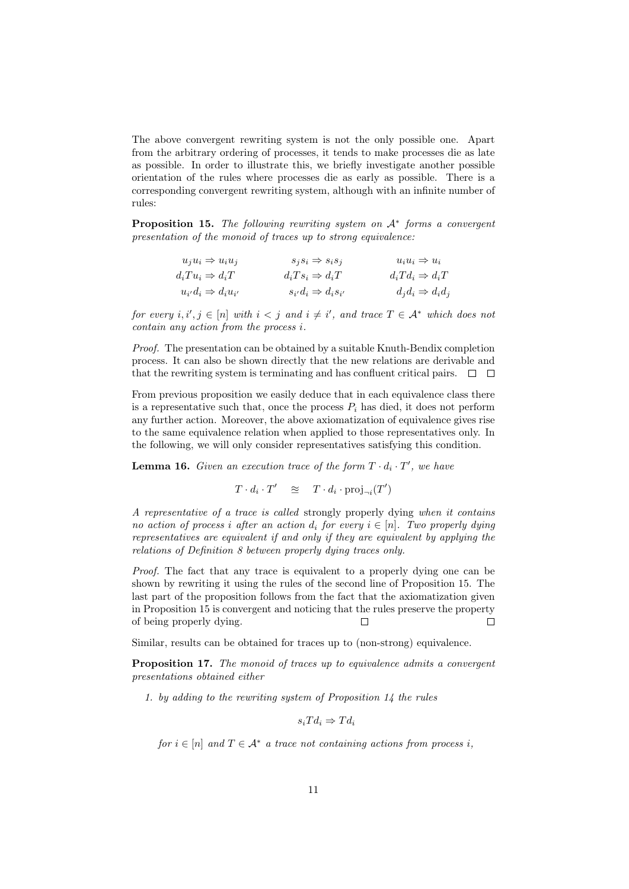The above convergent rewriting system is not the only possible one. Apart from the arbitrary ordering of processes, it tends to make processes die as late as possible. In order to illustrate this, we briefly investigate another possible orientation of the rules where processes die as early as possible. There is a corresponding convergent rewriting system, although with an infinite number of rules:

**Proposition 15.** The following rewriting system on  $A^*$  forms a convergent presentation of the monoid of traces up to strong equivalence:

| $u_ju_i \Rightarrow u_iu_j$       | $s_j s_i \Rightarrow s_i s_j$      | $u_i u_i \Rightarrow u_i$     |
|-----------------------------------|------------------------------------|-------------------------------|
| $d_i T u_i \Rightarrow d_i T$     | $d_iTs_i \Rightarrow d_iT$         | $d_i T d_i \Rightarrow d_i T$ |
| $u_{i'}d_i \Rightarrow d_iu_{i'}$ | $s_{i'}d_i \Rightarrow d_i s_{i'}$ | $d_jd_i \Rightarrow d_id_j$   |

for every  $i, i', j \in [n]$  with  $i < j$  and  $i \neq i'$ , and trace  $T \in \mathcal{A}^*$  which does not contain any action from the process i.

Proof. The presentation can be obtained by a suitable Knuth-Bendix completion process. It can also be shown directly that the new relations are derivable and that the rewriting system is terminating and has confluent critical pairs.  $\Box$   $\Box$ 

From previous proposition we easily deduce that in each equivalence class there is a representative such that, once the process  $P_i$  has died, it does not perform any further action. Moreover, the above axiomatization of equivalence gives rise to the same equivalence relation when applied to those representatives only. In the following, we will only consider representatives satisfying this condition.

**Lemma 16.** Given an execution trace of the form  $T \cdot d_i \cdot T'$ , we have

 $T \cdot d_i \cdot T' \quad \cong \quad T \cdot d_i \cdot \text{proj}_{\neg i}(T')$ 

A representative of a trace is called strongly properly dying when it contains no action of process i after an action  $d_i$  for every  $i \in [n]$ . Two properly dying representatives are equivalent if and only if they are equivalent by applying the relations of Definition 8 between properly dying traces only.

Proof. The fact that any trace is equivalent to a properly dying one can be shown by rewriting it using the rules of the second line of Proposition 15. The last part of the proposition follows from the fact that the axiomatization given in Proposition 15 is convergent and noticing that the rules preserve the property of being properly dying.  $\Box$ П

Similar, results can be obtained for traces up to (non-strong) equivalence.

Proposition 17. The monoid of traces up to equivalence admits a convergent presentations obtained either

1. by adding to the rewriting system of Proposition 14 the rules

 $s_i T d_i \Rightarrow T d_i$ 

for  $i \in [n]$  and  $T \in \mathcal{A}^*$  a trace not containing actions from process i,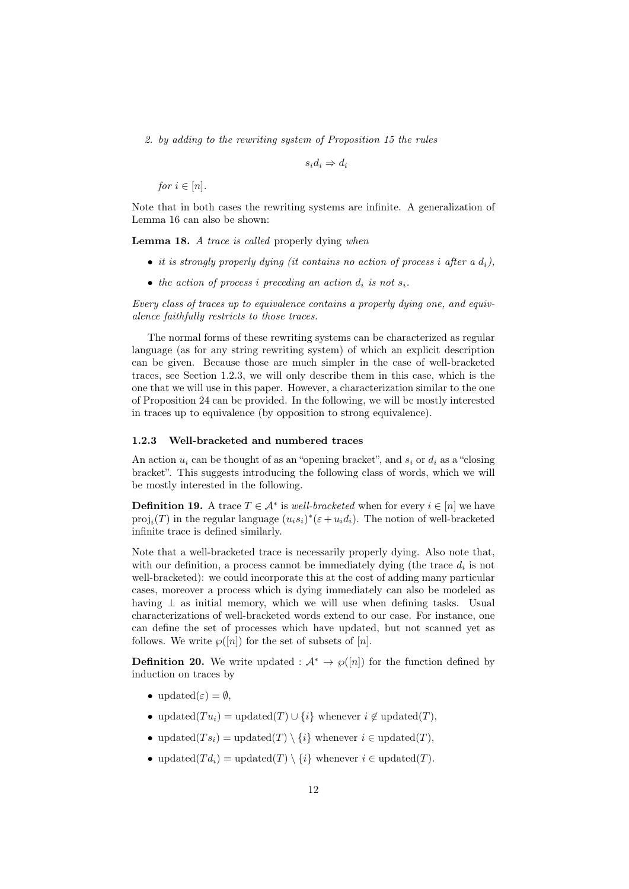2. by adding to the rewriting system of Proposition 15 the rules

 $s_i d_i \Rightarrow d_i$ 

for  $i \in [n]$ .

Note that in both cases the rewriting systems are infinite. A generalization of Lemma 16 can also be shown:

Lemma 18. A trace is called properly dying when

- it is strongly properly dying (it contains no action of process i after a  $d_i$ ),
- the action of process i preceding an action  $d_i$  is not  $s_i$ .

Every class of traces up to equivalence contains a properly dying one, and equivalence faithfully restricts to those traces.

The normal forms of these rewriting systems can be characterized as regular language (as for any string rewriting system) of which an explicit description can be given. Because those are much simpler in the case of well-bracketed traces, see Section 1.2.3, we will only describe them in this case, which is the one that we will use in this paper. However, a characterization similar to the one of Proposition 24 can be provided. In the following, we will be mostly interested in traces up to equivalence (by opposition to strong equivalence).

#### 1.2.3 Well-bracketed and numbered traces

An action  $u_i$  can be thought of as an "opening bracket", and  $s_i$  or  $d_i$  as a "closing" bracket". This suggests introducing the following class of words, which we will be mostly interested in the following.

**Definition 19.** A trace  $T \in \mathcal{A}^*$  is well-bracketed when for every  $i \in [n]$  we have  $proj_i(T)$  in the regular language  $(u_i s_i)^*(\varepsilon + u_i d_i)$ . The notion of well-bracketed infinite trace is defined similarly.

Note that a well-bracketed trace is necessarily properly dying. Also note that, with our definition, a process cannot be immediately dying (the trace  $d_i$  is not well-bracketed): we could incorporate this at the cost of adding many particular cases, moreover a process which is dying immediately can also be modeled as having  $\perp$  as initial memory, which we will use when defining tasks. Usual characterizations of well-bracketed words extend to our case. For instance, one can define the set of processes which have updated, but not scanned yet as follows. We write  $\wp([n])$  for the set of subsets of [n].

**Definition 20.** We write updated :  $\mathcal{A}^* \to \varphi([n])$  for the function defined by induction on traces by

- updated $(\varepsilon) = \emptyset$ ,
- updated $(T u_i) =$ updated $(T) \cup \{i\}$  whenever  $i \notin$ updated $(T)$ ,
- updated $(Ts_i)$  = updated $(T) \setminus \{i\}$  whenever  $i \in \text{updated}(T)$ ,
- updated $(Td_i)$  = updated $(T) \setminus \{i\}$  whenever  $i \in \text{update}(T)$ .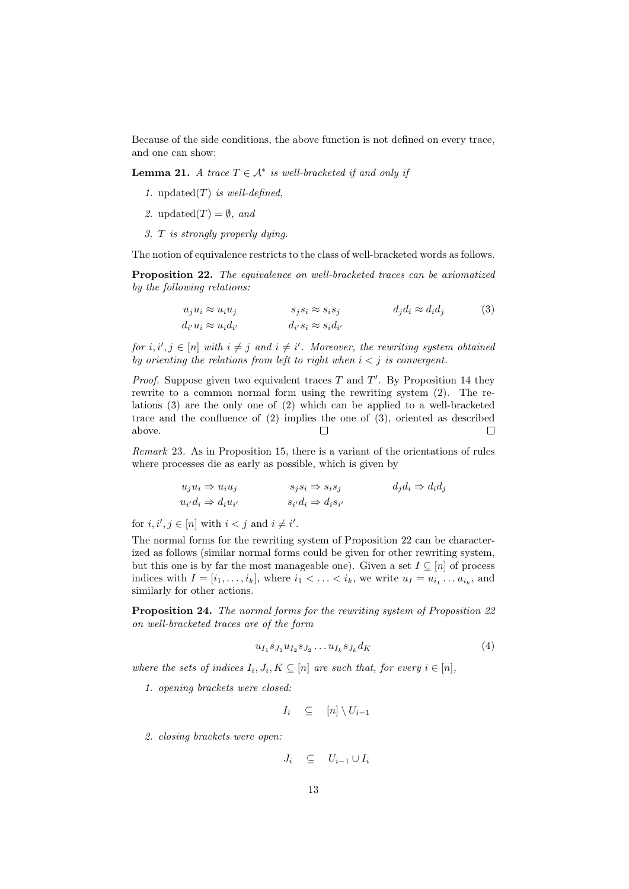Because of the side conditions, the above function is not defined on every trace, and one can show:

**Lemma 21.** A trace  $T \in \mathcal{A}^*$  is well-bracketed if and only if

- 1. updated $(T)$  is well-defined,
- 2. updated $(T) = \emptyset$ , and
- 3. T is strongly properly dying.

The notion of equivalence restricts to the class of well-bracketed words as follows.

**Proposition 22.** The equivalence on well-bracketed traces can be axiomatized by the following relations:

$$
u_j u_i \approx u_i u_j \qquad s_j s_i \approx s_i s_j \qquad d_j d_i \approx d_i d_j \qquad (3)
$$
  

$$
d_{i'} u_i \approx u_i d_{i'}
$$

for  $i, i', j \in [n]$  with  $i \neq j$  and  $i \neq i'$ . Moreover, the rewriting system obtained by orienting the relations from left to right when  $i < j$  is convergent.

*Proof.* Suppose given two equivalent traces  $T$  and  $T'$ . By Proposition 14 they rewrite to a common normal form using the rewriting system (2). The relations (3) are the only one of (2) which can be applied to a well-bracketed trace and the confluence of (2) implies the one of (3), oriented as described above.  $\Box$  $\Box$ 

Remark 23. As in Proposition 15, there is a variant of the orientations of rules where processes die as early as possible, which is given by

$$
u_j u_i \Rightarrow u_i u_j
$$
  
\n
$$
u_i' u_i \Rightarrow d_i u_{i'}
$$
  
\n
$$
s_j s_i \Rightarrow s_i s_j
$$
  
\n
$$
d_j d_i \Rightarrow d_i d_j
$$
  
\n
$$
s_{i'} d_i \Rightarrow d_i u_{i'}
$$

for  $i, i', j \in [n]$  with  $i < j$  and  $i \neq i'$ .

The normal forms for the rewriting system of Proposition 22 can be characterized as follows (similar normal forms could be given for other rewriting system, but this one is by far the most manageable one). Given a set  $I \subseteq [n]$  of process indices with  $I = [i_1, \ldots, i_k]$ , where  $i_1 < \ldots < i_k$ , we write  $u_I = u_{i_1} \ldots u_{i_k}$ , and similarly for other actions.

Proposition 24. The normal forms for the rewriting system of Proposition 22 on well-bracketed traces are of the form

$$
u_{I_1} s_{J_1} u_{I_2} s_{J_2} \dots u_{I_k} s_{J_k} d_K \tag{4}
$$

where the sets of indices  $I_i, J_i, K \subseteq [n]$  are such that, for every  $i \in [n]$ ,

1. opening brackets were closed:

$$
I_i \subseteq [n] \setminus U_{i-1}
$$

2. closing brackets were open:

$$
J_i \subseteq U_{i-1} \cup I_i
$$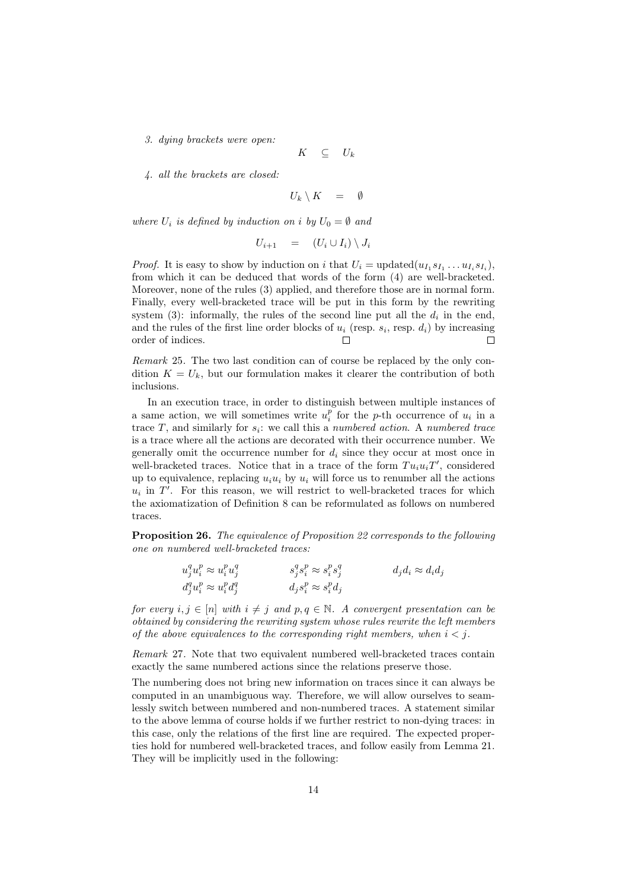3. dying brackets were open:

$$
K \quad \subseteq \quad U_k
$$

4. all the brackets are closed:

$$
U_k \setminus K = \emptyset
$$

where  $U_i$  is defined by induction on i by  $U_0 = \emptyset$  and

$$
U_{i+1} = (U_i \cup I_i) \setminus J_i
$$

*Proof.* It is easy to show by induction on i that  $U_i = \text{updated}(u_{I_1} s_{I_1} \ldots u_{I_i} s_{I_i}),$ from which it can be deduced that words of the form (4) are well-bracketed. Moreover, none of the rules (3) applied, and therefore those are in normal form. Finally, every well-bracketed trace will be put in this form by the rewriting system (3): informally, the rules of the second line put all the  $d_i$  in the end, and the rules of the first line order blocks of  $u_i$  (resp.  $s_i$ , resp.  $d_i$ ) by increasing order of indices.  $\Box$  $\Box$ 

Remark 25. The two last condition can of course be replaced by the only condition  $K = U_k$ , but our formulation makes it clearer the contribution of both inclusions.

In an execution trace, in order to distinguish between multiple instances of a same action, we will sometimes write  $u_i^p$  for the p-th occurrence of  $u_i$  in a trace  $T$ , and similarly for  $s_i$ : we call this a numbered action. A numbered trace is a trace where all the actions are decorated with their occurrence number. We generally omit the occurrence number for  $d_i$  since they occur at most once in well-bracketed traces. Notice that in a trace of the form  $Tu_iu_iT'$ , considered up to equivalence, replacing  $u_i u_i$  by  $u_i$  will force us to renumber all the actions  $u_i$  in  $T'$ . For this reason, we will restrict to well-bracketed traces for which the axiomatization of Definition 8 can be reformulated as follows on numbered traces.

**Proposition 26.** The equivalence of Proposition 22 corresponds to the following one on numbered well-bracketed traces:

$$
u_j^q u_i^p \approx u_i^p u_j^q
$$
  
\n
$$
d_j^q u_i^p \approx u_i^p d_j^q
$$
  
\n
$$
d_j s_i^p \approx s_i^p s_j^q
$$
  
\n
$$
d_j d_i \approx d_i d_j
$$
  
\n
$$
d_j^q u_i^p \approx u_i^p d_j^q
$$

for every  $i, j \in [n]$  with  $i \neq j$  and  $p, q \in \mathbb{N}$ . A convergent presentation can be obtained by considering the rewriting system whose rules rewrite the left members of the above equivalences to the corresponding right members, when  $i < i$ .

Remark 27. Note that two equivalent numbered well-bracketed traces contain exactly the same numbered actions since the relations preserve those.

The numbering does not bring new information on traces since it can always be computed in an unambiguous way. Therefore, we will allow ourselves to seamlessly switch between numbered and non-numbered traces. A statement similar to the above lemma of course holds if we further restrict to non-dying traces: in this case, only the relations of the first line are required. The expected properties hold for numbered well-bracketed traces, and follow easily from Lemma 21. They will be implicitly used in the following: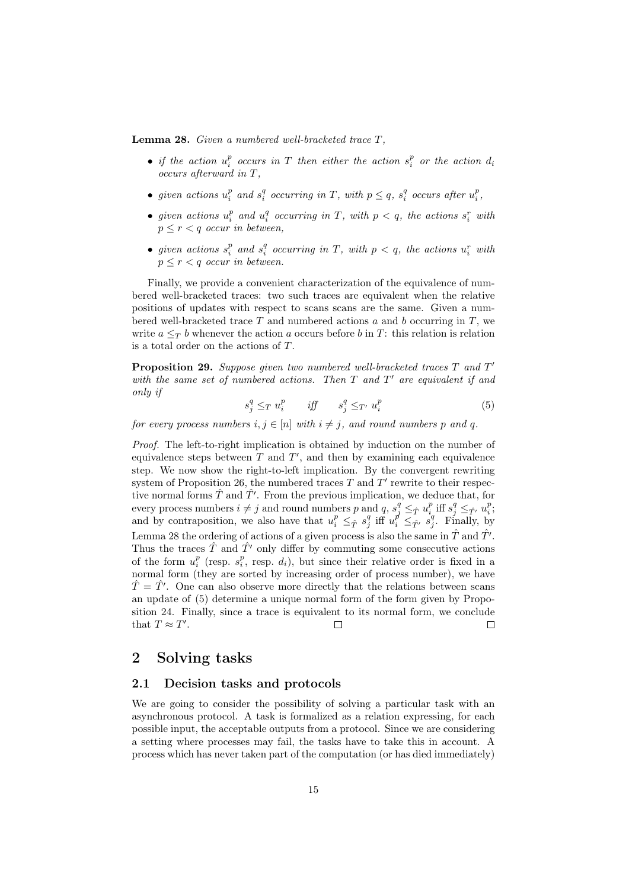Lemma 28. Given a numbered well-bracketed trace T,

- if the action  $u_i^p$  occurs in T then either the action  $s_i^p$  or the action  $d_i$ occurs afterward in T,
- given actions  $u_i^p$  and  $s_i^q$  occurring in T, with  $p \leq q$ ,  $s_i^q$  occurs after  $u_i^p$ ,
- given actions  $u_i^p$  and  $u_i^q$  occurring in T, with  $p < q$ , the actions  $s_i^r$  with  $p \leq r \leq q$  occur in between,
- given actions  $s_i^p$  and  $s_i^q$  occurring in T, with  $p < q$ , the actions  $u_i^r$  with  $p \le r < q$  occur in between.

Finally, we provide a convenient characterization of the equivalence of numbered well-bracketed traces: two such traces are equivalent when the relative positions of updates with respect to scans scans are the same. Given a numbered well-bracketed trace  $T$  and numbered actions  $a$  and  $b$  occurring in  $T$ , we write  $a \leq_T b$  whenever the action a occurs before b in T: this relation is relation is a total order on the actions of T.

**Proposition 29.** Suppose given two numbered well-bracketed traces  $T$  and  $T'$ with the same set of numbered actions. Then  $T$  and  $T'$  are equivalent if and only if

$$
s_j^q \leq_T u_i^p \qquad \text{iff} \qquad s_j^q \leq_{T'} u_i^p \tag{5}
$$

for every process numbers  $i, j \in [n]$  with  $i \neq j$ , and round numbers p and q.

Proof. The left-to-right implication is obtained by induction on the number of equivalence steps between  $T$  and  $T'$ , and then by examining each equivalence step. We now show the right-to-left implication. By the convergent rewriting system of Proposition 26, the numbered traces  $T$  and  $T'$  rewrite to their respective normal forms  $\hat{T}$  and  $\hat{T'}$ . From the previous implication, we deduce that, for every process numbers  $i \neq j$  and round numbers p and q,  $s_j^q \leq_{\hat{T}} u_i^p$  iff  $s_j^q \leq_{\hat{T}} u_i^p$ ; and by contraposition, we also have that  $u_i^p \leq_{\hat{T}} s_j^q$  iff  $u_i^p \leq_{\hat{T}} s_j^q$ . Finally, by Lemma 28 the ordering of actions of a given process is also the same in  $\hat{T}$  and  $\hat{T}'$ . Thus the traces  $\hat{T}$  and  $\hat{T}'$  only differ by commuting some consecutive actions of the form  $u_i^p$  (resp.  $s_i^p$ , resp.  $d_i$ ), but since their relative order is fixed in a normal form (they are sorted by increasing order of process number), we have  $\hat{T} = \hat{T}'$ . One can also observe more directly that the relations between scans an update of (5) determine a unique normal form of the form given by Proposition 24. Finally, since a trace is equivalent to its normal form, we conclude that  $T \approx T'$ .  $\Box$ П

# 2 Solving tasks

#### 2.1 Decision tasks and protocols

We are going to consider the possibility of solving a particular task with an asynchronous protocol. A task is formalized as a relation expressing, for each possible input, the acceptable outputs from a protocol. Since we are considering a setting where processes may fail, the tasks have to take this in account. A process which has never taken part of the computation (or has died immediately)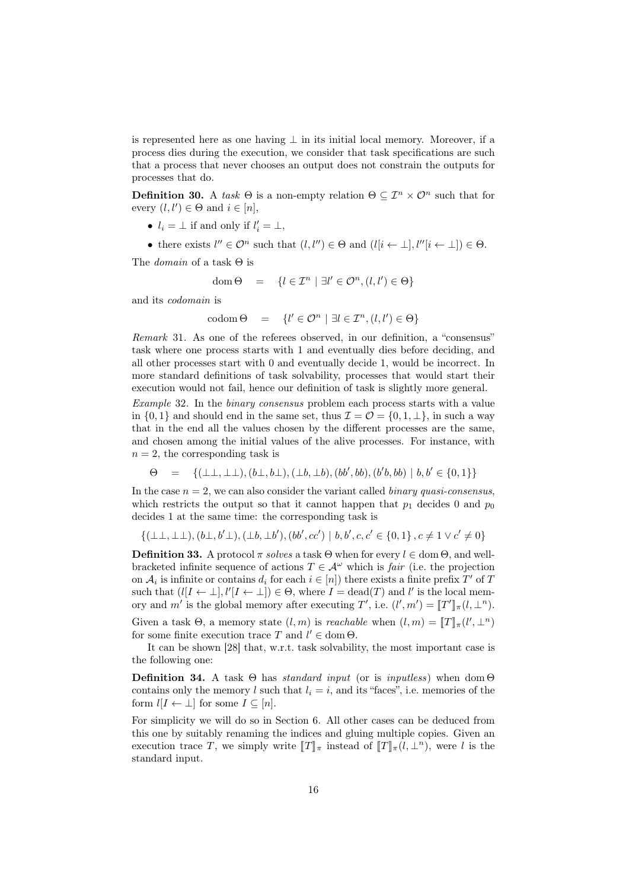is represented here as one having  $\perp$  in its initial local memory. Moreover, if a process dies during the execution, we consider that task specifications are such that a process that never chooses an output does not constrain the outputs for processes that do.

**Definition 30.** A task  $\Theta$  is a non-empty relation  $\Theta \subseteq \mathcal{I}^n \times \mathcal{O}^n$  such that for every  $(l, l') \in \Theta$  and  $i \in [n],$ 

- $l_i = \perp$  if and only if  $l'_i = \perp$ ,
- there exists  $l'' \in \mathcal{O}^n$  such that  $(l, l'') \in \Theta$  and  $(l[i \leftarrow \perp], l''[i \leftarrow \perp]) \in \Theta$ .

The domain of a task Θ is

$$
\text{dom}\,\Theta = \{l \in \mathcal{I}^n \mid \exists l' \in \mathcal{O}^n, (l, l') \in \Theta\}
$$

and its codomain is

codom  $\Theta$  = { $l' \in \mathcal{O}^n$  |  $\exists l \in \mathcal{I}^n, (l, l') \in \Theta$ }

Remark 31. As one of the referees observed, in our definition, a "consensus" task where one process starts with 1 and eventually dies before deciding, and all other processes start with 0 and eventually decide 1, would be incorrect. In more standard definitions of task solvability, processes that would start their execution would not fail, hence our definition of task is slightly more general.

Example 32. In the binary consensus problem each process starts with a value in  $\{0,1\}$  and should end in the same set, thus  $\mathcal{I} = \mathcal{O} = \{0,1,\perp\}$ , in such a way that in the end all the values chosen by the different processes are the same, and chosen among the initial values of the alive processes. For instance, with  $n = 2$ , the corresponding task is

$$
\Theta \quad = \quad \{(\bot \bot, \bot \bot), (b \bot, b \bot), (\bot b, \bot b), (bb', bb), (b'b, bb) \mid b, b' \in \{0, 1\}\}
$$

In the case  $n = 2$ , we can also consider the variant called *binary quasi-consensus*, which restricts the output so that it cannot happen that  $p_1$  decides 0 and  $p_0$ decides 1 at the same time: the corresponding task is

$$
\{(\bot\bot,\bot\bot),(b\bot,b'\bot),(\bot b,\bot b'),(bb',cc')\ |\ b,b',c,c'\in\{0,1\}\,,c\neq 1\lor c'\neq 0\}
$$

**Definition 33.** A protocol  $\pi$  solves a task  $\Theta$  when for every  $l \in \text{dom } \Theta$ , and wellbracketed infinite sequence of actions  $T \in \mathcal{A}^{\omega}$  which is *fair* (i.e. the projection on  $A_i$  is infinite or contains  $d_i$  for each  $i \in [n]$ ) there exists a finite prefix T' of T such that  $(l[I \leftarrow \perp], l'[I \leftarrow \perp]) \in \Theta$ , where  $I = \text{dead}(T)$  and  $l'$  is the local memory and m' is the global memory after executing T', i.e.  $(l', m') = [T']_{\pi}(l, \perp^n)$ .

Given a task  $\Theta$ , a memory state  $(l, m)$  is *reachable* when  $(l, m) = [T]_\pi(l', \perp^n)$ <br>for some finite expection trace  $T$  and  $l' \subset \text{dom } \Theta$ for some finite execution trace T and  $l' \in \text{dom } \Theta$ .

It can be shown [28] that, w.r.t. task solvability, the most important case is the following one:

**Definition 34.** A task  $\Theta$  has *standard input* (or is *inputless*) when dom  $\Theta$ contains only the memory l such that  $l_i = i$ , and its "faces", i.e. memories of the form  $I[I \leftarrow \perp]$  for some  $I \subseteq [n]$ .

For simplicity we will do so in Section 6. All other cases can be deduced from this one by suitably renaming the indices and gluing multiple copies. Given an execution trace T, we simply write  $TT\pi$  instead of  $TT\pi(l, \perp^n)$ , were l is the standard input.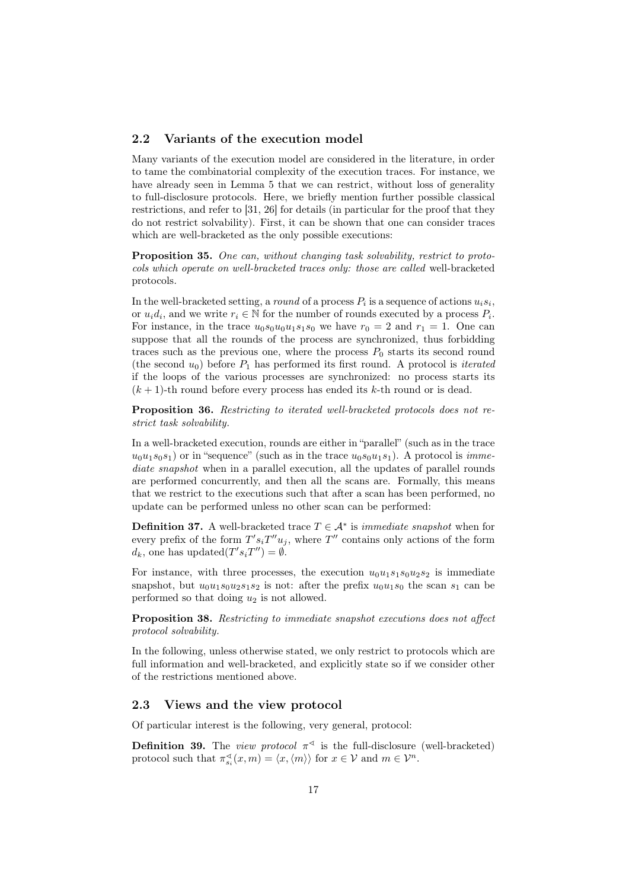## 2.2 Variants of the execution model

Many variants of the execution model are considered in the literature, in order to tame the combinatorial complexity of the execution traces. For instance, we have already seen in Lemma 5 that we can restrict, without loss of generality to full-disclosure protocols. Here, we briefly mention further possible classical restrictions, and refer to [31, 26] for details (in particular for the proof that they do not restrict solvability). First, it can be shown that one can consider traces which are well-bracketed as the only possible executions:

Proposition 35. One can, without changing task solvability, restrict to protocols which operate on well-bracketed traces only: those are called well-bracketed protocols.

In the well-bracketed setting, a *round* of a process  $P_i$  is a sequence of actions  $u_i s_i$ , or  $u_i d_i$ , and we write  $r_i \in \mathbb{N}$  for the number of rounds executed by a process  $P_i$ . For instance, in the trace  $u_0s_0u_0u_1s_1s_0$  we have  $r_0 = 2$  and  $r_1 = 1$ . One can suppose that all the rounds of the process are synchronized, thus forbidding traces such as the previous one, where the process  $P_0$  starts its second round (the second  $u_0$ ) before  $P_1$  has performed its first round. A protocol is *iterated* if the loops of the various processes are synchronized: no process starts its  $(k + 1)$ -th round before every process has ended its k-th round or is dead.

Proposition 36. Restricting to iterated well-bracketed protocols does not restrict task solvability.

In a well-bracketed execution, rounds are either in "parallel" (such as in the trace  $u_0u_1s_0s_1$  or in "sequence" (such as in the trace  $u_0s_0u_1s_1$ ). A protocol is *imme*diate snapshot when in a parallel execution, all the updates of parallel rounds are performed concurrently, and then all the scans are. Formally, this means that we restrict to the executions such that after a scan has been performed, no update can be performed unless no other scan can be performed:

**Definition 37.** A well-bracketed trace  $T \in A^*$  is *immediate snapshot* when for every prefix of the form  $T's_iT''u_j$ , where  $T''$  contains only actions of the form  $d_k$ , one has updated $(T's_iT'') = \emptyset$ .

For instance, with three processes, the execution  $u_0u_1s_1s_0u_2s_2$  is immediate snapshot, but  $u_0u_1s_0u_2s_1s_2$  is not: after the prefix  $u_0u_1s_0$  the scan  $s_1$  can be performed so that doing  $u_2$  is not allowed.

Proposition 38. Restricting to immediate snapshot executions does not affect protocol solvability.

In the following, unless otherwise stated, we only restrict to protocols which are full information and well-bracketed, and explicitly state so if we consider other of the restrictions mentioned above.

## 2.3 Views and the view protocol

Of particular interest is the following, very general, protocol:

**Definition 39.** The *view protocol*  $\pi^{\le}$  is the full-disclosure (well-bracketed) protocol such that  $\pi_{s_i}^{\prec}(x, m) = \langle x, \langle m \rangle \rangle$  for  $x \in \mathcal{V}$  and  $m \in \mathcal{V}^n$ .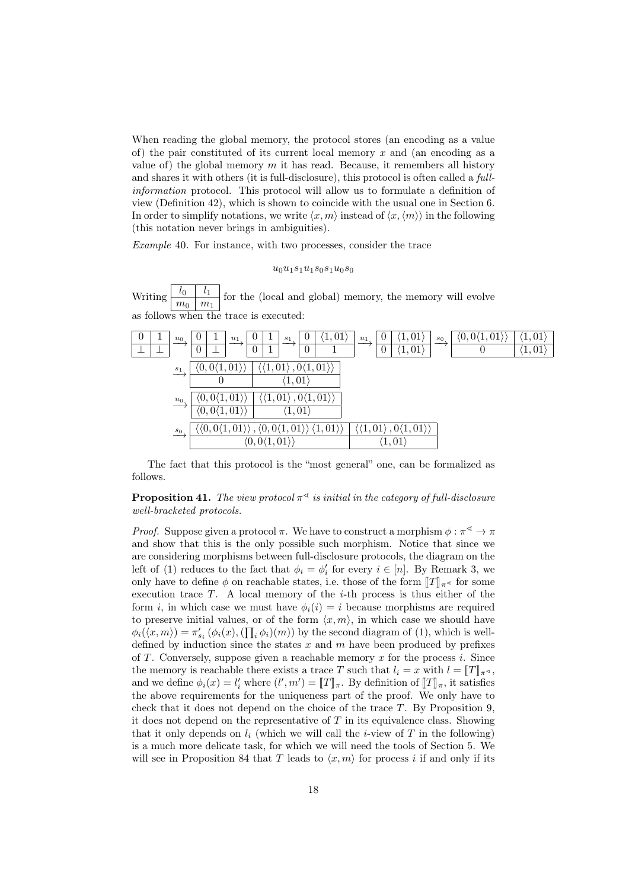When reading the global memory, the protocol stores (an encoding as a value of) the pair constituted of its current local memory  $x$  and (an encoding as a value of) the global memory  $m$  it has read. Because, it remembers all history and shares it with others (it is full-disclosure), this protocol is often called a *full*information protocol. This protocol will allow us to formulate a definition of view (Definition 42), which is shown to coincide with the usual one in Section 6. In order to simplify notations, we write  $\langle x, m \rangle$  instead of  $\langle x, \langle m \rangle$  in the following (this notation never brings in ambiguities).

Example 40. For instance, with two processes, consider the trace

 $u_0u_1s_1u_1s_0s_1u_0s_0$ 

Writing  $\frac{v_0}{m_0}$  $m_1$ for the (local and global) memory, the memory will evolve as follows when the trace is executed:



The fact that this protocol is the "most general" one, can be formalized as follows.

**Proposition 41.** The view protocol  $\pi^{\leq}$  is initial in the category of full-disclosure well-bracketed protocols.

*Proof.* Suppose given a protocol  $\pi$ . We have to construct a morphism  $\phi : \pi^{\le} \to \pi$ and show that this is the only possible such morphism. Notice that since we are considering morphisms between full-disclosure protocols, the diagram on the left of (1) reduces to the fact that  $\phi_i = \phi'_i$  for every  $i \in [n]$ . By Remark 3, we only have to define  $\phi$  on reachable states, i.e. those of the form  $\llbracket T \rrbracket_{\pi^{\preccurlyeq}}$  for some execution trace  $T$ . A local memory of the *i*-th process is thus either of the form i, in which case we must have  $\phi_i(i) = i$  because morphisms are required to preserve initial values, or of the form  $\langle x, m \rangle$ , in which case we should have  $\phi_i(\langle x,m\rangle) = \pi'_{s_i}(\phi_i(x),(\prod_i \phi_i)(m))$  by the second diagram of (1), which is welldefined by induction since the states  $x$  and  $m$  have been produced by prefixes of T. Conversely, suppose given a reachable memory  $x$  for the process  $i$ . Since the memory is reachable there exists a trace T such that  $l_i = x$  with  $l = \|T\|_{\pi^{\leq}}$ , and we define  $\phi_i(x) = l'_i$  where  $(l', m') = [T]_\pi$ . By definition of  $[T]_\pi$ , it satisfies<br>the above requirements for the uniqueness part of the proof. We only have to the above requirements for the uniqueness part of the proof. We only have to check that it does not depend on the choice of the trace T. By Proposition 9, it does not depend on the representative of  $T$  in its equivalence class. Showing that it only depends on  $l_i$  (which we will call the *i*-view of T in the following) is a much more delicate task, for which we will need the tools of Section 5. We will see in Proposition 84 that T leads to  $\langle x, m \rangle$  for process i if and only if its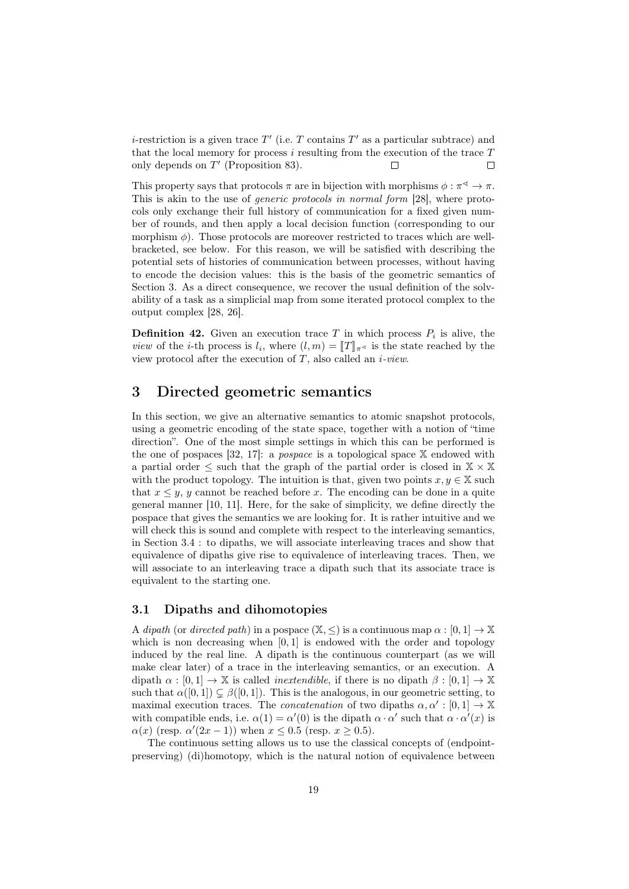*i*-restriction is a given trace  $T'$  (i.e. T contains  $T'$  as a particular subtrace) and that the local memory for process  $i$  resulting from the execution of the trace  $T$ only depends on  $T'$  (Proposition 83).  $\Box$  $\Box$ 

This property says that protocols  $\pi$  are in bijection with morphisms  $\phi : \pi^{\le} \to \pi$ . This is akin to the use of generic protocols in normal form [28], where protocols only exchange their full history of communication for a fixed given number of rounds, and then apply a local decision function (corresponding to our morphism  $\phi$ ). Those protocols are moreover restricted to traces which are wellbracketed, see below. For this reason, we will be satisfied with describing the potential sets of histories of communication between processes, without having to encode the decision values: this is the basis of the geometric semantics of Section 3. As a direct consequence, we recover the usual definition of the solvability of a task as a simplicial map from some iterated protocol complex to the output complex [28, 26].

**Definition 42.** Given an execution trace T in which process  $P_i$  is alive, the *view* of the *i*-th process is  $l_i$ , where  $(l, m) = [T]_{\pi^{\le i}}$  is the state reached by the view view protocol after the execution of  $T$ , also called an *i-view*.

# 3 Directed geometric semantics

In this section, we give an alternative semantics to atomic snapshot protocols, using a geometric encoding of the state space, together with a notion of "time direction". One of the most simple settings in which this can be performed is the one of pospaces [32, 17]: a *pospace* is a topological space  $X$  endowed with a partial order  $\leq$  such that the graph of the partial order is closed in  $\mathbb{X} \times \mathbb{X}$ with the product topology. The intuition is that, given two points  $x, y \in \mathbb{X}$  such that  $x \leq y$ , y cannot be reached before x. The encoding can be done in a quite general manner [10, 11]. Here, for the sake of simplicity, we define directly the pospace that gives the semantics we are looking for. It is rather intuitive and we will check this is sound and complete with respect to the interleaving semantics, in Section 3.4 : to dipaths, we will associate interleaving traces and show that equivalence of dipaths give rise to equivalence of interleaving traces. Then, we will associate to an interleaving trace a dipath such that its associate trace is equivalent to the starting one.

## 3.1 Dipaths and dihomotopies

A dipath (or directed path) in a pospace  $(\mathbb{X}, \leq)$  is a continuous map  $\alpha : [0, 1] \to \mathbb{X}$ which is non decreasing when  $[0, 1]$  is endowed with the order and topology induced by the real line. A dipath is the continuous counterpart (as we will make clear later) of a trace in the interleaving semantics, or an execution. A dipath  $\alpha : [0, 1] \to \mathbb{X}$  is called *inextendible*, if there is no dipath  $\beta : [0, 1] \to \mathbb{X}$ such that  $\alpha([0,1]) \subset \beta([0,1])$ . This is the analogous, in our geometric setting, to maximal execution traces. The *concatenation* of two dipaths  $\alpha, \alpha' : [0, 1] \rightarrow \mathbb{X}$ with compatible ends, i.e.  $\alpha(1) = \alpha'(0)$  is the dipath  $\alpha \cdot \alpha'$  such that  $\alpha \cdot \alpha'(x)$  is  $\alpha(x)$  (resp.  $\alpha'(2x-1)$ ) when  $x \le 0.5$  (resp.  $x \ge 0.5$ ).

The continuous setting allows us to use the classical concepts of (endpointpreserving) (di)homotopy, which is the natural notion of equivalence between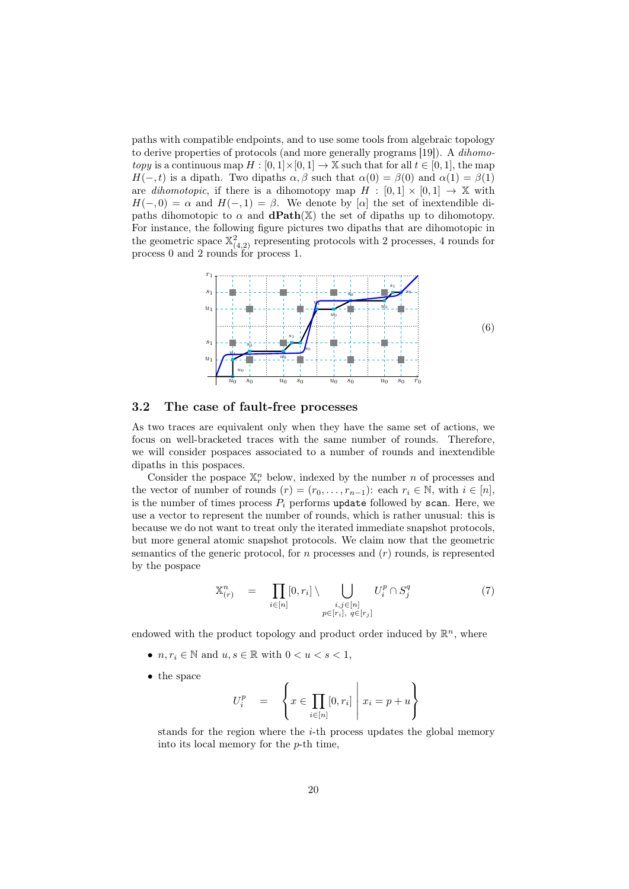paths with compatible endpoints, and to use some tools from algebraic topology to derive properties of protocols (and more generally programs [19]). A dihomotopy is a continuous map  $H : [0, 1] \times [0, 1] \rightarrow \mathbb{X}$  such that for all  $t \in [0, 1]$ , the map  $H(-, t)$  is a dipath. Two dipaths  $\alpha, \beta$  such that  $\alpha(0) = \beta(0)$  and  $\alpha(1) = \beta(1)$ are *dihomotopic*, if there is a dihomotopy map  $H : [0, 1] \times [0, 1] \rightarrow \mathbb{X}$  with  $H(-,0) = \alpha$  and  $H(-,1) = \beta$ . We denote by [ $\alpha$ ] the set of inextendible dipaths dihomotopic to  $\alpha$  and  $\mathbf{dPath}(\mathbb{X})$  the set of dipaths up to dihomotopy. For instance, the following figure pictures two dipaths that are dihomotopic in the geometric space  $\mathbb{X}_{(4,2)}^2$  representing protocols with 2 processes, 4 rounds for process 0 and 2 rounds for process 1.



#### 3.2 The case of fault-free processes

As two traces are equivalent only when they have the same set of actions, we focus on well-bracketed traces with the same number of rounds. Therefore, we will consider pospaces associated to a number of rounds and inextendible dipaths in this pospaces.

Consider the pospace  $\mathbb{X}_r^n$  below, indexed by the number n of processes and the vector of number of rounds  $(r) = (r_0, \ldots, r_{n-1})$ : each  $r_i \in \mathbb{N}$ , with  $i \in [n]$ , is the number of times process  $P_i$  performs update followed by scan. Here, we use a vector to represent the number of rounds, which is rather unusual: this is because we do not want to treat only the iterated immediate snapshot protocols, but more general atomic snapshot protocols. We claim now that the geometric semantics of the generic protocol, for n processes and  $(r)$  rounds, is represented by the pospace

$$
\mathbb{X}_{(r)}^n = \prod_{i \in [n]} [0, r_i] \setminus \bigcup_{\substack{i,j \in [n] \\ p \in [r_i], \ q \in [r_j]}} U_i^p \cap S_j^q \tag{7}
$$

endowed with the product topology and product order induced by  $\mathbb{R}^n$ , where

- $n, r_i \in \mathbb{N}$  and  $u, s \in \mathbb{R}$  with  $0 < u < s < 1$ ,
- the space

$$
U_i^p = \left\{ x \in \prod_{i \in [n]} [0, r_i] \middle| x_i = p + u \right\}
$$

stands for the region where the  $i$ -th process updates the global memory into its local memory for the p-th time,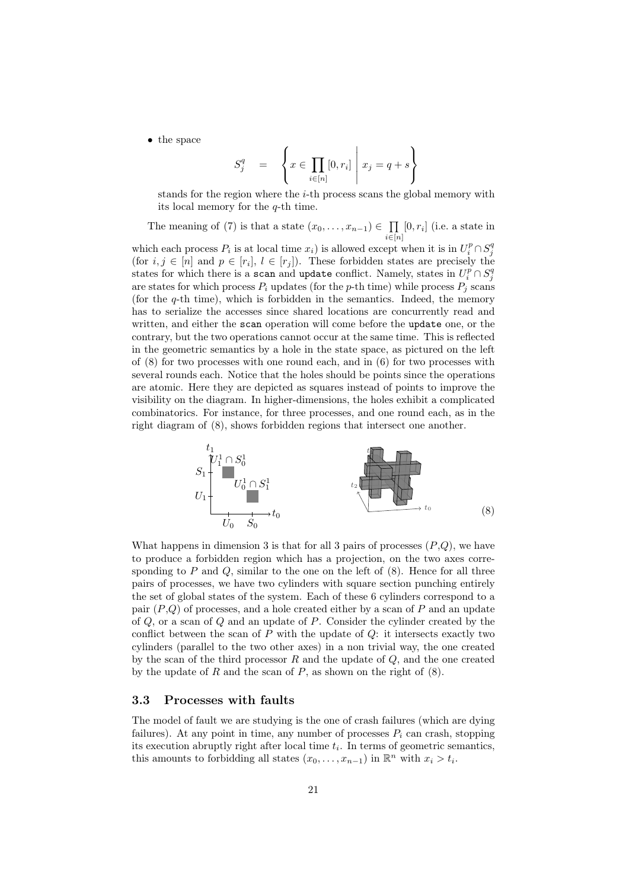• the space

$$
S_j^q = \left\{ x \in \prod_{i \in [n]} [0, r_i] \middle| x_j = q + s \right\}
$$

stands for the region where the i-th process scans the global memory with its local memory for the q-th time.

The meaning of (7) is that a state  $(x_0, \ldots, x_{n-1}) \in \prod_{i=1}^{n}$  $\prod_{i\in[n]} [0,r_i]$  (i.e. a state in

which each process  $P_i$  is at local time  $x_i$ ) is allowed except when it is in  $U_i^p \cap S_j^q$ (for  $i, j \in [n]$  and  $p \in [r_i], l \in [r_j]$ ). These forbidden states are precisely the states for which there is a scan and update conflict. Namely, states in  $U_i^p \cap S_j^q$ are states for which process  $P_i$  updates (for the p-th time) while process  $P_j$  scans (for the  $q$ -th time), which is forbidden in the semantics. Indeed, the memory has to serialize the accesses since shared locations are concurrently read and written, and either the scan operation will come before the update one, or the contrary, but the two operations cannot occur at the same time. This is reflected in the geometric semantics by a hole in the state space, as pictured on the left of (8) for two processes with one round each, and in (6) for two processes with several rounds each. Notice that the holes should be points since the operations are atomic. Here they are depicted as squares instead of points to improve the visibility on the diagram. In higher-dimensions, the holes exhibit a complicated combinatorics. For instance, for three processes, and one round each, as in the right diagram of (8), shows forbidden regions that intersect one another.



What happens in dimension 3 is that for all 3 pairs of processes  $(P,Q)$ , we have to produce a forbidden region which has a projection, on the two axes corresponding to  $P$  and  $Q$ , similar to the one on the left of  $(8)$ . Hence for all three pairs of processes, we have two cylinders with square section punching entirely the set of global states of the system. Each of these 6 cylinders correspond to a pair  $(P,Q)$  of processes, and a hole created either by a scan of P and an update of Q, or a scan of Q and an update of P. Consider the cylinder created by the conflict between the scan of  $P$  with the update of  $Q$ : it intersects exactly two cylinders (parallel to the two other axes) in a non trivial way, the one created by the scan of the third processor  $R$  and the update of  $Q$ , and the one created by the update of R and the scan of P, as shown on the right of  $(8)$ .

# 3.3 Processes with faults

The model of fault we are studying is the one of crash failures (which are dying failures). At any point in time, any number of processes  $P_i$  can crash, stopping its execution abruptly right after local time  $t_i$ . In terms of geometric semantics, this amounts to forbidding all states  $(x_0, \ldots, x_{n-1})$  in  $\mathbb{R}^n$  with  $x_i > t_i$ .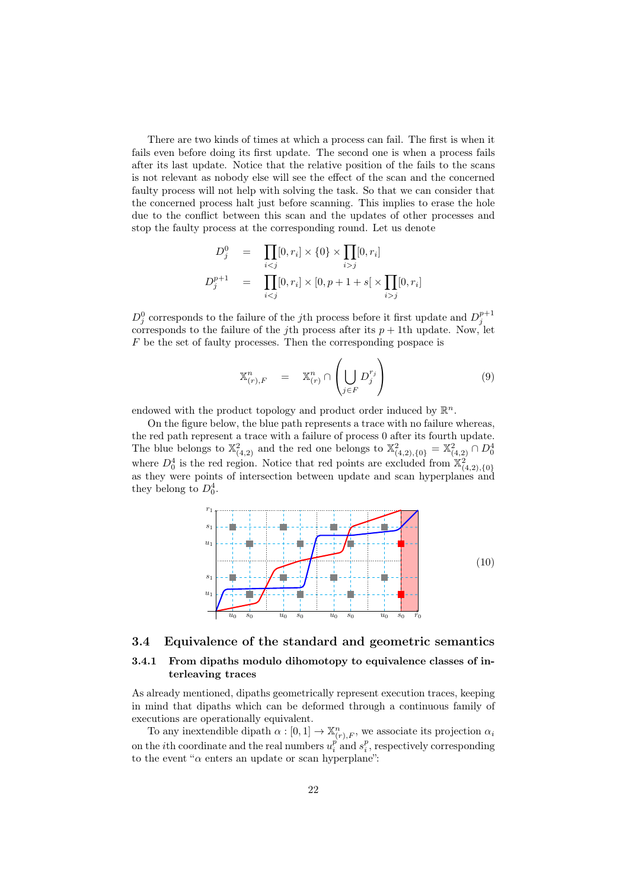There are two kinds of times at which a process can fail. The first is when it fails even before doing its first update. The second one is when a process fails after its last update. Notice that the relative position of the fails to the scans is not relevant as nobody else will see the effect of the scan and the concerned faulty process will not help with solving the task. So that we can consider that the concerned process halt just before scanning. This implies to erase the hole due to the conflict between this scan and the updates of other processes and stop the faulty process at the corresponding round. Let us denote

$$
D_j^0 = \prod_{i < j} [0, r_i] \times \{0\} \times \prod_{i > j} [0, r_i]
$$
\n
$$
D_j^{p+1} = \prod_{i < j} [0, r_i] \times [0, p+1+s] \times \prod_{i > j} [0, r_i]
$$

 $D_j^0$  corresponds to the failure of the *j*th process before it first update and  $D_j^{p+1}$ corresponds to the failure of the jth process after its  $p + 1$ th update. Now, let  $F$  be the set of faulty processes. Then the corresponding pospace is

$$
\mathbb{X}_{(r),F}^n = \mathbb{X}_{(r)}^n \cap \left( \bigcup_{j \in F} D_j^{r_j} \right) \tag{9}
$$

endowed with the product topology and product order induced by  $\mathbb{R}^n$ .

On the figure below, the blue path represents a trace with no failure whereas, the red path represent a trace with a failure of process 0 after its fourth update. The blue belongs to  $\mathbb{X}_{(4,2)}^2$  and the red one belongs to  $\mathbb{X}_{(4,2),\{0\}}^2 = \mathbb{X}_{(4,2)}^2 \cap D_0^4$ where  $D_0^4$  is the red region. Notice that red points are excluded from  $\mathbb{X}_{(4,2),\{0\}}^2$ as they were points of intersection between update and scan hyperplanes and they belong to  $D_0^4$ .



#### 3.4 Equivalence of the standard and geometric semantics

#### 3.4.1 From dipaths modulo dihomotopy to equivalence classes of interleaving traces

As already mentioned, dipaths geometrically represent execution traces, keeping in mind that dipaths which can be deformed through a continuous family of executions are operationally equivalent.

To any inextendible dipath  $\alpha : [0,1] \to \mathbb{X}_{(r),F}^n$ , we associate its projection  $\alpha_i$ on the *i*th coordinate and the real numbers  $u_i^p$  and  $s_i^p$ , respectively corresponding to the event " $\alpha$  enters an update or scan hyperplane":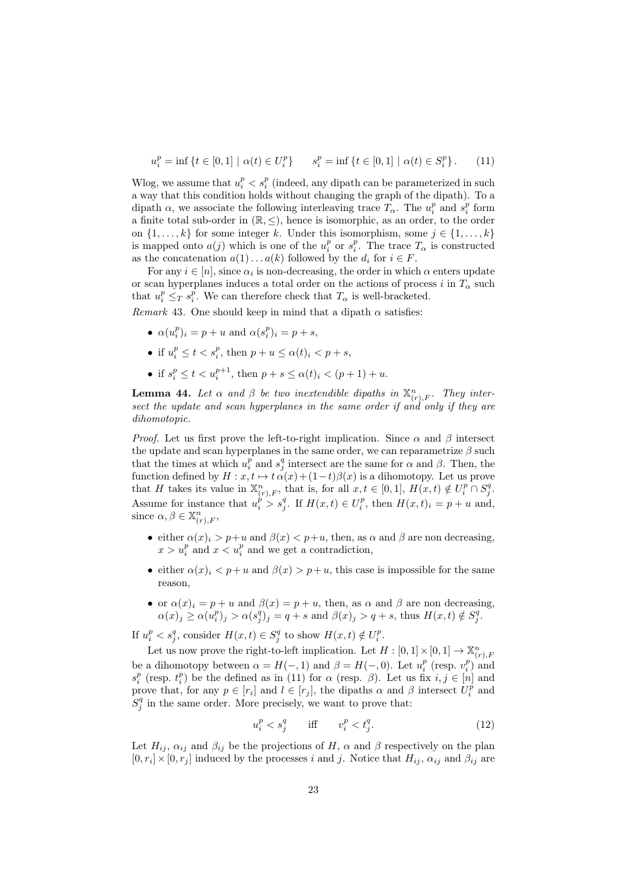$$
u_i^p = \inf \{ t \in [0, 1] \mid \alpha(t) \in U_i^p \} \qquad s_i^p = \inf \{ t \in [0, 1] \mid \alpha(t) \in S_i^p \}. \tag{11}
$$

Wlog, we assume that  $u_i^p < s_i^p$  (indeed, any dipath can be parameterized in such a way that this condition holds without changing the graph of the dipath). To a dipath  $\alpha$ , we associate the following interleaving trace  $T_{\alpha}$ . The  $u_i^p$  and  $s_i^p$  form a finite total sub-order in  $(\mathbb{R}, \leq)$ , hence is isomorphic, as an order, to the order on  $\{1, \ldots, k\}$  for some integer k. Under this isomorphism, some  $j \in \{1, \ldots, k\}$ is mapped onto  $a(j)$  which is one of the  $u_i^p$  or  $s_i^p$ . The trace  $T_\alpha$  is constructed as the concatenation  $a(1) \dots a(k)$  followed by the  $d_i$  for  $i \in F$ .

For any  $i \in [n]$ , since  $\alpha_i$  is non-decreasing, the order in which  $\alpha$  enters update or scan hyperplanes induces a total order on the actions of process i in  $T_{\alpha}$  such that  $u_i^p \leq_T s_i^p$ . We can therefore check that  $T_\alpha$  is well-bracketed.

Remark 43. One should keep in mind that a dipath  $\alpha$  satisfies:

- $\alpha(u_i^p)_i = p + u$  and  $\alpha(s_i^p)_i = p + s$ ,
- if  $u_i^p \le t < s_i^p$ , then  $p + u \le \alpha(t)_i < p + s$ ,
- if  $s_i^p \le t < u_i^{p+1}$ , then  $p + s \le \alpha(t)_i < (p+1) + u$ .

**Lemma 44.** Let  $\alpha$  and  $\beta$  be two inextendible dipaths in  $\mathbb{X}_{(r),F}^n$ . They intersect the update and scan hyperplanes in the same order if and only if they are dihomotopic.

*Proof.* Let us first prove the left-to-right implication. Since  $\alpha$  and  $\beta$  intersect the update and scan hyperplanes in the same order, we can reparametrize  $\beta$  such that the times at which  $u_i^p$  and  $s_j^q$  intersect are the same for  $\alpha$  and  $\beta$ . Then, the function defined by  $H : x, t \mapsto t \alpha(x) + (1-t)\beta(x)$  is a dihomotopy. Let us prove that H takes its value in  $\mathbb{X}_{(r),F}^n$ , that is, for all  $x, t \in [0,1]$ ,  $H(x,t) \notin U_i^p \cap S_j^q$ . Assume for instance that  $u_i^p > s_j^q$ . If  $H(x,t) \in U_i^p$ , then  $H(x,t)_i = p + u$  and, since  $\alpha, \beta \in \mathbb{X}_{(r),F}^n$ ,

- either  $\alpha(x)_i > p+u$  and  $\beta(x) < p+u$ , then, as  $\alpha$  and  $\beta$  are non decreasing,  $x > u_i^p$  and  $x < u_i^p$  and we get a contradiction,
- either  $\alpha(x)_i < p+u$  and  $\beta(x) > p+u$ , this case is impossible for the same reason,
- or  $\alpha(x)_i = p + u$  and  $\beta(x) = p + u$ , then, as  $\alpha$  and  $\beta$  are non decreasing,  $\alpha(x)_j \geq \alpha(u_i^p)_j > \alpha(s_j^q)_j = q + s$  and  $\beta(x)_j > q + s$ , thus  $H(x, t) \notin S_j^q$ .

If  $u_i^p < s_j^q$ , consider  $H(x,t) \in S_j^q$  to show  $H(x,t) \notin U_i^p$ .

Let us now prove the right-to-left implication. Let  $H : [0,1] \times [0,1] \to \mathbb{X}_{(r),F}^n$ be a dihomotopy between  $\alpha = H(-,1)$  and  $\beta = H(-,0)$ . Let  $u_i^p$  (resp.  $v_i^p$ ) and  $s_i^p$  (resp.  $t_i^p$ ) be the defined as in (11) for  $\alpha$  (resp.  $\beta$ ). Let us fix  $i, j \in [n]$  and prove that, for any  $p \in [r_i]$  and  $l \in [r_j]$ , the dipaths  $\alpha$  and  $\beta$  intersect  $U_i^{\hat{p}}$  and  $S_j^q$  in the same order. More precisely, we want to prove that:

$$
u_i^p < s_j^q \qquad \text{iff} \qquad v_i^p < t_j^q. \tag{12}
$$

Let  $H_{ij}$ ,  $\alpha_{ij}$  and  $\beta_{ij}$  be the projections of H,  $\alpha$  and  $\beta$  respectively on the plan  $[0, r_i] \times [0, r_j]$  induced by the processes i and j. Notice that  $H_{ij}$ ,  $\alpha_{ij}$  and  $\beta_{ij}$  are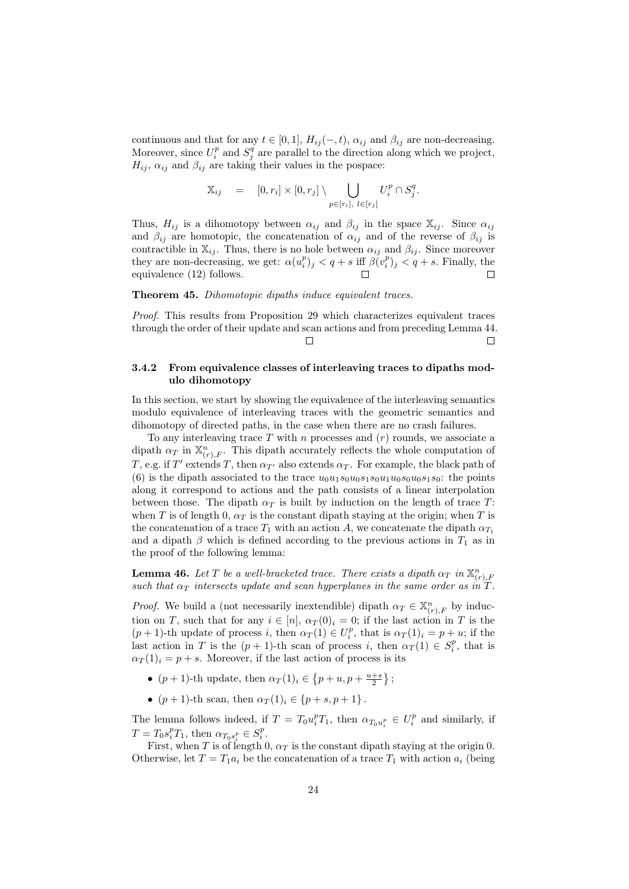continuous and that for any  $t \in [0, 1]$ ,  $H_{ij}(-, t)$ ,  $\alpha_{ij}$  and  $\beta_{ij}$  are non-decreasing. Moreover, since  $U_i^p$  and  $S_j^q$  are parallel to the direction along which we project,  $H_{ij}$ ,  $\alpha_{ij}$  and  $\beta_{ij}$  are taking their values in the pospace:

$$
\mathbb{X}_{ij} = [0, r_i] \times [0, r_j] \setminus \bigcup_{p \in [r_i], l \in [r_j]} U_i^p \cap S_j^q.
$$

Thus,  $H_{ij}$  is a dihomotopy between  $\alpha_{ij}$  and  $\beta_{ij}$  in the space  $\mathbb{X}_{ij}$ . Since  $\alpha_{ij}$ and  $\beta_{ij}$  are homotopic, the concatenation of  $\alpha_{ij}$  and of the reverse of  $\beta_{ij}$  is contractible in  $\mathbb{X}_{ij}$ . Thus, there is no hole between  $\alpha_{ij}$  and  $\beta_{ij}$ . Since moreover they are non-decreasing, we get:  $\alpha(u_i^p)_j < q + s$  iff  $\beta(v_i^p)_j < q + s$ . Finally, the equivalence (12) follows. Г

Theorem 45. Dihomotopic dipaths induce equivalent traces.

Proof. This results from Proposition 29 which characterizes equivalent traces through the order of their update and scan actions and from preceding Lemma 44.  $\Box$  $\Box$ 

## 3.4.2 From equivalence classes of interleaving traces to dipaths modulo dihomotopy

In this section, we start by showing the equivalence of the interleaving semantics modulo equivalence of interleaving traces with the geometric semantics and dihomotopy of directed paths, in the case when there are no crash failures.

To any interleaving trace T with n processes and  $(r)$  rounds, we associate a dipath  $\alpha_T$  in  $\mathbb{X}_{(r),F}^n$ . This dipath accurately reflects the whole computation of T, e.g. if  $T'$  extends T, then  $\alpha_{T'}$  also extends  $\alpha_T$ . For example, the black path of (6) is the dipath associated to the trace  $u_0u_1s_0u_0s_1s_0u_1u_0s_0u_0s_1s_0$ : the points along it correspond to actions and the path consists of a linear interpolation between those. The dipath  $\alpha_T$  is built by induction on the length of trace T: when T is of length 0,  $\alpha_T$  is the constant dipath staying at the origin; when T is the concatenation of a trace  $T_1$  with an action A, we concatenate the dipath  $\alpha_{T_1}$ and a dipath  $\beta$  which is defined according to the previous actions in  $T_1$  as in the proof of the following lemma:

**Lemma 46.** Let T be a well-bracketed trace. There exists a dipath  $\alpha_T$  in  $\mathbb{X}_{(r),F}^n$  such that  $\alpha_T$  intersects update and scan hyperplanes in the same order as in T.

*Proof.* We build a (not necessarily inextendible) dipath  $\alpha_T \in \mathbb{X}_{(r),F}^n$  by induction on T, such that for any  $i \in [n]$ ,  $\alpha_T(0)_i = 0$ ; if the last action in T is the  $(p+1)$ -th update of process i, then  $\alpha_T(1) \in U_i^p$ , that is  $\alpha_T(1)_i = p + u$ ; if the last action in T is the  $(p + 1)$ -th scan of process i, then  $\alpha_T(1) \in S_i^p$ , that is  $\alpha_T(1)_i = p + s$ . Moreover, if the last action of process is its

- $(p+1)$ -th update, then  $\alpha_T(1)_i \in \{p+u, p+\frac{u+s}{2}\}\; ;$
- $(p+1)$ -th scan, then  $\alpha_T(1)_i \in \{p+s, p+1\}$ .

The lemma follows indeed, if  $T = T_0 u_i^p T_1$ , then  $\alpha_{T_0 u_i^p} \in U_i^p$  and similarly, if  $T = T_0 s_i^p T_1$ , then  $\alpha_{T_0 s_i^p} \in S_i^p$ .

First, when T is of length 0,  $\alpha_T$  is the constant dipath staying at the origin 0. Otherwise, let  $T = T_1 a_i$  be the concatenation of a trace  $T_1$  with action  $a_i$  (being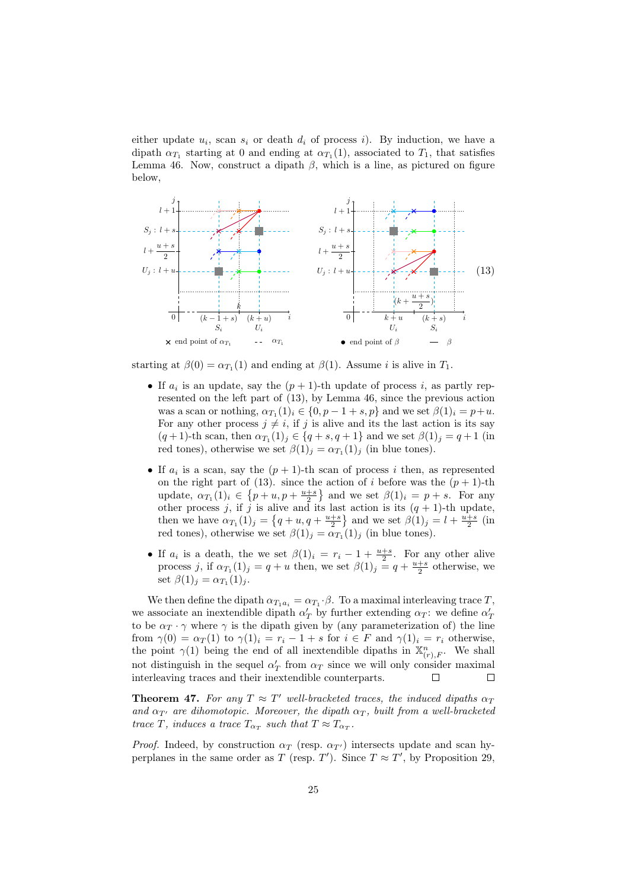either update  $u_i$ , scan  $s_i$  or death  $d_i$  of process i). By induction, we have a dipath  $\alpha_{T_1}$  starting at 0 and ending at  $\alpha_{T_1}(1)$ , associated to  $T_1$ , that satisfies Lemma 46. Now, construct a dipath  $\beta$ , which is a line, as pictured on figure below,



starting at  $\beta(0) = \alpha_{T_1}(1)$  and ending at  $\beta(1)$ . Assume *i* is alive in  $T_1$ .

- If  $a_i$  is an update, say the  $(p + 1)$ -th update of process i, as partly represented on the left part of (13), by Lemma 46, since the previous action was a scan or nothing,  $\alpha_{T_1}(1)_i \in \{0, p-1+s, p\}$  and we set  $\beta(1)_i = p+u$ . For any other process  $j \neq i$ , if j is alive and its the last action is its say  $(q+1)$ -th scan, then  $\alpha_{T_1}(1)_j \in \{q + s, q + 1\}$  and we set  $\beta(1)_j = q + 1$  (in red tones), otherwise we set  $\beta(1)_j = \alpha_{T_1}(1)_j$  (in blue tones).
- If  $a_i$  is a scan, say the  $(p + 1)$ -th scan of process i then, as represented on the right part of (13). since the action of i before was the  $(p+1)$ -th update,  $\alpha_{T_1}(1)_i \in \{p+u, p+\frac{u+s}{2}\}\$ and we set  $\beta(1)_i = p+s$ . For any other process j, if j is alive and its last action is its  $(q + 1)$ -th update, then we have  $\alpha_{T_1}(1)_j = \left\{q + u, q + \frac{u+s}{2}\right\}$  and we set  $\beta(1)_j = l + \frac{u+s}{2}$  (in red tones), otherwise we set  $\beta(1)_j = \alpha_{T_1}(1)_j$  (in blue tones).
- If  $a_i$  is a death, the we set  $\beta(1)_i = r_i 1 + \frac{u+s}{2}$ . For any other alive process j, if  $\alpha_{T_1}(1)_j = q + u$  then, we set  $\beta(1)_j = q + \frac{u+s}{2}$  otherwise, we set  $\beta(1)_j = \alpha_{T_1}(1)_j$ .

We then define the dipath  $\alpha_{T_1 a_i} = \alpha_{T_1} \cdot \beta$ . To a maximal interleaving trace T, we associate an inextendible dipath  $\alpha_T'$  by further extending  $\alpha_T\colon$  we define  $\alpha_T'$ to be  $\alpha_T \cdot \gamma$  where  $\gamma$  is the dipath given by (any parameterization of) the line from  $\gamma(0) = \alpha_T(1)$  to  $\gamma(1)_i = r_i - 1 + s$  for  $i \in F$  and  $\gamma(1)_i = r_i$  otherwise, the point  $\gamma(1)$  being the end of all inextendible dipaths in  $\mathbb{X}_{(r),F}^n$ . We shall not distinguish in the sequel  $\alpha'_T$  from  $\alpha_T$  since we will only consider maximal interleaving traces and their inextendible counterparts. Г

**Theorem 47.** For any  $T \approx T'$  well-bracketed traces, the induced dipaths  $\alpha_T$ and  $\alpha_{T'}$  are dihomotopic. Moreover, the dipath  $\alpha_T$ , built from a well-bracketed trace T, induces a trace  $T_{\alpha_T}$  such that  $T \approx T_{\alpha_T}$ .

*Proof.* Indeed, by construction  $\alpha_T$  (resp.  $\alpha_{T}$ ) intersects update and scan hyperplanes in the same order as T (resp. T'). Since  $T \approx T'$ , by Proposition 29,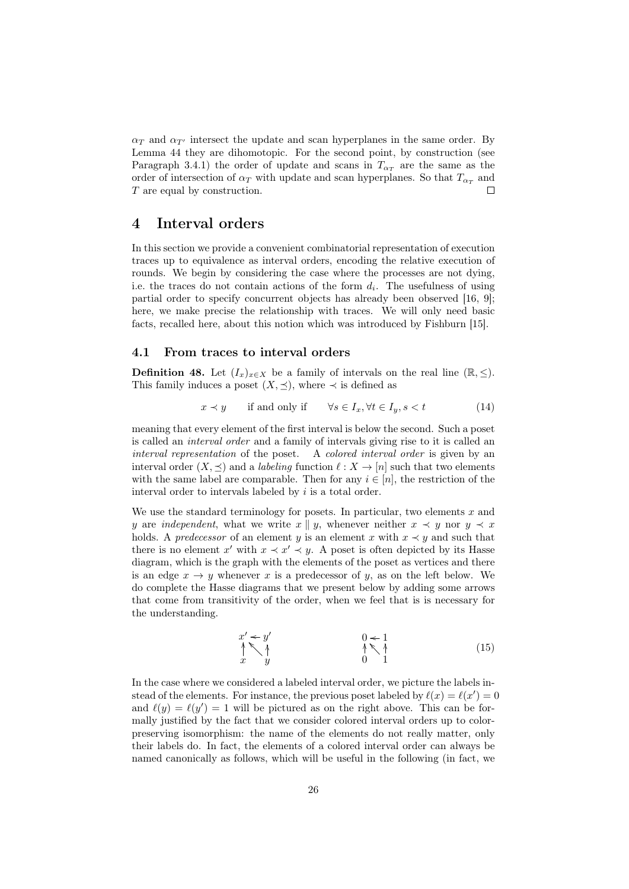$\alpha_T$  and  $\alpha_{T'}$  intersect the update and scan hyperplanes in the same order. By Lemma 44 they are dihomotopic. For the second point, by construction (see Paragraph 3.4.1) the order of update and scans in  $T_{\alpha_T}$  are the same as the order of intersection of  $\alpha_T$  with update and scan hyperplanes. So that  $T_{\alpha_T}$  and T are equal by construction.

# 4 Interval orders

In this section we provide a convenient combinatorial representation of execution traces up to equivalence as interval orders, encoding the relative execution of rounds. We begin by considering the case where the processes are not dying, i.e. the traces do not contain actions of the form  $d_i$ . The usefulness of using partial order to specify concurrent objects has already been observed [16, 9]; here, we make precise the relationship with traces. We will only need basic facts, recalled here, about this notion which was introduced by Fishburn [15].

## 4.1 From traces to interval orders

**Definition 48.** Let  $(I_x)_{x\in X}$  be a family of intervals on the real line  $(\mathbb{R}, \leq)$ . This family induces a poset  $(X, \preceq)$ , where  $\prec$  is defined as

$$
x \prec y \qquad \text{if and only if} \qquad \forall s \in I_x, \forall t \in I_y, s < t \tag{14}
$$

meaning that every element of the first interval is below the second. Such a poset is called an interval order and a family of intervals giving rise to it is called an interval representation of the poset. A colored interval order is given by an interval order  $(X, \preceq)$  and a *labeling* function  $\ell : X \to [n]$  such that two elements with the same label are comparable. Then for any  $i \in [n]$ , the restriction of the interval order to intervals labeled by  $i$  is a total order.

We use the standard terminology for posets. In particular, two elements  $x$  and y are independent, what we write  $x \parallel y$ , whenever neither  $x \prec y$  nor  $y \prec x$ holds. A *predecessor* of an element y is an element x with  $x \prec y$  and such that there is no element  $x'$  with  $x \prec x' \prec y$ . A poset is often depicted by its Hasse diagram, which is the graph with the elements of the poset as vertices and there is an edge  $x \to y$  whenever x is a predecessor of y, as on the left below. We do complete the Hasse diagrams that we present below by adding some arrows that come from transitivity of the order, when we feel that is is necessary for the understanding.

$$
x' \leftarrow y'
$$
  
\n
$$
\uparrow \qquad \qquad 0 \leftarrow 1
$$
  
\n
$$
x \qquad y
$$
  
\n
$$
\uparrow \qquad \qquad 0 \qquad \qquad 1
$$
  
\n
$$
\uparrow \qquad \qquad (15)
$$

In the case where we considered a labeled interval order, we picture the labels instead of the elements. For instance, the previous poset labeled by  $\ell(x) = \ell(x') = 0$ and  $\ell(y) = \ell(y') = 1$  will be pictured as on the right above. This can be formally justified by the fact that we consider colored interval orders up to colorpreserving isomorphism: the name of the elements do not really matter, only their labels do. In fact, the elements of a colored interval order can always be named canonically as follows, which will be useful in the following (in fact, we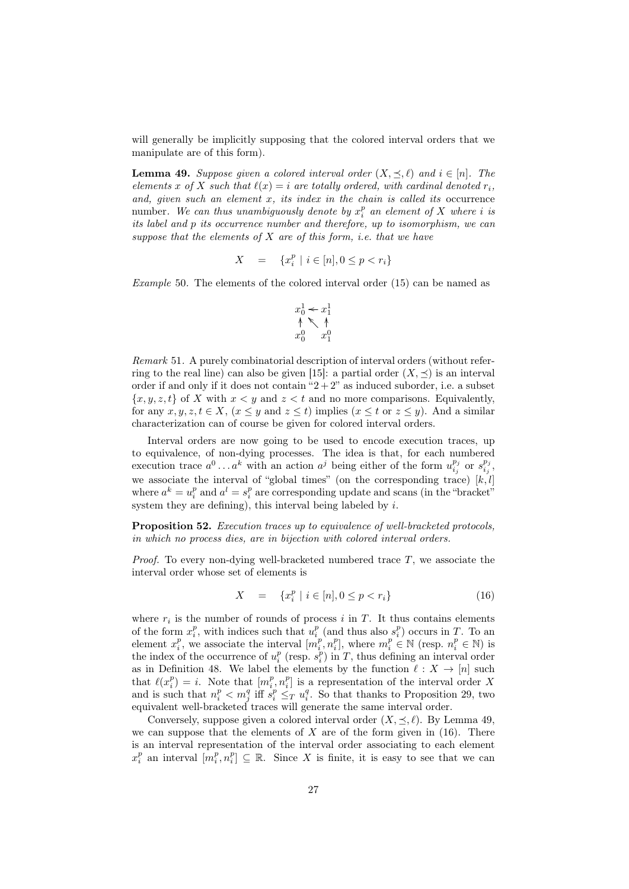will generally be implicitly supposing that the colored interval orders that we manipulate are of this form).

**Lemma 49.** Suppose given a colored interval order  $(X, \leq, \ell)$  and  $i \in [n]$ . The elements x of X such that  $\ell(x) = i$  are totally ordered, with cardinal denoted  $r_i$ , and, given such an element  $x$ , its index in the chain is called its occurrence number. We can thus unambiguously denote by  $x_i^p$  an element of X where i is its label and p its occurrence number and therefore, up to isomorphism, we can suppose that the elements of  $X$  are of this form, i.e. that we have

$$
X = \{x_i^p \mid i \in [n], 0 \le p < r_i\}
$$

Example 50. The elements of the colored interval order (15) can be named as

$$
x_0^1 \leftarrow x_1^1
$$
  

$$
\uparrow \qquad \uparrow
$$
  

$$
x_0^0 \qquad x_1^0
$$

Remark 51. A purely combinatorial description of interval orders (without referring to the real line) can also be given [15]: a partial order  $(X, \preceq)$  is an interval order if and only if it does not contain " $2 + 2$ " as induced suborder, i.e. a subset  ${x, y, z, t}$  of X with  $x < y$  and  $z < t$  and no more comparisons. Equivalently, for any  $x, y, z, t \in X$ ,  $(x \leq y \text{ and } z \leq t)$  implies  $(x \leq t \text{ or } z \leq y)$ . And a similar characterization can of course be given for colored interval orders.

Interval orders are now going to be used to encode execution traces, up to equivalence, of non-dying processes. The idea is that, for each numbered execution trace  $a^0 \dots a^k$  with an action  $a^j$  being either of the form  $u_{i,j}^{p_j}$  $\frac{p_j}{i_j}$  or  $s_{i_j}^{p_j}$  $\frac{p_j}{i_j},$ we associate the interval of "global times" (on the corresponding trace)  $[k, l]$ where  $a^k = u_i^p$  and  $a^l = s_i^p$  are corresponding update and scans (in the "bracket" system they are defining), this interval being labeled by i.

Proposition 52. Execution traces up to equivalence of well-bracketed protocols, in which no process dies, are in bijection with colored interval orders.

*Proof.* To every non-dying well-bracketed numbered trace  $T$ , we associate the interval order whose set of elements is

$$
X = \{x_i^p \mid i \in [n], 0 \le p < r_i\} \tag{16}
$$

where  $r_i$  is the number of rounds of process i in T. It thus contains elements of the form  $x_i^p$ , with indices such that  $u_i^p$  (and thus also  $s_i^p$ ) occurs in T. To an element  $x_i^p$ , we associate the interval  $[m_i^p, n_i^p]$ , where  $m_i^p \in \mathbb{N}$  (resp.  $n_i^p \in \mathbb{N}$ ) is the index of the occurrence of  $u_i^p$  (resp.  $s_i^p$ ) in T, thus defining an interval order as in Definition 48. We label the elements by the function  $\ell : X \to [n]$  such that  $\ell(x_i^p) = i$ . Note that  $[m_i^p, n_i^p]$  is a representation of the interval order X and is such that  $n_i^p < m_j^q$  iff  $s_i^p \leq_T u_i^q$ . So that thanks to Proposition 29, two equivalent well-bracketed traces will generate the same interval order.

Conversely, suppose given a colored interval order  $(X, \prec, \ell)$ . By Lemma 49, we can suppose that the elements of  $X$  are of the form given in (16). There is an interval representation of the interval order associating to each element  $x_i^p$  an interval  $[m_i^p, n_i^p] \subseteq \mathbb{R}$ . Since X is finite, it is easy to see that we can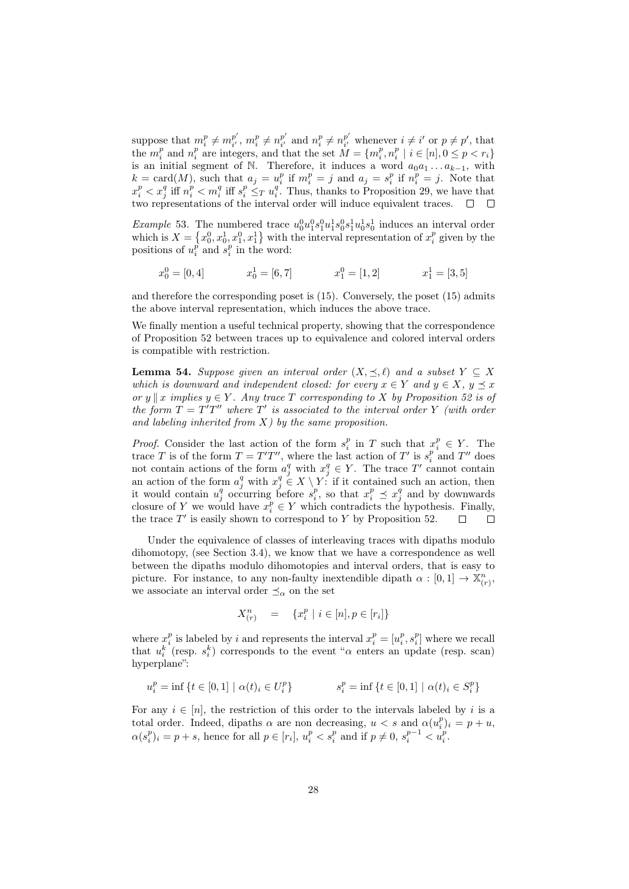suppose that  $m_i^p \neq m_{i'}^{p'}$  $_{i'}^{p'}, m_i^p \neq n_{i'}^{p'}$  $\begin{array}{c} p'\\ i' \end{array}$  and  $n_i^p \neq n_{i'}^{p'}$  $i'_{i'}$  whenever  $i \neq i'$  or  $p \neq p'$ , that the  $m_i^p$  and  $n_i^p$  are integers, and that the set  $M = \{m_i^p, n_i^p \mid i \in [n], 0 \le p < r_i\}$ is an initial segment of N. Therefore, it induces a word  $a_0a_1 \ldots a_{k-1}$ , with  $k = \text{card}(M)$ , such that  $a_j = u_i^p$  if  $m_i^p = j$  and  $a_j = s_i^p$  if  $n_i^p = j$ . Note that  $x_i^p < x_j^q$  iff  $n_i^p < m_i^q$  iff  $s_i^p \leq_T u_i^q$ . Thus, thanks to Proposition 29, we have that two representations of the interval order will induce equivalent traces.  $\Box$   $\Box$ 

*Example* 53. The numbered trace  $u_0^0 u_1^0 s_1^0 u_1^1 s_0^0 s_1^1 u_0^1 s_0^1$  induces an interval order which is  $X = \left\{x_0^0, x_0^1, x_1^0, x_1^1\right\}$  with the interval representation of  $x_i^p$  given by the positions of  $u_i^p$  and  $s_i^p$  in the word:

$$
x_0^0 = [0, 4] \qquad x_0^1 = [6, 7] \qquad x_1^0 = [1, 2] \qquad x_1^1 = [3, 5]
$$

and therefore the corresponding poset is (15). Conversely, the poset (15) admits the above interval representation, which induces the above trace.

We finally mention a useful technical property, showing that the correspondence of Proposition 52 between traces up to equivalence and colored interval orders is compatible with restriction.

**Lemma 54.** Suppose given an interval order  $(X, \leq, \ell)$  and a subset  $Y \subseteq X$ which is downward and independent closed: for every  $x \in Y$  and  $y \in X$ ,  $y \preceq x$ or y  $\Vert x \Vert$  implies  $y \in Y$ . Any trace T corresponding to X by Proposition 52 is of the form  $T = T'T''$  where T' is associated to the interval order Y (with order and labeling inherited from  $X$ ) by the same proposition.

*Proof.* Consider the last action of the form  $s_i^p$  in T such that  $x_i^p \in Y$ . The Froot. Consider the last action of the form  $s_i$  in T such that  $x_i \in T$ . The trace T is of the form  $T = T'T''$ , where the last action of T' is  $s_i^p$  and T'' does not contain actions of the form  $a_j^q$  with  $x_j^q \in Y$ . The trace T' cannot contain an action of the form  $a_j^q$  with  $x_j^q \in X \setminus Y$ : if it contained such an action, then it would contain  $u_j^q$  occurring before  $s_i^p$ , so that  $x_i^p \leq x_j^q$  and by downwards closure of Y we would have  $x_i^p \in Y$  which contradicts the hypothesis. Finally, the trace  $T'$  is easily shown to correspond to Y by Proposition 52.

Under the equivalence of classes of interleaving traces with dipaths modulo dihomotopy, (see Section 3.4), we know that we have a correspondence as well between the dipaths modulo dihomotopies and interval orders, that is easy to picture. For instance, to any non-faulty inextendible dipath  $\alpha : [0,1] \to \mathbb{X}_{(r)}^n$ , we associate an interval order  $\preceq_{\alpha}$  on the set

$$
X_{(r)}^{n} = \{x_{i}^{p} \mid i \in [n], p \in [r_{i}]\}
$$

where  $x_i^p$  is labeled by i and represents the interval  $x_i^p = [u_i^p, s_i^p]$  where we recall that  $u_i^k$  (resp.  $s_i^k$ ) corresponds to the event " $\alpha$  enters an update (resp. scan) hyperplane":

$$
u_i^p = \inf \left\{ t \in [0,1] \mid \alpha(t)_i \in U_i^p \right\} \qquad \qquad s_i^p = \inf \left\{ t \in [0,1] \mid \alpha(t)_i \in S_i^p \right\}
$$

For any  $i \in [n]$ , the restriction of this order to the intervals labeled by i is a total order. Indeed, dipaths  $\alpha$  are non decreasing,  $u < s$  and  $\alpha(u_i^p)_i = p + u$ ,  $\alpha(s_i^p)_i = p + s$ , hence for all  $p \in [r_i]$ ,  $u_i^p < s_i^p$  and if  $p \neq 0$ ,  $s_i^{p-1} < u_i^p$ .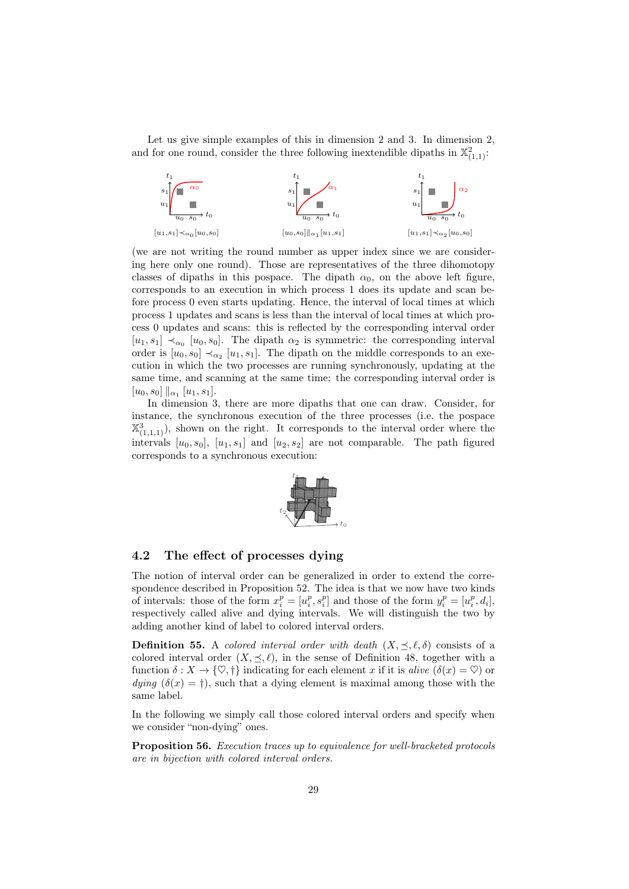Let us give simple examples of this in dimension 2 and 3. In dimension 2, and for one round, consider the three following inextendible dipaths in  $\mathbb{X}_{(1,1)}^2$ .



(we are not writing the round number as upper index since we are considering here only one round). Those are representatives of the three dihomotopy classes of dipaths in this pospace. The dipath  $\alpha_0$ , on the above left figure, corresponds to an execution in which process 1 does its update and scan before process 0 even starts updating. Hence, the interval of local times at which process 1 updates and scans is less than the interval of local times at which process 0 updates and scans: this is reflected by the corresponding interval order  $[u_1, s_1] \prec_{\alpha_0} [u_0, s_0]$ . The dipath  $\alpha_2$  is symmetric: the corresponding interval order is  $[u_0, s_0] \prec_{\alpha_2} [u_1, s_1]$ . The dipath on the middle corresponds to an execution in which the two processes are running synchronously, updating at the same time, and scanning at the same time: the corresponding interval order is  $[u_0, s_0]$   $\| \alpha_1 [u_1, s_1].$ 

In dimension 3, there are more dipaths that one can draw. Consider, for instance, the synchronous execution of the three processes (i.e. the pospace  $(\mathbb{X}_{(1,1,1)}^3)$ , shown on the right. It corresponds to the interval order where the intervals  $[u_0, s_0]$ ,  $[u_1, s_1]$  and  $[u_2, s_2]$  are not comparable. The path figured corresponds to a synchronous execution:



## 4.2 The effect of processes dying

The notion of interval order can be generalized in order to extend the correspondence described in Proposition 52. The idea is that we now have two kinds of intervals: those of the form  $x_i^p = [u_i^p, s_i^p]$  and those of the form  $y_i^p = [u_i^p, d_i]$ , respectively called alive and dying intervals. We will distinguish the two by adding another kind of label to colored interval orders.

**Definition 55.** A colored interval order with death  $(X, \leq, \ell, \delta)$  consists of a colored interval order  $(X, \preceq, \ell)$ , in the sense of Definition 48, together with a function  $\delta: X \to \{\heartsuit, \dagger\}$  indicating for each element x if it is alive  $(\delta(x) = \heartsuit)$  or dying  $(\delta(x) = \dagger)$ , such that a dying element is maximal among those with the same label.

In the following we simply call those colored interval orders and specify when we consider "non-dying" ones.

Proposition 56. Execution traces up to equivalence for well-bracketed protocols are in bijection with colored interval orders.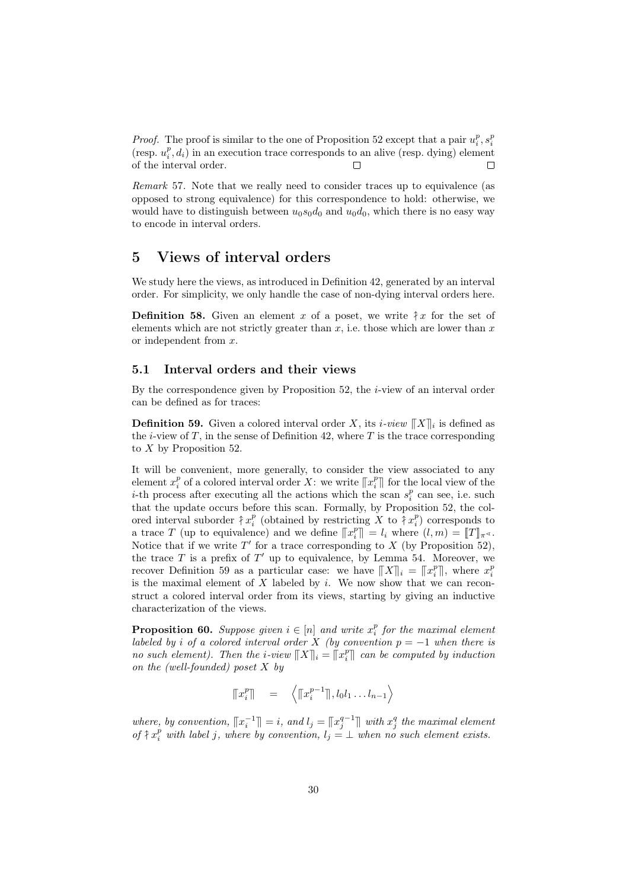*Proof.* The proof is similar to the one of Proposition 52 except that a pair  $u_i^p$ ,  $s_i^p$ (resp.  $u_i^p, d_i$ ) in an execution trace corresponds to an alive (resp. dying) element of the interval order.  $\Box$  $\Box$ 

Remark 57. Note that we really need to consider traces up to equivalence (as opposed to strong equivalence) for this correspondence to hold: otherwise, we would have to distinguish between  $u_0s_0d_0$  and  $u_0d_0$ , which there is no easy way to encode in interval orders.

# 5 Views of interval orders

We study here the views, as introduced in Definition 42, generated by an interval order. For simplicity, we only handle the case of non-dying interval orders here.

**Definition 58.** Given an element x of a poset, we write  $\hat{\tau}$  as for the set of elements which are not strictly greater than  $x$ , i.e. those which are lower than  $x$ or independent from x.

## 5.1 Interval orders and their views

By the correspondence given by Proposition 52, the  $i$ -view of an interval order can be defined as for traces:

**Definition 59.** Given a colored interval order X, its *i-view*  $||X||_i$  is defined as the *i*-view of T, in the sense of Definition 42, where T is the trace corresponding to  $X$  by Proposition 52.

It will be convenient, more generally, to consider the view associated to any element  $x_i^p$  of a colored interval order X: we write  $\lceil x_i^p \rceil$  for the local view of the ith process of the assumed the setting which the seem  $x_i^p$  can see i.e. such *i*-th process after executing all the actions which the scan  $s_i^p$  can see, i.e. such that the update occurs before this scan. Formally, by Proposition 52, the colored interval suborder  $\hat{\tau} x_i^p$  (obtained by restricting X to  $\hat{\tau} x_i^p$ ) corresponds to a trace T (up to equivalence) and we define  $\llbracket x_i^p \rrbracket = l_i$  where  $(l, m) = \llbracket T \rrbracket_{\pi^d}$ .<br>Notice that if we write T' for a trace corresponding to Y (by Proposition 52). Notice that if we write  $T'$  for a trace corresponding to  $X$  (by Proposition 52), the trace  $T$  is a prefix of  $T'$  up to equivalence, by Lemma 54. Moreover, we recover Definition 59 as a particular case: we have  $||X||_i = ||x_i^p||$ , where  $x_i^p$ <br>is the maximal element of X labeled by  $i$ . We now show that we can recon is the maximal element of  $X$  labeled by  $i$ . We now show that we can reconstruct a colored interval order from its views, starting by giving an inductive characterization of the views.

**Proposition 60.** Suppose given  $i \in [n]$  and write  $x_i^p$  for the maximal element labeled by i of a colored interval order X (by convention  $p = -1$  when there is no such element). Then the *i*-view  $||X||_i = ||x_i^p||$  can be computed by induction<br>on the (well founded) poset Y by on the (well-founded) poset X by

$$
\|x_i^p\| = \left\langle \left\|x_i^{p-1}\right\|, l_0 l_1 \dots l_{n-1}\right\rangle
$$

where, by convention,  $\lceil x_i^{-1} \rceil = i$ , and  $l_j = \lceil x_j^{q-1} \rceil$  with  $x_j^q$  the maximal element<br>of  $\mathfrak{f} x_i^p$  with label i, where by convention  $l_j = \lceil y_j \rceil$  when no such element exists of  $\hat{\tau}$  with label j, where by convention,  $l_j = \bot$  when no such element exists.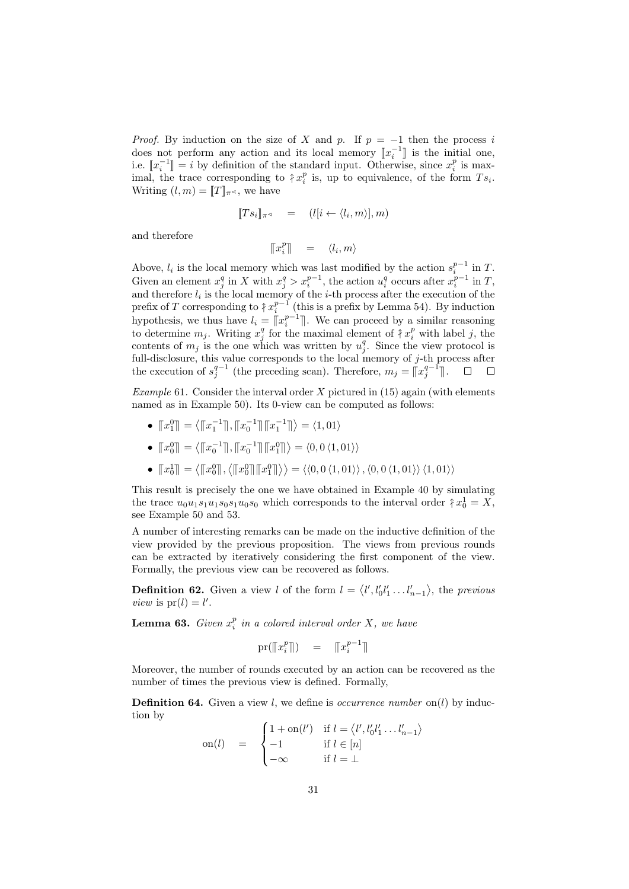*Proof.* By induction on the size of X and p. If  $p = -1$  then the process i does not perform any action and its local memory  $\lbrack x_i^{-1} \rbrack$  is the initial one,<br>i.e.  $\lbrack x^{-1} \rbrack = i$  by definition of the standard input. Otherwise, since  $x^p$  is may i.e.  $[x_i^{-1}] = i$  by definition of the standard input. Otherwise, since  $x_i^p$  is max-<br>imple the trace corresponding to  $\hbar x_i^p$  is up to equivalence of the form  $Ta_i$ imal, the trace corresponding to  $\hat{\tau} x_i^p$  is, up to equivalence, of the form  $Ts_i$ . Writing  $(l, m) = ||T||_{\pi^{\preceq}}$ , we have

$$
[\![Ts_i]\!]_{\pi^{\preccurlyeq}} = (l[i \leftarrow \langle l_i, m \rangle], m)
$$

and therefore

$$
\|\boldsymbol{x}_i^p\| = \langle \boldsymbol{l}_i, \boldsymbol{m} \rangle
$$

Above,  $l_i$  is the local memory which was last modified by the action  $s_i^{p-1}$  in T. Given an element  $x_j^q$  in X with  $x_j^q > x_i^{p-1}$ , the action  $u_i^q$  occurs after  $x_i^{p-1}$  in T, Given an element  $x_j$  in  $X$  with  $x_j > x_i$ , the action  $u_i$  occurs after  $x_i$  in  $\overline{I}$ , and therefore  $l_i$  is the local memory of the *i*-th process after the execution of the prefix of T corresponding to  $\hat{\tau} x_i^{p-1}$  (this is a prefix by Lemma 54). By induction hypothesis, we thus have  $l_i = \|\bar{x}_i^{p-1}\|$ . We can proceed by a similar reasoning to determine  $m_j$ . Writing  $x_j^q$  for the maximal element of  $\hat{\tau} x_i^p$  with label j, the contents of  $m_j$  is the one which was written by  $u_j^q$ . Since the view protocol is full-disclosure, this value corresponds to the local memory of  $j$ -th process after the execution of  $s_j^{q-1}$  (the preceding scan). Therefore,  $m_j = \lceil x_j^{q-1} \rceil$ .

*Example* 61. Consider the interval order  $X$  pictured in (15) again (with elements named as in Example 50). Its 0-view can be computed as follows:

- $\|x_1^0\| = \langle \|x_1^{-1}\|, \|x_0^{-1}\| \|x_1^{-1}\| \rangle = \langle 1, 01 \rangle$
- $\Vert x_0^0 \Vert = \langle \Vert x_0^{-1} \Vert, \Vert x_0^{-1} \Vert \Vert x_1^0 \Vert \rangle = \langle 0, 0 \langle 1, 01 \rangle \rangle$
- $\lceil x_0^1 \rceil = \langle \lceil x_0^0 \rceil, \langle \lceil x_0^0 \rceil \lceil x_1^0 \rceil \rangle \rangle = \langle \langle 0, 0 \langle 1, 01 \rangle \rangle, \langle 0, 0 \langle 1, 01 \rangle \rangle \langle 1, 01 \rangle \rangle$

This result is precisely the one we have obtained in Example 40 by simulating the trace  $u_0u_1s_1u_1s_0s_1u_0s_0$  which corresponds to the interval order  $\hat{\tau}x_0^1 = X$ , see Example 50 and 53.

A number of interesting remarks can be made on the inductive definition of the view provided by the previous proposition. The views from previous rounds can be extracted by iteratively considering the first component of the view. Formally, the previous view can be recovered as follows.

**Definition 62.** Given a view l of the form  $l = \langle l', l'_0 l'_1 \dots l'_{n-1} \rangle$ , the previous *view* is  $pr(l) = l'$ .

**Lemma 63.** Given  $x_i^p$  in a colored interval order X, we have

$$
\text{pr}(\lceil x_i^p \rceil) \quad = \quad \lceil x_i^{p-1} \rceil
$$

Moreover, the number of rounds executed by an action can be recovered as the number of times the previous view is defined. Formally,

**Definition 64.** Given a view l, we define is *occurrence number* on(l) by induction by

 $\rangle$ 

$$
\text{on}(l) = \begin{cases} 1 + \text{on}(l') & \text{if } l = \langle l', l'_0 l'_1 \dots l'_{n-1} \\ -1 & \text{if } l \in [n] \\ -\infty & \text{if } l = \bot \end{cases}
$$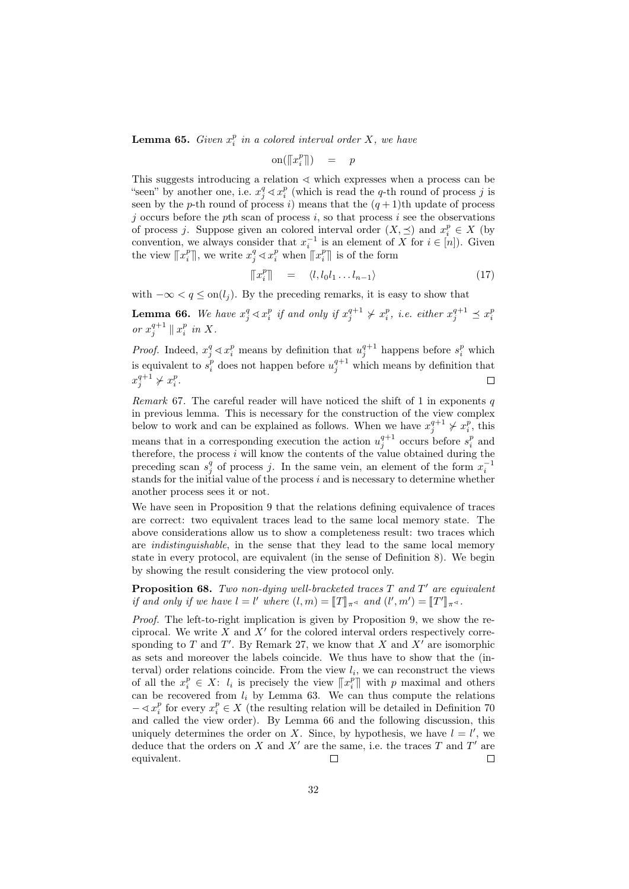**Lemma 65.** Given  $x_i^p$  in a colored interval order X, we have

$$
\operatorname{on}(\lceil x_i^p \rceil) \quad = \quad p
$$

This suggests introducing a relation  $\leq$  which expresses when a process can be "seen" by another one, i.e.  $x_j^q \lessdot x_i^p$  (which is read the q-th round of process j is seen by the p-th round of process i) means that the  $(q + 1)$ th update of process j occurs before the pth scan of process  $i$ , so that process  $i$  see the observations of process j. Suppose given an colored interval order  $(X, \preceq)$  and  $x_i^p \in X$  (by convention, we always consider that  $x_i^{-1}$  is an element of X for  $i \in [n]$ ). Given the view  $\|\x_x^p\|$ , we write  $x_j^q \lessdot x_i^p$  when  $\|\x_x^p\|$  is of the form

$$
\|x_i^p\| = \langle l, l_0 l_1 \dots l_{n-1} \rangle \tag{17}
$$

with  $-\infty < q \leq \text{on}(l_i)$ . By the preceding remarks, it is easy to show that

**Lemma 66.** We have  $x_j^q \lessdot x_i^p$  if and only if  $x_j^{q+1} \ngtr x_i^p$ , i.e. either  $x_j^{q+1} \preceq x_i^p$ or  $x_j^{q+1} \parallel x_i^p$  in X.

*Proof.* Indeed,  $x_j^q \lessdot x_i^p$  means by definition that  $u_j^{q+1}$  happens before  $s_i^p$  which is equivalent to  $s_i^p$  does not happen before  $u_j^{q+1}$  which means by definition that  $x_j^{q+1} \not\succ x_i^p.$  $\Box$ 

Remark 67. The careful reader will have noticed the shift of 1 in exponents  $q$ in previous lemma. This is necessary for the construction of the view complex below to work and can be explained as follows. When we have  $x_j^{q+1} \nless x_i^p$ , this means that in a corresponding execution the action  $u_j^{q+1}$  occurs before  $s_i^p$  and therefore, the process  $i$  will know the contents of the value obtained during the preceding scan  $s_j^q$  of process j. In the same vein, an element of the form  $x_i^{-1}$ stands for the initial value of the process  $i$  and is necessary to determine whether another process sees it or not.

We have seen in Proposition 9 that the relations defining equivalence of traces are correct: two equivalent traces lead to the same local memory state. The above considerations allow us to show a completeness result: two traces which are indistinguishable, in the sense that they lead to the same local memory state in every protocol, are equivalent (in the sense of Definition 8). We begin by showing the result considering the view protocol only.

**Proposition 68.** Two non-dying well-bracketed traces  $T$  and  $T'$  are equivalent if and only if we have  $l = l'$  where  $(l, m) = [T]_{\pi^{\le}}$  and  $(l', m') = [T']_{\pi^{\le}}$ .

Proof. The left-to-right implication is given by Proposition 9, we show the reciprocal. We write  $X$  and  $X'$  for the colored interval orders respectively corresponding to T and T'. By Remark 27, we know that X and  $X'$  are isomorphic as sets and moreover the labels coincide. We thus have to show that the (interval) order relations coincide. From the view  $l_i$ , we can reconstruct the views of all the  $x_i^p \in X$ :  $l_i$  is precisely the view  $\|x_i^p\|$  with p maximal and others can be recovered from  $l_i$  by Lemma 63. We can thus compute the relations  $-\triangleleft x_i^p$  for every  $x_i^p \in X$  (the resulting relation will be detailed in Definition 70 and called the view order). By Lemma 66 and the following discussion, this uniquely determines the order on X. Since, by hypothesis, we have  $l = l'$ , we deduce that the orders on X and X' are the same, i.e. the traces T and T' are equivalent.  $\Box$  $\Box$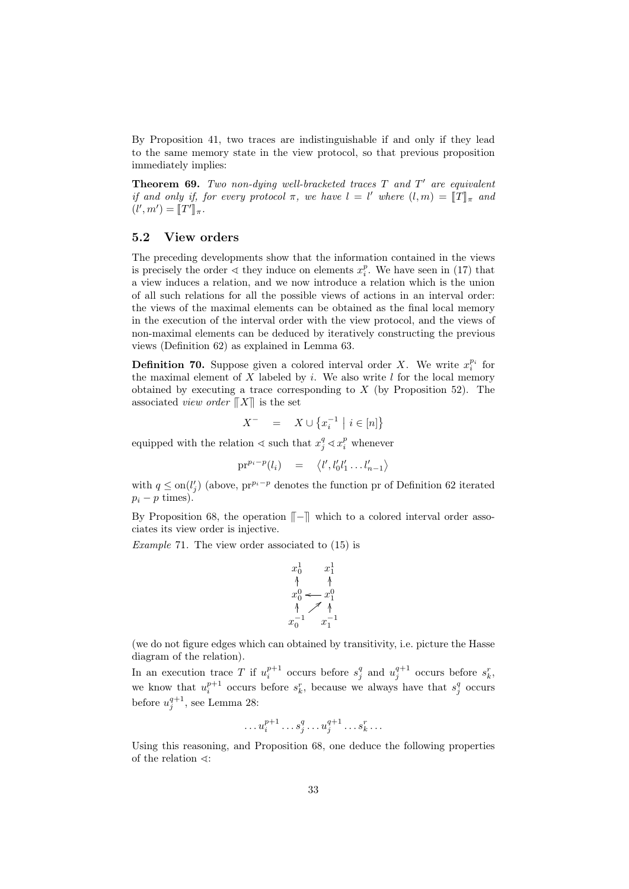By Proposition 41, two traces are indistinguishable if and only if they lead to the same memory state in the view protocol, so that previous proposition immediately implies:

**Theorem 69.** Two non-dying well-bracketed traces  $T$  and  $T'$  are equivalent if and only if, for every protocol  $\pi$ , we have  $l = l'$  where  $(l,m) = \llbracket T \rrbracket_{\pi}$  and  $(l', m') = \llbracket T \rrbracket_{\pi}$  $(l', m') = \llbracket T' \rrbracket_{\pi}.$ 

# 5.2 View orders

The preceding developments show that the information contained in the views is precisely the order  $\prec$  they induce on elements  $x_i^p$ . We have seen in (17) that a view induces a relation, and we now introduce a relation which is the union of all such relations for all the possible views of actions in an interval order: the views of the maximal elements can be obtained as the final local memory in the execution of the interval order with the view protocol, and the views of non-maximal elements can be deduced by iteratively constructing the previous views (Definition 62) as explained in Lemma 63.

**Definition 70.** Suppose given a colored interval order X. We write  $x_i^{p_i}$  for the maximal element of  $X$  labeled by  $i$ . We also write  $l$  for the local memory obtained by executing a trace corresponding to  $X$  (by Proposition 52). The associated *view order*  $\llbracket X \rrbracket$  is the set

$$
X^- = X \cup \{x_i^{-1} \mid i \in [n]\}
$$

equipped with the relation  $\triangleleft$  such that  $x_j^q \triangleleft x_i^p$  whenever

$$
\mathrm{pr}^{p_i-p}(l_i) = \langle l', l'_0 l'_1 \dots l'_{n-1} \rangle
$$

with  $q \leq \text{on}(l'_j)$  (above,  $\text{pr}^{p_i-p}$  denotes the function pr of Definition 62 iterated  $p_i - p$  times).

By Proposition 68, the operation  $\mathbb{I} - \mathbb{I}$  which to a colored interval order associates its view order is injective.

Example 71. The view order associated to (15) is

$$
x_0^1 \t\t x_1^1
$$
  
\n
$$
\uparrow \qquad \uparrow
$$
  
\n
$$
x_0^0 \leftarrow x_1^0
$$
  
\n
$$
\uparrow \qquad \uparrow
$$
  
\n
$$
x_0^{-1} \t\t x_1^{-1}
$$

(we do not figure edges which can obtained by transitivity, i.e. picture the Hasse diagram of the relation).

In an execution trace T if  $u_i^{p+1}$  occurs before  $s_j^q$  and  $u_j^{q+1}$  occurs before  $s_k^r$ , we know that  $u_i^{p+1}$  occurs before  $s_k^r$ , because we always have that  $s_j^q$  occurs before  $u_j^{q+1}$ , see Lemma 28:

$$
\dots u_i^{p+1} \dots s_j^q \dots u_j^{q+1} \dots s_k^r \dots
$$

Using this reasoning, and Proposition 68, one deduce the following properties of the relation  $\triangleleft$ :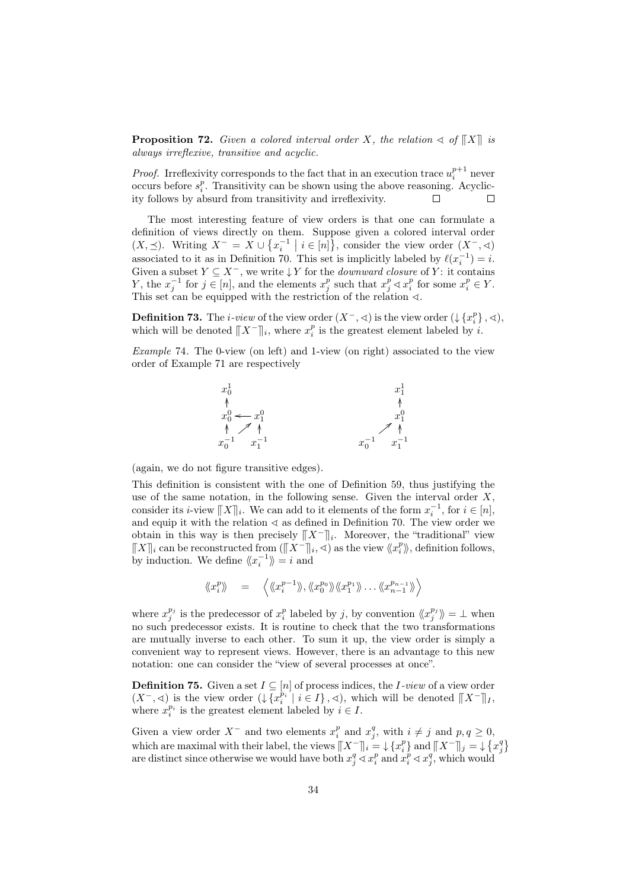**Proposition 72.** Given a colored interval order X, the relation  $\triangleleft$  of  $\llbracket X \rrbracket$  is always irreflexive, transitive and acyclic.

*Proof.* Irreflexivity corresponds to the fact that in an execution trace  $u_i^{p+1}$  never occurs before  $s_i^p$ . Transitivity can be shown using the above reasoning. Acyclicity follows by absurd from transitivity and irreflexivity.  $\Box$  $\Box$ 

The most interesting feature of view orders is that one can formulate a definition of views directly on them. Suppose given a colored interval order  $(X, \preceq)$ . Writing  $X^- = X \cup \{x_i^{-1} \mid i \in [n]\}$ , consider the view order  $(X^-,\preceq)$ associated to it as in Definition 70. This set is implicitly labeled by  $\ell(x_i^{-1}) = i$ . Given a subset  $Y \subseteq X^-$ , we write  $\downarrow Y$  for the *downward closure* of Y: it contains  $Y \subseteq X^-$ , we write  $\downarrow Y$  for the *downward closure* of Y: it contains Y, the  $x_j^{-1}$  for  $j \in [n]$ , and the elements  $x_j^p$  such that  $x_j^p \lessdot x_i^p$  for some  $x_i^p \in Y$ . This set can be equipped with the restriction of the relation  $\triangleleft$ .

**Definition 73.** The *i*-view of the view order  $(X^-,\preceq)$  is the view order  $(\downarrow \{x_i^p\}, \preceq)$ , which will be denoted  $\llbracket X \rceil_i$ , where  $x_i^p$  is the greatest element labeled by i.

Example 74. The 0-view (on left) and 1-view (on right) associated to the view order of Example 71 are respectively



(again, we do not figure transitive edges).

This definition is consistent with the one of Definition 59, thus justifying the use of the same notation, in the following sense. Given the interval order  $X$ , consider its *i*-view  $||X||_i$ . We can add to it elements of the form  $x_i^{-1}$ , for  $i \in [n]$ , and couplin it with the relation  $\leq$  as defined in Definition  $Z_0$ . The view order we and equip it with the relation  $\leq$  as defined in Definition 70. The view order we obtain in this way is then precisely  $\llbracket X \rrbracket_i$ . Moreover, the "traditional" view<br> $\llbracket Y \rrbracket_i$  and have a preconstructed from  $(\llbracket X \rrbracket \llbracket X \rrbracket)$  as the view  $\llbracket x^p \rrbracket$  definition follows  $\llbracket X \rrbracket_i$  can be reconstructed from  $(\llbracket X^- \rrbracket_i, \triangleleft)$  as the view  $\langle x_i^p \rangle$ , definition follows,<br>by induction We define  $\ell x^{-1} \Vdash = i$  and by induction. We define  $\langle x_i^{-1} \rangle = i$  and

$$
\langle x_i^p \rangle = \langle \langle x_i^{p-1} \rangle, \langle x_0^{p_0} \rangle \langle x_1^{p_1} \rangle \dots \langle x_{n-1}^{p_{n-1}} \rangle \rangle
$$

where  $x_j^{p_j}$  is the predecessor of  $x_i^p$  labeled by j, by convention  $\langle x_j^{p_j} \rangle = \bot$  when no such predecessor exists. It is routine to check that the two transformations are mutually inverse to each other. To sum it up, the view order is simply a convenient way to represent views. However, there is an advantage to this new notation: one can consider the "view of several processes at once".

**Definition 75.** Given a set  $I \subseteq [n]$  of process indices, the *I-view* of a view order  $(X^-,\prec)$  is the view order  $(\downarrow \{x_i^{p_i} \mid i \in I\}, \prec)$ , which will be denoted  $\|X^-\|_I$ , where  $x^{p_i}$  is the greatest element labeled by  $i \in I$ where  $x_i^{p_i}$  is the greatest element labeled by  $i \in I$ .

Given a view order  $X^-$  and two elements  $x_i^p$  and  $x_j^q$ , with  $i \neq j$  and  $p, q \geq 0$ , which are maximal with their label, the views  $\llbracket X^-\rrbracket_i = \downarrow \{x_i^p\}$  and  $\llbracket X^-\rrbracket_j = \downarrow \{x_j^q\}$ are distinct since otherwise we would have both  $x_j^q \lessdot x_i^p$  and  $x_i^p \lessdot x_j^q$ , which would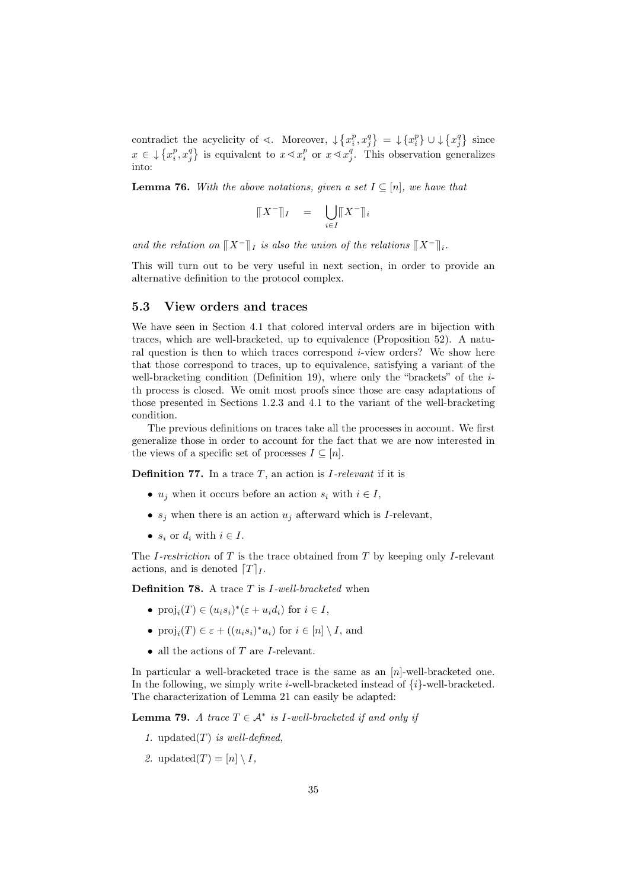contradict the acyclicity of  $\prec$ . Moreover,  $\downarrow \{x_i^p, x_j^q\} = \downarrow \{x_i^p\} \cup \downarrow \{x_j^q\}$  since  $x \in \bigcup \{x_i^p, x_j^q\}$  is equivalent to  $x \prec x_i^p$  or  $x \prec x_j^q$ . This observation generalizes into:

**Lemma 76.** With the above notations, given a set  $I \subseteq [n]$ , we have that

$$
\|X^-\|_I = \bigcup_{i \in I} \|X^-\|_i
$$

and the relation on  $\llbracket X^-\rrbracket_I$  is also the union of the relations  $\llbracket X^-\rrbracket_i$ .

This will turn out to be very useful in next section, in order to provide an alternative definition to the protocol complex.

#### 5.3 View orders and traces

We have seen in Section 4.1 that colored interval orders are in bijection with traces, which are well-bracketed, up to equivalence (Proposition 52). A natural question is then to which traces correspond  $i$ -view orders? We show here that those correspond to traces, up to equivalence, satisfying a variant of the well-bracketing condition (Definition 19), where only the "brackets" of the *i*th process is closed. We omit most proofs since those are easy adaptations of those presented in Sections 1.2.3 and 4.1 to the variant of the well-bracketing condition.

The previous definitions on traces take all the processes in account. We first generalize those in order to account for the fact that we are now interested in the views of a specific set of processes  $I \subseteq [n]$ .

**Definition 77.** In a trace  $T$ , an action is *I*-relevant if it is

- $u_i$  when it occurs before an action  $s_i$  with  $i \in I$ ,
- $s_i$  when there is an action  $u_i$  afterward which is *I*-relevant,
- $s_i$  or  $d_i$  with  $i \in I$ .

The I-restriction of  $T$  is the trace obtained from  $T$  by keeping only I-relevant actions, and is denoted  $[T]_I$ .

**Definition 78.** A trace  $T$  is  $I$ -well-bracketed when

- $\text{proj}_i(T) \in (u_i s_i)^*(\varepsilon + u_i d_i) \text{ for } i \in I,$
- $\text{proj}_i(T) \in \varepsilon + ((u_i s_i)^* u_i) \text{ for } i \in [n] \setminus I$ , and
- all the actions of  $T$  are *I*-relevant.

In particular a well-bracketed trace is the same as an  $[n]$ -well-bracketed one. In the following, we simply write *i*-well-bracketed instead of  $\{i\}$ -well-bracketed. The characterization of Lemma 21 can easily be adapted:

**Lemma 79.** A trace  $T \in \mathcal{A}^*$  is I-well-bracketed if and only if

- 1. updated $(T)$  is well-defined.
- 2. updated $(T) = [n] \setminus I$ ,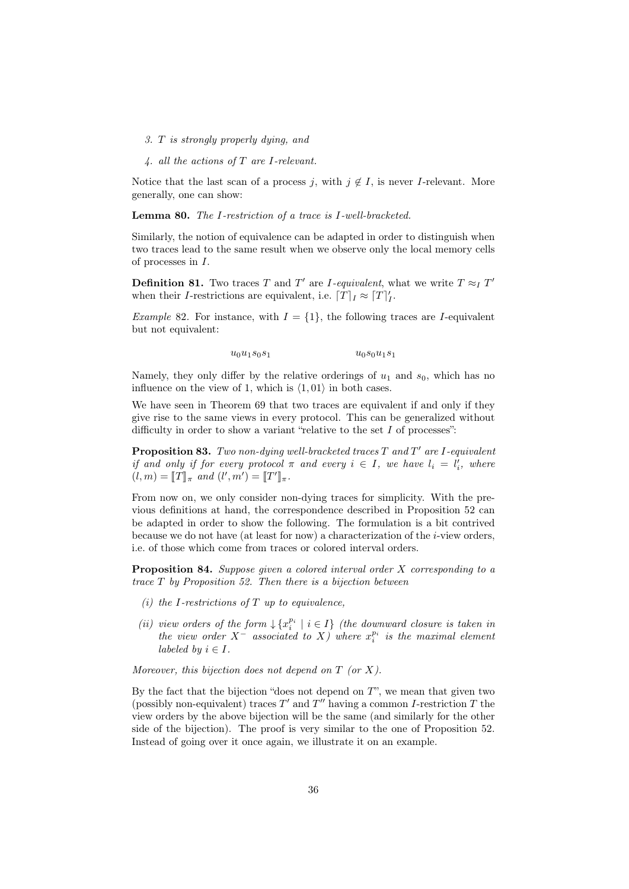#### 3. T is strongly properly dying, and

#### 4. all the actions of T are I-relevant.

Notice that the last scan of a process j, with  $j \notin I$ , is never I-relevant. More generally, one can show:

Lemma 80. The I-restriction of a trace is I-well-bracketed.

Similarly, the notion of equivalence can be adapted in order to distinguish when two traces lead to the same result when we observe only the local memory cells of processes in I.

**Definition 81.** Two traces T and T' are I-equivalent, what we write  $T \approx_I T'$ when their I-restrictions are equivalent, i.e.  $[T]_I \approx [T]'_I$ .

*Example* 82. For instance, with  $I = \{1\}$ , the following traces are *I*-equivalent but not equivalent:

 $u_0u_1s_0s_1$   $u_0s_0u_1s_1$ 

Namely, they only differ by the relative orderings of  $u_1$  and  $s_0$ , which has no influence on the view of 1, which is  $\langle 1, 01 \rangle$  in both cases.

We have seen in Theorem 69 that two traces are equivalent if and only if they give rise to the same views in every protocol. This can be generalized without difficulty in order to show a variant "relative to the set  $I$  of processes":

**Proposition 83.** Two non-dying well-bracketed traces  $T$  and  $T'$  are I-equivalent if and only if for every protocol  $\pi$  and every  $i \in I$ , we have  $l_i = l'_i$ , where  $(l,m) = \llbracket T \rrbracket_{\pi}$  and  $(l',m') = \llbracket T' \rrbracket_{\pi}$ .

From now on, we only consider non-dying traces for simplicity. With the previous definitions at hand, the correspondence described in Proposition 52 can be adapted in order to show the following. The formulation is a bit contrived because we do not have (at least for now) a characterization of the i-view orders, i.e. of those which come from traces or colored interval orders.

**Proposition 84.** Suppose given a colored interval order  $X$  corresponding to a trace  $T$  by Proposition 52. Then there is a bijection between

- (i) the I-restrictions of  $T$  up to equivalence,
- (ii) view orders of the form  $\downarrow \{x_i^{p_i} \mid i \in I\}$  (the downward closure is taken in the view order  $X^-$  associated to  $X$ ) where  $x_i^{p_i}$  is the maximal element labeled by  $i \in I$ .

Moreover, this bijection does not depend on  $T$  (or  $X$ ).

By the fact that the bijection "does not depend on  $T$ ", we mean that given two (possibly non-equivalent) traces  $T'$  and  $T''$  having a common I-restriction  $T$  the view orders by the above bijection will be the same (and similarly for the other side of the bijection). The proof is very similar to the one of Proposition 52. Instead of going over it once again, we illustrate it on an example.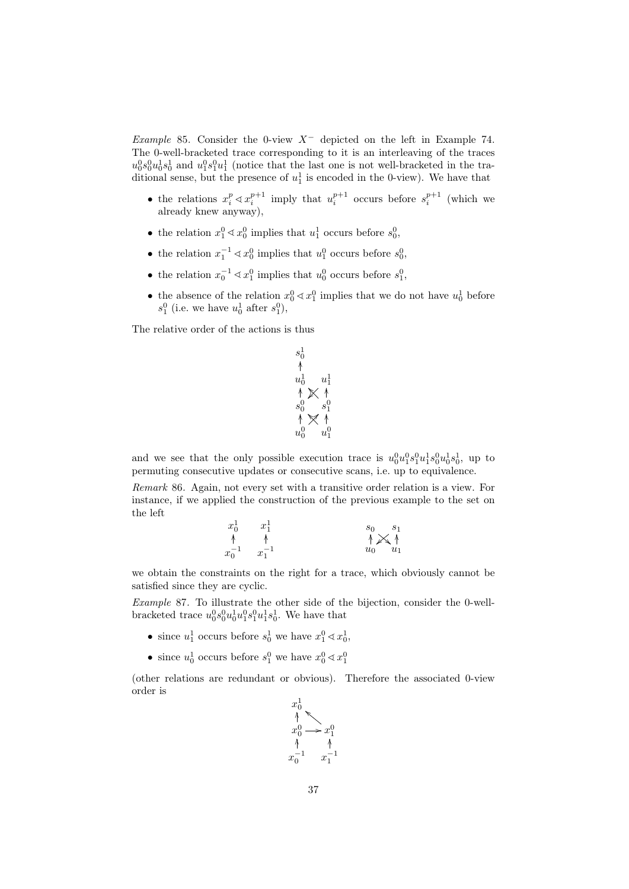Example 85. Consider the 0-view  $X^-$  depicted on the left in Example 74. The 0-well-bracketed trace corresponding to it is an interleaving of the traces  $u_0^0s_0^0u_0^1s_0^1$  and  $u_1^0s_1^0u_1^1$  (notice that the last one is not well-bracketed in the traditional sense, but the presence of  $u_1^1$  is encoded in the 0-view). We have that

- the relations  $x_i^p \lessdot x_i^{p+1}$  imply that  $u_i^{p+1}$  occurs before  $s_i^{p+1}$  (which we already knew anyway),
- the relation  $x_1^0 \lessdot x_0^0$  implies that  $u_1^1$  occurs before  $s_0^0$ ,
- the relation  $x_1^{-1} \lessdot x_0^0$  implies that  $u_1^0$  occurs before  $s_0^0$ ,
- the relation  $x_0^{-1} \lessdot x_1^0$  implies that  $u_0^0$  occurs before  $s_1^0$ ,
- the absence of the relation  $x_0^0 \lessdot x_1^0$  implies that we do not have  $u_0^1$  before  $s_1^0$  (i.e. we have  $u_0^1$  after  $s_1^0$ ),

The relative order of the actions is thus

$$
\begin{array}{c} s_0^1 \\ \uparrow \\ u_0^1 \\ \uparrow \\ s_0^0 \\ \uparrow \\ u_0^0 \end{array} \begin{array}{c} u_1^1 \\ \uparrow \\ s_1^0 \\ \uparrow \\ u_1^0 \\ \downarrow \\ u_1^0 \end{array}
$$

and we see that the only possible execution trace is  $u_0^0 u_1^0 s_1^0 u_1^1 s_0^0 u_0^1 s_0^1$ , up to permuting consecutive updates or consecutive scans, i.e. up to equivalence.

Remark 86. Again, not every set with a transitive order relation is a view. For instance, if we applied the construction of the previous example to the set on the left

| $x_0^1$  | $x_1^1$               | $s_0$ $s_1$                |
|----------|-----------------------|----------------------------|
| $\wedge$ | $\wedge$              | $\land\,\,\times\,\,\land$ |
|          | $x_0^{-1}$ $x_1^{-1}$ | $u_1$<br>$u_0$             |

we obtain the constraints on the right for a trace, which obviously cannot be satisfied since they are cyclic.

Example 87. To illustrate the other side of the bijection, consider the 0-wellbracketed trace  $u_0^0 s_0^0 u_0^1 u_1^0 s_1^0 u_1^1 s_0^1$ . We have that

- since  $u_1^1$  occurs before  $s_0^1$  we have  $x_1^0 \lessdot x_0^1$ ,
- since  $u_0^1$  occurs before  $s_1^0$  we have  $x_0^0 \lessdot x_1^0$

(other relations are redundant or obvious). Therefore the associated 0-view order is

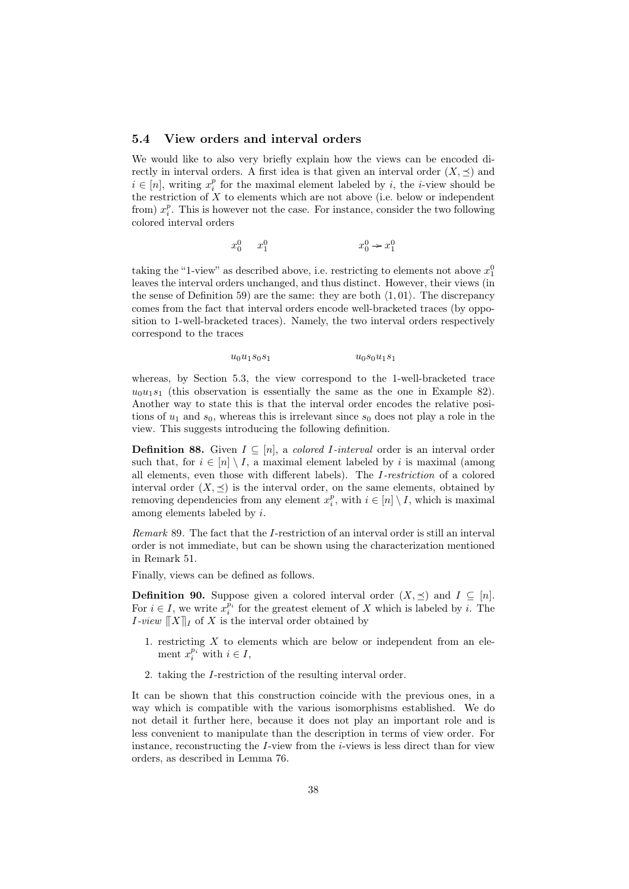#### 5.4 View orders and interval orders

We would like to also very briefly explain how the views can be encoded directly in interval orders. A first idea is that given an interval order  $(X, \prec)$  and  $i \in [n]$ , writing  $x_i^p$  for the maximal element labeled by i, the *i*-view should be the restriction of  $X$  to elements which are not above (i.e. below or independent from)  $x_i^p$ . This is however not the case. For instance, consider the two following colored interval orders

$$
x_0^0 \qquad x_1^0 \qquad \qquad x_0^0 \to x_1^0
$$

taking the "1-view" as described above, i.e. restricting to elements not above  $x_1^0$ leaves the interval orders unchanged, and thus distinct. However, their views (in the sense of Definition 59) are the same: they are both  $\langle 1, 01 \rangle$ . The discrepancy comes from the fact that interval orders encode well-bracketed traces (by opposition to 1-well-bracketed traces). Namely, the two interval orders respectively correspond to the traces

 $u_0u_1s_0s_1$   $u_0s_0u_1s_1$ 

whereas, by Section 5.3, the view correspond to the 1-well-bracketed trace  $u_0u_1s_1$  (this observation is essentially the same as the one in Example 82). Another way to state this is that the interval order encodes the relative positions of  $u_1$  and  $s_0$ , whereas this is irrelevant since  $s_0$  does not play a role in the view. This suggests introducing the following definition.

**Definition 88.** Given  $I \subseteq [n]$ , a colored *I*-interval order is an interval order such that, for  $i \in [n] \setminus I$ , a maximal element labeled by i is maximal (among all elements, even those with different labels). The I-restriction of a colored interval order  $(X, \preceq)$  is the interval order, on the same elements, obtained by removing dependencies from any element  $x_i^p$ , with  $i \in [n] \setminus I$ , which is maximal among elements labeled by i.

Remark 89. The fact that the I-restriction of an interval order is still an interval order is not immediate, but can be shown using the characterization mentioned in Remark 51.

Finally, views can be defined as follows.

**Definition 90.** Suppose given a colored interval order  $(X, \preceq)$  and  $I \subseteq [n]$ . For  $i \in I$ , we write  $x_i^{p_i}$  for the greatest element of X which is labeled by i. The I-view  $\llbracket X \rrbracket_I$  of X is the interval order obtained by

- 1. restricting  $X$  to elements which are below or independent from an element  $x_i^{p_i}$  with  $i \in I$ ,
- 2. taking the I-restriction of the resulting interval order.

It can be shown that this construction coincide with the previous ones, in a way which is compatible with the various isomorphisms established. We do not detail it further here, because it does not play an important role and is less convenient to manipulate than the description in terms of view order. For instance, reconstructing the I-view from the i-views is less direct than for view orders, as described in Lemma 76.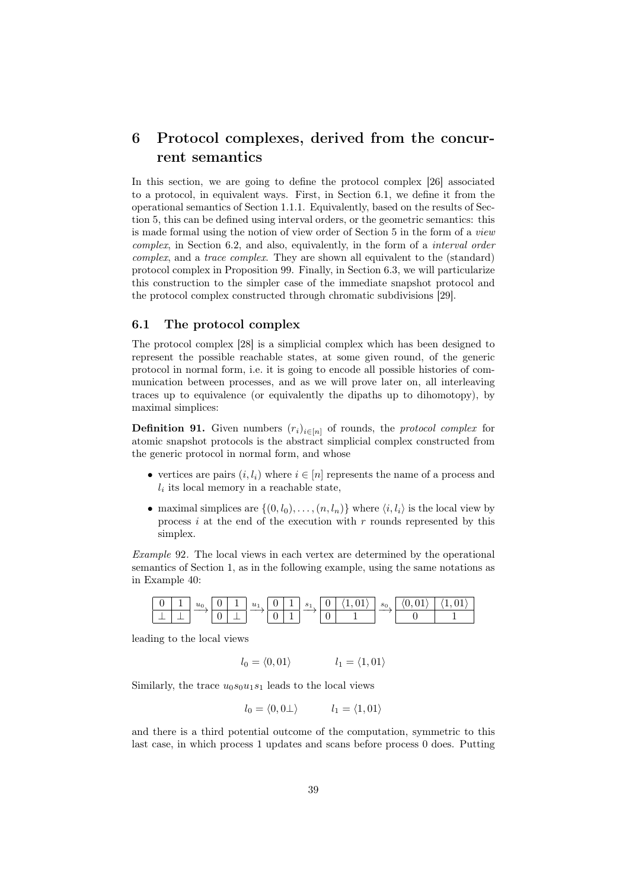# 6 Protocol complexes, derived from the concurrent semantics

In this section, we are going to define the protocol complex [26] associated to a protocol, in equivalent ways. First, in Section 6.1, we define it from the operational semantics of Section 1.1.1. Equivalently, based on the results of Section 5, this can be defined using interval orders, or the geometric semantics: this is made formal using the notion of view order of Section 5 in the form of a view complex, in Section 6.2, and also, equivalently, in the form of a interval order complex, and a trace complex. They are shown all equivalent to the (standard) protocol complex in Proposition 99. Finally, in Section 6.3, we will particularize this construction to the simpler case of the immediate snapshot protocol and the protocol complex constructed through chromatic subdivisions [29].

## 6.1 The protocol complex

The protocol complex [28] is a simplicial complex which has been designed to represent the possible reachable states, at some given round, of the generic protocol in normal form, i.e. it is going to encode all possible histories of communication between processes, and as we will prove later on, all interleaving traces up to equivalence (or equivalently the dipaths up to dihomotopy), by maximal simplices:

**Definition 91.** Given numbers  $(r_i)_{i \in [n]}$  of rounds, the *protocol complex* for atomic snapshot protocols is the abstract simplicial complex constructed from the generic protocol in normal form, and whose

- vertices are pairs  $(i, l_i)$  where  $i \in [n]$  represents the name of a process and  $l_i$  its local memory in a reachable state,
- maximal simplices are  $\{(0, l_0), \ldots, (n, l_n)\}\$  where  $\langle i, l_i \rangle$  is the local view by process i at the end of the execution with  $r$  rounds represented by this simplex.

Example 92. The local views in each vertex are determined by the operational semantics of Section 1, as in the following example, using the same notations as in Example 40:

|  | $u_0$ | T | $u_1$ | Ŧ, | S <sub>1</sub><br><b>.</b> | 0 | <b>.</b> | $s_0$ |  |
|--|-------|---|-------|----|----------------------------|---|----------|-------|--|
|  |       |   |       |    |                            |   |          |       |  |

leading to the local views

$$
l_0 = \langle 0, 01 \rangle \qquad \qquad l_1 = \langle 1, 01 \rangle
$$

Similarly, the trace  $u_0s_0u_1s_1$  leads to the local views

$$
l_0 = \langle 0, 0 \perp \rangle \qquad l_1 = \langle 1, 01 \rangle
$$

and there is a third potential outcome of the computation, symmetric to this last case, in which process 1 updates and scans before process 0 does. Putting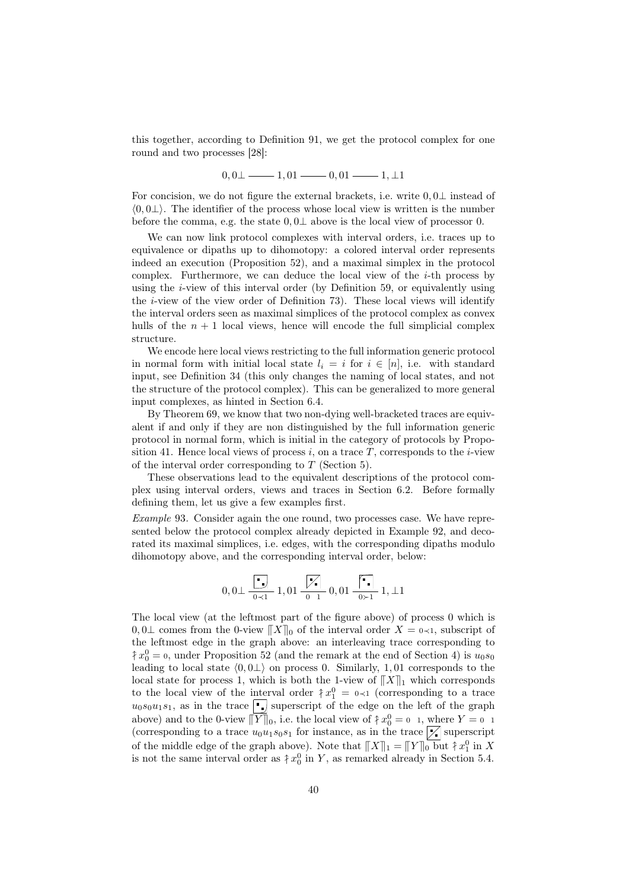this together, according to Definition 91, we get the protocol complex for one round and two processes [28]:

 $0, 0 \perp$  1, 01  $-$  0, 01  $-$  1, 1

For concision, we do not figure the external brackets, i.e. write  $0, 0\perp$  instead of  $(0, 0<sup>⊥</sup>)$ . The identifier of the process whose local view is written is the number before the comma, e.g. the state  $0, 0\perp$  above is the local view of processor 0.

We can now link protocol complexes with interval orders, i.e. traces up to equivalence or dipaths up to dihomotopy: a colored interval order represents indeed an execution (Proposition 52), and a maximal simplex in the protocol complex. Furthermore, we can deduce the local view of the  $i$ -th process by using the  $i$ -view of this interval order (by Definition 59, or equivalently using the  $i$ -view of the view order of Definition 73). These local views will identify the interval orders seen as maximal simplices of the protocol complex as convex hulls of the  $n + 1$  local views, hence will encode the full simplicial complex structure.

We encode here local views restricting to the full information generic protocol in normal form with initial local state  $l_i = i$  for  $i \in [n]$ , i.e. with standard input, see Definition 34 (this only changes the naming of local states, and not the structure of the protocol complex). This can be generalized to more general input complexes, as hinted in Section 6.4.

By Theorem 69, we know that two non-dying well-bracketed traces are equivalent if and only if they are non distinguished by the full information generic protocol in normal form, which is initial in the category of protocols by Proposition 41. Hence local views of process i, on a trace T, corresponds to the i-view of the interval order corresponding to  $T$  (Section 5).

These observations lead to the equivalent descriptions of the protocol complex using interval orders, views and traces in Section 6.2. Before formally defining them, let us give a few examples first.

Example 93. Consider again the one round, two processes case. We have represented below the protocol complex already depicted in Example 92, and decorated its maximal simplices, i.e. edges, with the corresponding dipaths modulo dihomotopy above, and the corresponding interval order, below:

$$
0, 0 \perp \underbrace{\begin{array}{c} \bullet \\ \bullet \\ 0 \prec 1 \end{array}}_{0 \prec 1} 1, 01 \underbrace{\begin{array}{c} \swarrow \\ \bullet \\ 0 \end{array}}_{0 \; 1} 0, 01 \underbrace{\begin{array}{c} \bullet \\ \bullet \\ 0 \succ 1 \end{array}}_{0 \succ 1} 1, \perp 1
$$

The local view (at the leftmost part of the figure above) of process 0 which is 0, 0⊥ comes from the 0-view  $[[X]]_0$  of the interval order  $X = 0$  ≺1, subscript of the leftmost edge in the graph above: an interleaving trace corresponding to  $\hat{\sigma} x_0^0 = 0$ , under Proposition 52 (and the remark at the end of Section 4) is  $u_0 s_0$ leading to local state  $\langle 0, 0 \perp \rangle$  on process 0. Similarly, 1, 01 corresponds to the local state for process 1, which is both the 1-view of  $\llbracket X \rrbracket_1$  which corresponds to the local view of the interval order  $\hat{\tau} x_1^0 = 0 \times 1$  (corresponding to a trace  $u_0s_0u_1s_1$ , as in the trace superscript of the edge on the left of the graph above) and to the 0-view  $||Y||_0$ , i.e. the local view of  $\hat{\tau} x_0^0 = 0$  1, where  $Y = 0$  1 (corresponding to a trace  $u_0u_1s_0s_1$  for instance, as in the trace  $\mathcal{S}$  superscript of the middle edge of the graph above). Note that  $||X||_1 = ||Y||_0$  but  $\hat{\tau} x_1^0$  in X<br>is not the same interval order as  $\hat{\tau} x_0^0$  in X, as remarked already in Section 5.4. is not the same interval order as  $\hat{\tau} x_0^0$  in Y, as remarked already in Section 5.4.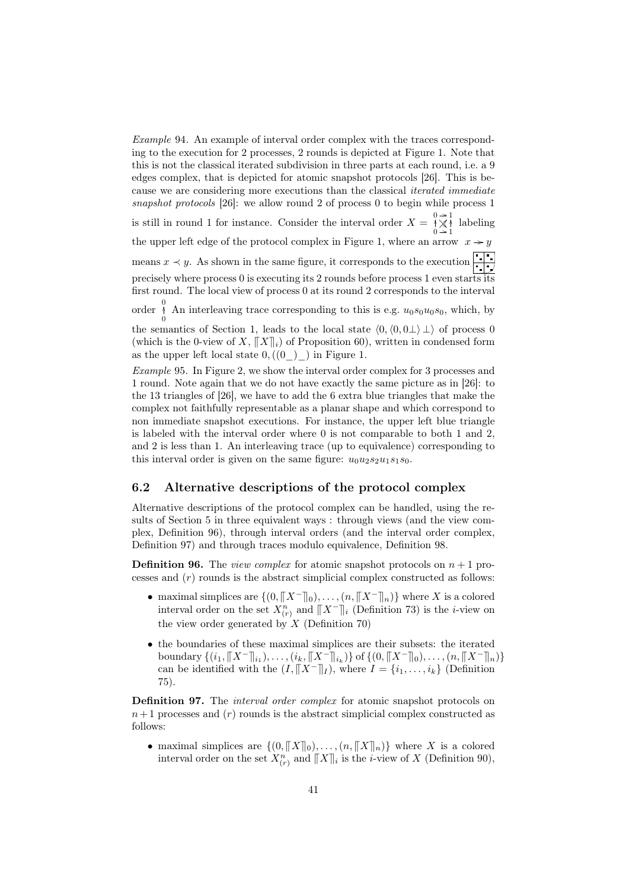Example 94. An example of interval order complex with the traces corresponding to the execution for 2 processes, 2 rounds is depicted at Figure 1. Note that this is not the classical iterated subdivision in three parts at each round, i.e. a 9 edges complex, that is depicted for atomic snapshot protocols [26]. This is because we are considering more executions than the classical iterated immediate snapshot protocols [26]: we allow round 2 of process 0 to begin while process 1 is still in round 1 for instance. Consider the interval order  $X = \begin{bmatrix} 0 \\ 1 \end{bmatrix}$  $\ddot{\phantom{0}}$ /1 0  $\tilde{\mathcal{A}}$ /1 i labeling the upper left edge of the protocol complex in Figure 1, where an arrow  $x \rightarrow y$ means  $x \prec y$ . As shown in the same figure, it corresponds to the execution  $\begin{array}{c} \bullet \\ \bullet \end{array}$ . precisely where process 0 is executing its 2 rounds before process 1 even starts its first round. The local view of process 0 at its round 2 corresponds to the interval order 0 0 An interleaving trace corresponding to this is e.g.  $u_0s_0u_0s_0$ , which, by the semantics of Section 1, leads to the local state  $\langle 0, \langle 0, 0 \perp \rangle \perp \rangle$  of process 0 (which is the 0-view of X,  $[[X]]_i$ ) of Proposition 60), written in condensed form as the upper left local state  $0,((0^-))$  in Figure 1.

Example 95. In Figure 2, we show the interval order complex for 3 processes and 1 round. Note again that we do not have exactly the same picture as in [26]: to the 13 triangles of [26], we have to add the 6 extra blue triangles that make the complex not faithfully representable as a planar shape and which correspond to non immediate snapshot executions. For instance, the upper left blue triangle is labeled with the interval order where 0 is not comparable to both 1 and 2, and 2 is less than 1. An interleaving trace (up to equivalence) corresponding to this interval order is given on the same figure:  $u_0u_2s_2u_1s_1s_0$ .

## 6.2 Alternative descriptions of the protocol complex

Alternative descriptions of the protocol complex can be handled, using the results of Section 5 in three equivalent ways : through views (and the view complex, Definition 96), through interval orders (and the interval order complex, Definition 97) and through traces modulo equivalence, Definition 98.

**Definition 96.** The view complex for atomic snapshot protocols on  $n + 1$  processes and  $(r)$  rounds is the abstract simplicial complex constructed as follows:

- maximal simplices are  $\{(0, \|X^-\|_0), \ldots, (n, \|X^-\|_n)\}$  where X is a colored<br>interval order on the set  $X^n_{(r)}$  and  $\|X^-\|_i$  (Definition 73) is the *i*-view on<br>the stime subgroup of  $\sum_{k=1}^{\infty} (D_k \xi_k)^{k}$ the view order generated by  $X$  (Definition 70)
- the boundaries of these maximal simplices are their subsets: the iterated boundary  $\{(i_1, \|X^-\|_{i_1}), \ldots, (i_k, \|X^-\|_{i_k})\}$  of  $\{(0, \|X^-\|_0), \ldots, (n, \|X^-\|_n)\}$ <br>can be identified with the  $(I^{\mathsf{T}} X^-\mathbb{T}_1)$ , where  $I = \{i_1, \ldots, i_k\}$ . (Definition can be identified with the  $(I, \llbracket X^-\rrbracket_I)$ , where  $I = \{i_1, \ldots, i_k\}$  (Definition 75).

Definition 97. The *interval order complex* for atomic snapshot protocols on  $n+1$  processes and  $(r)$  rounds is the abstract simplicial complex constructed as follows:

• maximal simplices are  $\{(0, \|X\|_0), \ldots, (n, \|X\|_n)\}$  where X is a colored interval order on the set  $X_{(r)}^n$  and  $\|X\|_i$  is the *i*-view of X (Definition 90),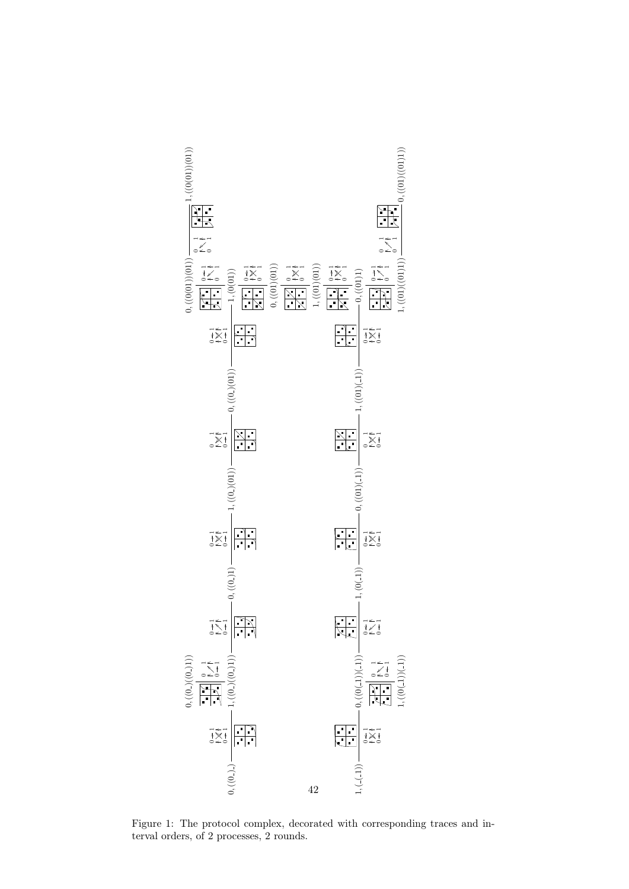

Figure 1: The protocol complex, decorated with corresponding traces and interval orders, of 2 processes, 2 rounds.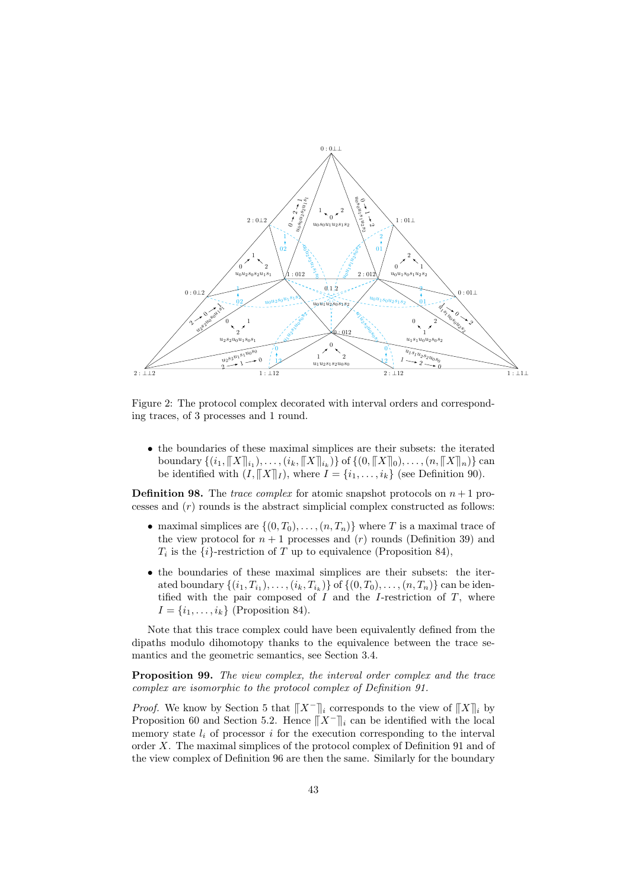

Figure 2: The protocol complex decorated with interval orders and corresponding traces, of 3 processes and 1 round.

• the boundaries of these maximal simplices are their subsets: the iterated boundary  $\{(i_1, \llbracket X \rrbracket_{i_1}), \ldots, (i_k, \llbracket X \rrbracket_{i_k})\}$  of  $\{(0, \llbracket X \rrbracket_{0}), \ldots, (n, \llbracket X \rrbracket_{n})\}$  can<br>be identified with  $(I \llbracket Y \rrbracket_{-})$  where  $I = \{i_1, \ldots, i_k\}$  (see Definition 00) be identified with  $(I, \llbracket X \rrbracket_I)$ , where  $I = \{i_1, \ldots, i_k\}$  (see Definition 90).

**Definition 98.** The *trace complex* for atomic snapshot protocols on  $n + 1$  processes and  $(r)$  rounds is the abstract simplicial complex constructed as follows:

- maximal simplices are  $\{(0, T_0), \ldots, (n, T_n)\}\$  where T is a maximal trace of the view protocol for  $n + 1$  processes and  $(r)$  rounds (Definition 39) and  $T_i$  is the  $\{i\}$ -restriction of T up to equivalence (Proposition 84),
- the boundaries of these maximal simplices are their subsets: the iterated boundary  $\{(i_1, T_{i_1}), \ldots, (i_k, T_{i_k})\}$  of  $\{(0, T_0), \ldots, (n, T_n)\}$  can be identified with the pair composed of  $\overline{I}$  and the *I*-restriction of  $\overline{T}$ , where  $I = \{i_1, \ldots, i_k\}$  (Proposition 84).

Note that this trace complex could have been equivalently defined from the dipaths modulo dihomotopy thanks to the equivalence between the trace semantics and the geometric semantics, see Section 3.4.

Proposition 99. The view complex, the interval order complex and the trace complex are isomorphic to the protocol complex of Definition 91.

*Proof.* We know by Section 5 that  $\Vert X^-\Vert_i$  corresponds to the view of  $\Vert X\Vert_i$  by Proposition 60 and Section 5.2. Hence  $[[X^-]]_i$  can be identified with the local memory state  $l_i$  of processor i for the execution corresponding to the interval order X. The maximal simplices of the protocol complex of Definition 91 and of the view complex of Definition 96 are then the same. Similarly for the boundary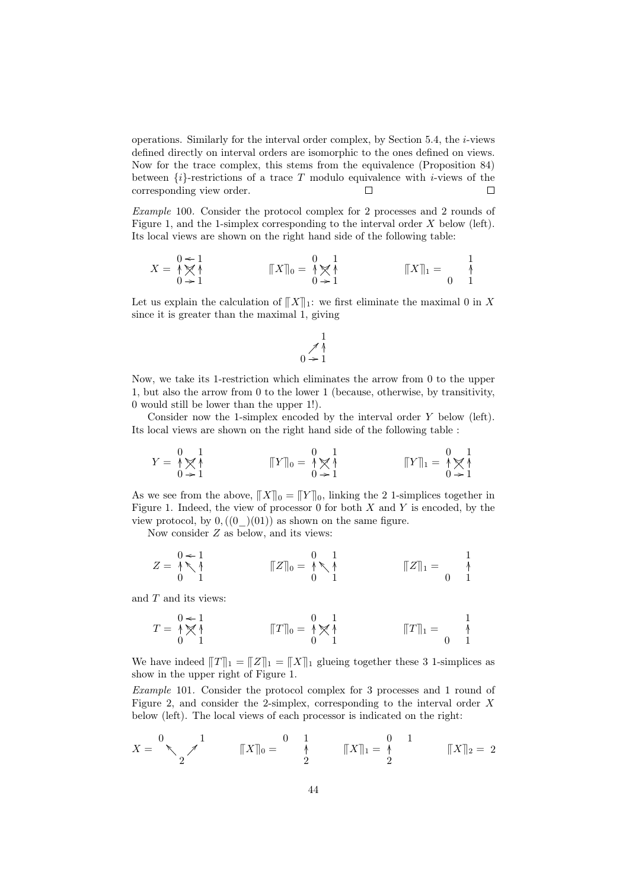operations. Similarly for the interval order complex, by Section  $5.4$ , the *i*-views defined directly on interval orders are isomorphic to the ones defined on views. Now for the trace complex, this stems from the equivalence (Proposition 84) between  $\{i\}$ -restrictions of a trace T modulo equivalence with *i*-views of the corresponding view order. corresponding view order.

Example 100. Consider the protocol complex for 2 processes and 2 rounds of Figure 1, and the 1-simplex corresponding to the interval order  $X$  below (left). Its local views are shown on the right hand side of the following table:

$$
X = \begin{matrix} 0 & -1 \\ \uparrow \nearrow \end{matrix} \qquad \qquad \mathbb{T}X \mathbb{T}_0 = \begin{matrix} 0 & 1 \\ \uparrow \nearrow \end{matrix} \qquad \qquad \mathbb{T}X \mathbb{T}_1 = \begin{matrix} 1 \\ \uparrow \\ 0 \end{matrix} \qquad \qquad \mathbb{T}X \mathbb{T}_1 = \begin{matrix} 1 \\ \uparrow \\ 0 \end{matrix}
$$

Let us explain the calculation of  $\llbracket X \rrbracket_1$ : we first eliminate the maximal 0 in X since it is greater than the maximal 1, giving

$$
\begin{array}{c}\n1 \\
\nearrow \uparrow \\
0 \rightarrow 1\n\end{array}
$$

Now, we take its 1-restriction which eliminates the arrow from 0 to the upper 1, but also the arrow from 0 to the lower 1 (because, otherwise, by transitivity, 0 would still be lower than the upper 1!).

Consider now the 1-simplex encoded by the interval order Y below (left). Its local views are shown on the right hand side of the following table :

$$
Y = \begin{array}{c} 0 & 1 \\ \uparrow \times \uparrow \\ 0 & \to 1 \end{array} \qquad \qquad \mathbb{T}Y \mathbb{T}_0 = \begin{array}{c} 0 & 1 \\ \uparrow \times \uparrow \\ 0 & \to 1 \end{array} \qquad \qquad \mathbb{T}Y \mathbb{T}_1 = \begin{array}{c} 0 & 1 \\ \uparrow \times \uparrow \\ 0 & \to 1 \end{array}
$$

As we see from the above,  $\llbracket X \rrbracket_0 = \llbracket Y \rrbracket_0$ , linking the 2 1-simplices together in Figure 1. Indeed, the view of processor  $0$  for both  $X$  and  $Y$  is encoded, by the view protocol, by  $0, ((0_0)(01))$  as shown on the same figure.

Now consider Z as below, and its views:

$$
Z = \begin{matrix} 0 & -1 \\ \uparrow \\ 0 & 1 \end{matrix} \qquad \qquad \mathbb{T}Z\mathbb{T}_0 = \begin{matrix} 0 & 1 \\ \uparrow \\ 0 & 1 \end{matrix} \qquad \qquad \mathbb{T}Z\mathbb{T}_1 = \begin{matrix} 1 \\ \uparrow \\ 0 & 1 \end{matrix}
$$

and T and its views:

$$
T = \begin{array}{c} 0 \leq 1 \\ \uparrow \otimes \uparrow \\ 0 \quad 1 \end{array} \qquad \qquad \mathbb{T}T\|_{0} = \begin{array}{c} 0 \\ \uparrow \otimes \uparrow \\ 0 \quad 1 \end{array} \qquad \qquad \mathbb{T}T\|_{1} = \begin{array}{c} 1 \\ \uparrow \\ 0 \quad 1 \end{array}
$$

We have indeed  $T_1 = \|Z\|_1 = \|X\|_1$  glueing together these 3 1-simplices as show in the upper right of Figure 1.

Example 101. Consider the protocol complex for 3 processes and 1 round of Figure 2, and consider the 2-simplex, corresponding to the interval order  $X$ below (left). The local views of each processor is indicated on the right:

$$
X = \bigcup_{2}^{0} \begin{matrix} 1 \\ 2 \end{matrix} \qquad \qquad \lbrack \lbrack X \rbrack \rbrack_0 = \bigcup_{2}^{0} \begin{matrix} 1 \\ 1 \end{matrix} \qquad \qquad \lbrack \lbrack X \rbrack \rbrack_1 = \begin{matrix} 0 \\ 1 \end{matrix} \qquad \qquad \lbrack \lbrack X \rbrack \rbrack_2 = 2
$$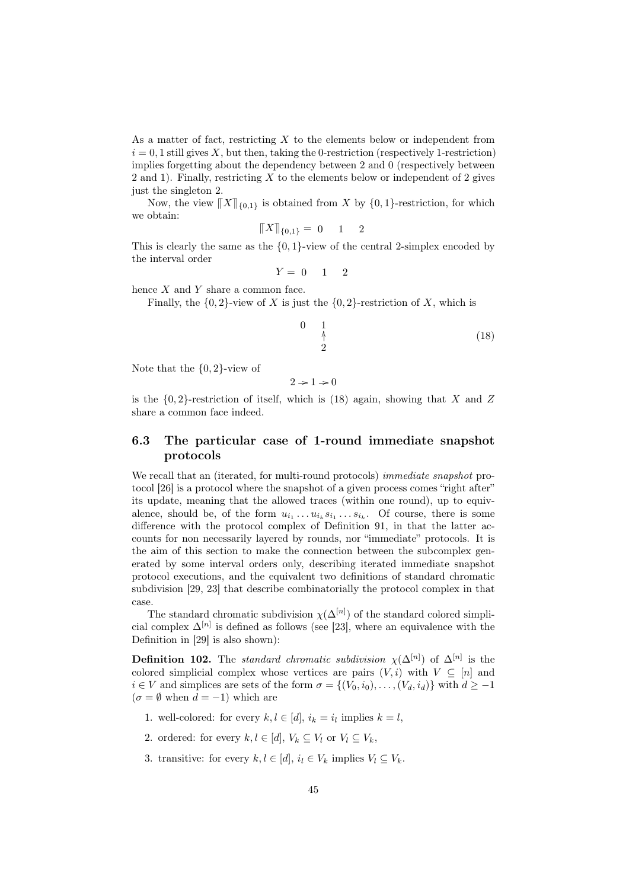As a matter of fact, restricting  $X$  to the elements below or independent from  $i = 0, 1$  still gives X, but then, taking the 0-restriction (respectively 1-restriction) implies forgetting about the dependency between 2 and 0 (respectively between 2 and 1). Finally, restricting  $X$  to the elements below or independent of 2 gives just the singleton 2.

Now, the view  $\llbracket X \rrbracket_{\{0,1\}}$  is obtained from X by  $\{0,1\}$ -restriction, for which we obtain:

$$
||X||_{\{0,1\}} = 0 \quad 1 \quad 2
$$

This is clearly the same as the  $\{0, 1\}$ -view of the central 2-simplex encoded by the interval order

$$
Y = 0 \quad 1 \quad 2
$$

hence  $X$  and  $Y$  share a common face.

Finally, the  $\{0, 2\}$ -view of X is just the  $\{0, 2\}$ -restriction of X, which is

$$
\begin{array}{cc}\n0 & 1 \\
\uparrow \\
2\n\end{array}
$$
\n(18)

Note that the {0, 2}-view of

$$
2\to 1\to 0
$$

is the  $\{0, 2\}$ -restriction of itself, which is (18) again, showing that X and Z share a common face indeed.

## 6.3 The particular case of 1-round immediate snapshot protocols

We recall that an (iterated, for multi-round protocols) *immediate snapshot* protocol [26] is a protocol where the snapshot of a given process comes "right after" its update, meaning that the allowed traces (within one round), up to equivalence, should be, of the form  $u_{i_1} \ldots u_{i_k} s_{i_1} \ldots s_{i_k}$ . Of course, there is some difference with the protocol complex of Definition 91, in that the latter accounts for non necessarily layered by rounds, nor "immediate" protocols. It is the aim of this section to make the connection between the subcomplex generated by some interval orders only, describing iterated immediate snapshot protocol executions, and the equivalent two definitions of standard chromatic subdivision [29, 23] that describe combinatorially the protocol complex in that case.

The standard chromatic subdivision  $\chi(\Delta^{[n]})$  of the standard colored simplicial complex  $\Delta^{[n]}$  is defined as follows (see [23], where an equivalence with the Definition in [29] is also shown):

**Definition 102.** The standard chromatic subdivision  $\chi(\Delta^{[n]})$  of  $\Delta^{[n]}$  is the colored simplicial complex whose vertices are pairs  $(V, i)$  with  $V \subseteq [n]$  and  $i \in V$  and simplices are sets of the form  $\sigma = \{(V_0, i_0), \ldots, (V_d, i_d)\}\$  with  $d \geq -1$  $(\sigma = \emptyset$  when  $d = -1$ ) which are

- 1. well-colored: for every  $k, l \in [d], i_k = i_l$  implies  $k = l$ ,
- 2. ordered: for every  $k, l \in [d], V_k \subseteq V_l$  or  $V_l \subseteq V_k$ ,
- 3. transitive: for every  $k, l \in [d], i_l \in V_k$  implies  $V_l \subset V_k$ .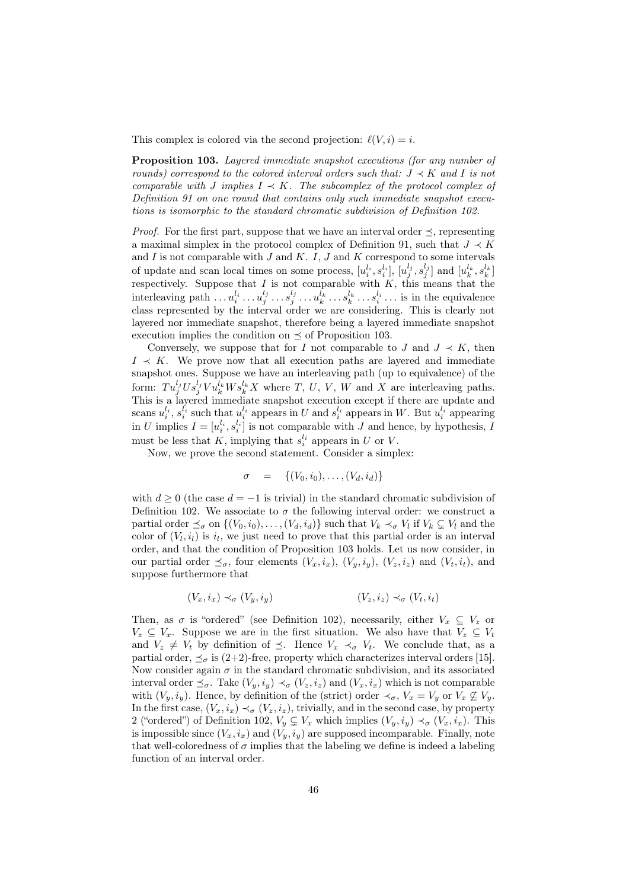This complex is colored via the second projection:  $\ell(V, i) = i$ .

Proposition 103. Layered immediate snapshot executions (for any number of rounds) correspond to the colored interval orders such that:  $J \prec K$  and I is not comparable with J implies  $I \prec K$ . The subcomplex of the protocol complex of Definition 91 on one round that contains only such immediate snapshot executions is isomorphic to the standard chromatic subdivision of Definition 102.

*Proof.* For the first part, suppose that we have an interval order  $\preceq$ , representing a maximal simplex in the protocol complex of Definition 91, such that  $J \prec K$ and I is not comparable with J and K. I, J and K correspond to some intervals of update and scan local times on some process,  $[u_i^{l_i}, s_i^{l_i}]$ ,  $[u_j^{l_j}, s_j^{l_j}]$  and  $[u_k^{l_k}, s_k^{l_k}]$ respectively. Suppose that  $I$  is not comparable with  $K$ , this means that the interleaving path  $\dots u_i^{l_i} \dots u_j^{l_j} \dots s_j^{l_j} \dots u_k^{l_k} \dots s_k^{l_i} \dots s_i^{l_i} \dots$  is in the equivalence class represented by the interval order we are considering. This is clearly not layered nor immediate snapshot, therefore being a layered immediate snapshot execution implies the condition on  $\preceq$  of Proposition 103.

Conversely, we suppose that for I not comparable to J and  $J \prec K$ , then  $I \prec K$ . We prove now that all execution paths are layered and immediate snapshot ones. Suppose we have an interleaving path (up to equivalence) of the form:  $Tu_j^{l_j}Us_j^{l_j}Vu_k^{l_k}Ws_k^{l_k}X$  where T, U, V, W and X are interleaving paths. This is a layered immediate snapshot execution except if there are update and scans  $u_i^{l_i}, s_i^{l_i}$  such that  $u_i^{l_i}$  appears in U and  $s_i^{l_i}$  appears in W. But  $u_i^{l_i}$  appearing in U implies  $I = [u_i^{l_i}, s_i^{l_i}]$  is not comparable with J and hence, by hypothesis, I must be less that K, implying that  $s_i^{l_i}$  appears in U or V.

Now, we prove the second statement. Consider a simplex:

$$
\sigma = \{(V_0, i_0), \ldots, (V_d, i_d)\}
$$

with  $d \geq 0$  (the case  $d = -1$  is trivial) in the standard chromatic subdivision of Definition 102. We associate to  $\sigma$  the following interval order: we construct a partial order  $\preceq_{\sigma}$  on  $\{(V_0, i_0), \ldots, (V_d, i_d)\}$  such that  $V_k \prec_{\sigma} V_l$  if  $V_k \subsetneq V_l$  and the color of  $(V_l, i_l)$  is  $i_l$ , we just need to prove that this partial order is an interval order, and that the condition of Proposition 103 holds. Let us now consider, in our partial order  $\preceq_{\sigma}$ , four elements  $(V_x, i_x)$ ,  $(V_y, i_y)$ ,  $(V_z, i_z)$  and  $(V_t, i_t)$ , and suppose furthermore that

$$
(V_x, i_x) \prec_{\sigma} (V_y, i_y) \qquad \qquad (V_z, i_z) \prec_{\sigma} (V_t, i_t)
$$

Then, as  $\sigma$  is "ordered" (see Definition 102), necessarily, either  $V_x \subseteq V_z$  or  $V_z \subseteq V_x$ . Suppose we are in the first situation. We also have that  $V_z \subseteq V_t$ and  $V_z \neq V_t$  by definition of  $\preceq$ . Hence  $V_x \prec_{\sigma} V_t$ . We conclude that, as a partial order,  $\preceq_{\sigma}$  is (2+2)-free, property which characterizes interval orders [15]. Now consider again  $\sigma$  in the standard chromatic subdivision, and its associated interval order  $\preceq_{\sigma}$ . Take  $(V_y, i_y) \prec_{\sigma} (V_z, i_z)$  and  $(V_x, i_x)$  which is not comparable with  $(V_u, i_y)$ . Hence, by definition of the (strict) order  $\prec_{\sigma} V_x = V_y$  or  $V_x \not\subseteq V_y$ . In the first case,  $(V_x, i_x) \prec_{\sigma} (V_z, i_z)$ , trivially, and in the second case, by property 2 ("ordered") of Definition 102,  $V_y \subsetneq V_x$  which implies  $(V_y, i_y) \prec_{\sigma} (V_x, i_x)$ . This is impossible since  $(V_x, i_x)$  and  $(V_y, i_y)$  are supposed incomparable. Finally, note that well-coloredness of  $\sigma$  implies that the labeling we define is indeed a labeling function of an interval order.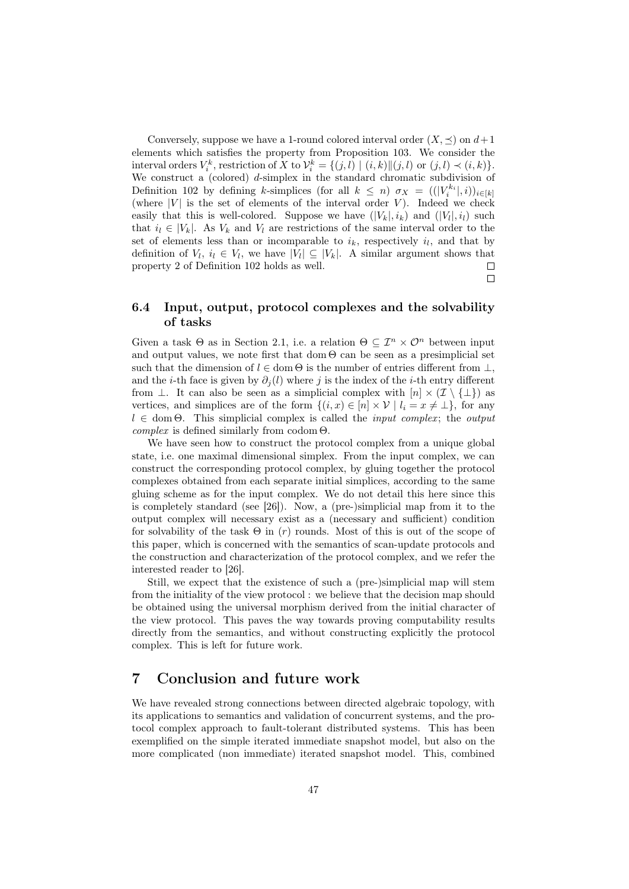Conversely, suppose we have a 1-round colored interval order  $(X, \preceq)$  on  $d+1$ elements which satisfies the property from Proposition 103. We consider the interval orders  $V_i^k$ , restriction of X to  $\mathcal{V}_i^k = \{(j, l) \mid (i, k) || (j, l) \text{ or } (j, l) \prec (i, k) \}.$ We construct a (colored)  $d$ -simplex in the standard chromatic subdivision of Definition 102 by defining k-simplices (for all  $k \leq n$ )  $\sigma_X = ((|V_i^{k_i}|, i))_{i \in [k]}$ (where  $|V|$  is the set of elements of the interval order V). Indeed we check easily that this is well-colored. Suppose we have  $(|V_k|, i_k)$  and  $(|V_l|, i_l)$  such that  $i_l \in |V_k|$ . As  $V_k$  and  $V_l$  are restrictions of the same interval order to the set of elements less than or incomparable to  $i_k$ , respectively  $i_l$ , and that by definition of  $V_l$ ,  $i_l \in V_l$ , we have  $|V_l| \subseteq |V_k|$ . A similar argument shows that property 2 of Definition 102 holds as well.  $\Box$ 

# 6.4 Input, output, protocol complexes and the solvability of tasks

Given a task  $\Theta$  as in Section 2.1, i.e. a relation  $\Theta \subseteq \mathcal{I}^n \times \mathcal{O}^n$  between input and output values, we note first that dom  $\Theta$  can be seen as a presimplicial set such that the dimension of  $l \in \text{dom } \Theta$  is the number of entries different from  $\bot$ , and the *i*-th face is given by  $\partial_i(l)$  where j is the index of the *i*-th entry different from  $\perp$ . It can also be seen as a simplicial complex with  $[n] \times (\mathcal{I} \setminus {\perp})$  as vertices, and simplices are of the form  $\{(i, x) \in [n] \times \mathcal{V} \mid l_i = x \neq \bot\}$ , for any  $l \in \text{dom } \Theta$ . This simplicial complex is called the *input complex*; the *output*  $complex$  is defined similarly from  $codom \Theta$ .

We have seen how to construct the protocol complex from a unique global state, i.e. one maximal dimensional simplex. From the input complex, we can construct the corresponding protocol complex, by gluing together the protocol complexes obtained from each separate initial simplices, according to the same gluing scheme as for the input complex. We do not detail this here since this is completely standard (see [26]). Now, a (pre-)simplicial map from it to the output complex will necessary exist as a (necessary and sufficient) condition for solvability of the task  $\Theta$  in  $(r)$  rounds. Most of this is out of the scope of this paper, which is concerned with the semantics of scan-update protocols and the construction and characterization of the protocol complex, and we refer the interested reader to [26].

Still, we expect that the existence of such a (pre-)simplicial map will stem from the initiality of the view protocol : we believe that the decision map should be obtained using the universal morphism derived from the initial character of the view protocol. This paves the way towards proving computability results directly from the semantics, and without constructing explicitly the protocol complex. This is left for future work.

# 7 Conclusion and future work

We have revealed strong connections between directed algebraic topology, with its applications to semantics and validation of concurrent systems, and the protocol complex approach to fault-tolerant distributed systems. This has been exemplified on the simple iterated immediate snapshot model, but also on the more complicated (non immediate) iterated snapshot model. This, combined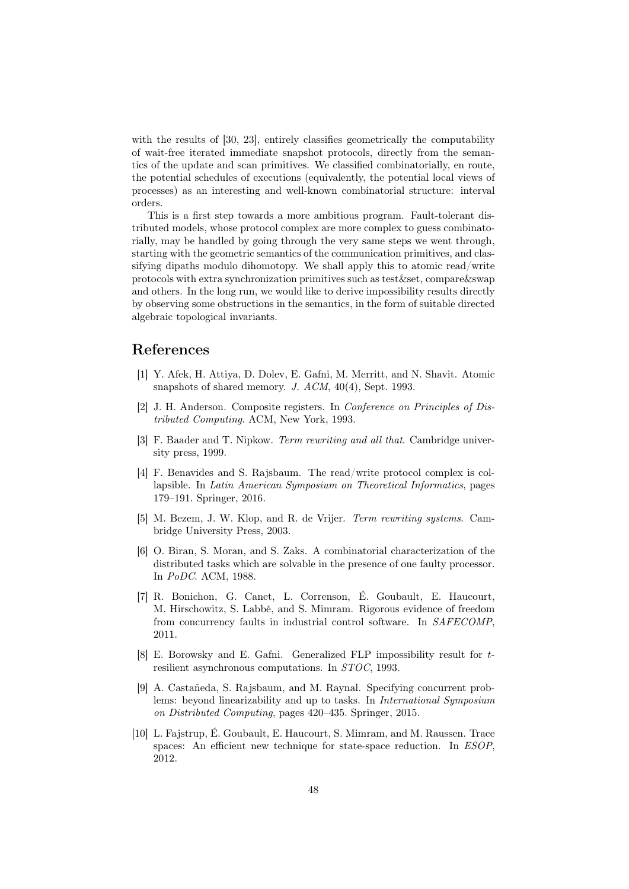with the results of [30, 23], entirely classifies geometrically the computability of wait-free iterated immediate snapshot protocols, directly from the semantics of the update and scan primitives. We classified combinatorially, en route, the potential schedules of executions (equivalently, the potential local views of processes) as an interesting and well-known combinatorial structure: interval orders.

This is a first step towards a more ambitious program. Fault-tolerant distributed models, whose protocol complex are more complex to guess combinatorially, may be handled by going through the very same steps we went through, starting with the geometric semantics of the communication primitives, and classifying dipaths modulo dihomotopy. We shall apply this to atomic read/write protocols with extra synchronization primitives such as test&set, compare&swap and others. In the long run, we would like to derive impossibility results directly by observing some obstructions in the semantics, in the form of suitable directed algebraic topological invariants.

# References

- [1] Y. Afek, H. Attiya, D. Dolev, E. Gafni, M. Merritt, and N. Shavit. Atomic snapshots of shared memory. J. ACM,  $40(4)$ , Sept. 1993.
- [2] J. H. Anderson. Composite registers. In Conference on Principles of Distributed Computing. ACM, New York, 1993.
- [3] F. Baader and T. Nipkow. Term rewriting and all that. Cambridge university press, 1999.
- [4] F. Benavides and S. Rajsbaum. The read/write protocol complex is collapsible. In Latin American Symposium on Theoretical Informatics, pages 179–191. Springer, 2016.
- [5] M. Bezem, J. W. Klop, and R. de Vrijer. Term rewriting systems. Cambridge University Press, 2003.
- [6] O. Biran, S. Moran, and S. Zaks. A combinatorial characterization of the distributed tasks which are solvable in the presence of one faulty processor. In PoDC. ACM, 1988.
- [7] R. Bonichon, G. Canet, L. Correnson, É. Goubault, E. Haucourt, M. Hirschowitz, S. Labbé, and S. Mimram. Rigorous evidence of freedom from concurrency faults in industrial control software. In SAFECOMP, 2011.
- [8] E. Borowsky and E. Gafni. Generalized FLP impossibility result for tresilient asynchronous computations. In STOC, 1993.
- [9] A. Castañeda, S. Rajsbaum, and M. Raynal. Specifying concurrent problems: beyond linearizability and up to tasks. In International Symposium on Distributed Computing, pages 420–435. Springer, 2015.
- [10] L. Fajstrup, É. Goubault, E. Haucourt, S. Mimram, and M. Raussen. Trace spaces: An efficient new technique for state-space reduction. In ESOP, 2012.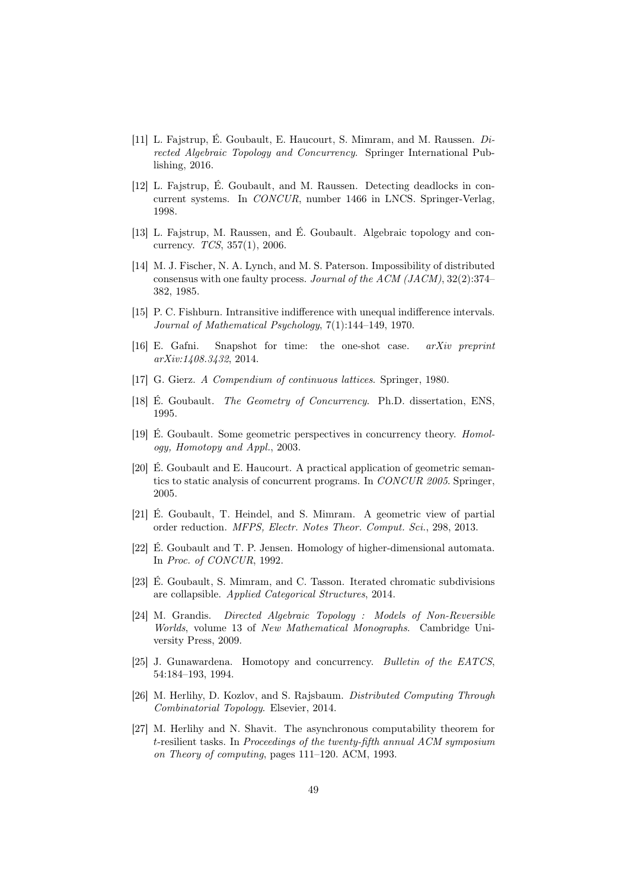- [11] L. Fajstrup, É. Goubault, E. Haucourt, S. Mimram, and M. Raussen. Directed Algebraic Topology and Concurrency. Springer International Publishing, 2016.
- [12] L. Fajstrup, É. Goubault, and M. Raussen. Detecting deadlocks in concurrent systems. In CONCUR, number 1466 in LNCS. Springer-Verlag, 1998.
- [13] L. Fajstrup, M. Raussen, and É. Goubault. Algebraic topology and concurrency. TCS, 357(1), 2006.
- [14] M. J. Fischer, N. A. Lynch, and M. S. Paterson. Impossibility of distributed consensus with one faulty process. Journal of the ACM (JACM), 32(2):374– 382, 1985.
- [15] P. C. Fishburn. Intransitive indifference with unequal indifference intervals. Journal of Mathematical Psychology, 7(1):144–149, 1970.
- [16] E. Gafni. Snapshot for time: the one-shot case. arXiv preprint arXiv:1408.3432, 2014.
- [17] G. Gierz. A Compendium of continuous lattices. Springer, 1980.
- [18] É. Goubault. The Geometry of Concurrency. Ph.D. dissertation, ENS, 1995.
- [19] É. Goubault. Some geometric perspectives in concurrency theory. Homology, Homotopy and Appl., 2003.
- [20] É. Goubault and E. Haucourt. A practical application of geometric semantics to static analysis of concurrent programs. In CONCUR 2005. Springer, 2005.
- [21] É. Goubault, T. Heindel, and S. Mimram. A geometric view of partial order reduction. MFPS, Electr. Notes Theor. Comput. Sci., 298, 2013.
- [22] É. Goubault and T. P. Jensen. Homology of higher-dimensional automata. In Proc. of CONCUR, 1992.
- [23] É. Goubault, S. Mimram, and C. Tasson. Iterated chromatic subdivisions are collapsible. Applied Categorical Structures, 2014.
- [24] M. Grandis. Directed Algebraic Topology : Models of Non-Reversible Worlds, volume 13 of New Mathematical Monographs. Cambridge University Press, 2009.
- [25] J. Gunawardena. Homotopy and concurrency. Bulletin of the EATCS, 54:184–193, 1994.
- [26] M. Herlihy, D. Kozlov, and S. Rajsbaum. Distributed Computing Through Combinatorial Topology. Elsevier, 2014.
- [27] M. Herlihy and N. Shavit. The asynchronous computability theorem for t-resilient tasks. In Proceedings of the twenty-fifth annual ACM symposium on Theory of computing, pages 111–120. ACM, 1993.